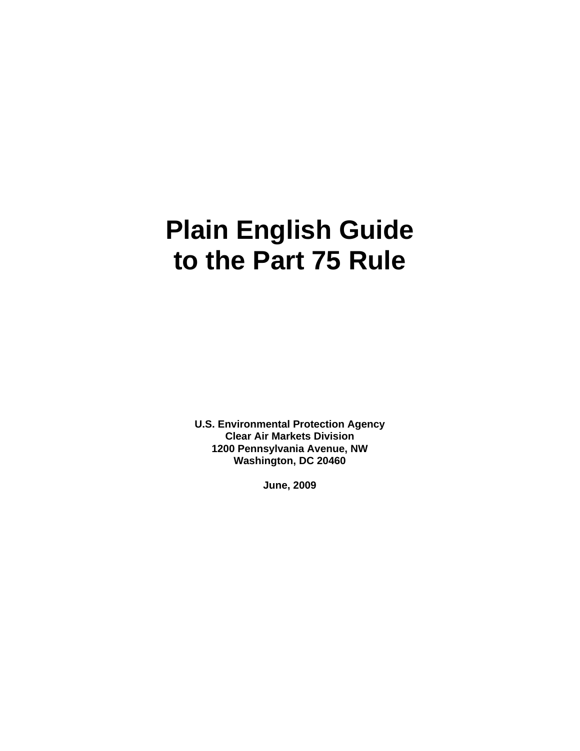# **Plain English Guide to the Part 75 Rule**

**U.S. Environmental Protection Agency Clear Air Markets Division 1200 Pennsylvania Avenue, NW Washington, DC 20460** 

 **June, 2009**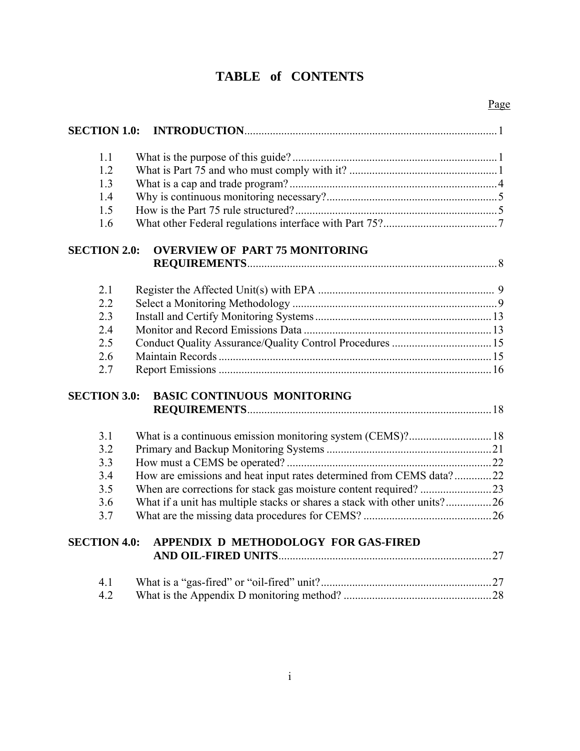# **TABLE of CONTENTS**

| <b>SECTION 1.0:</b> |                                                                          |  |
|---------------------|--------------------------------------------------------------------------|--|
| 1.1                 |                                                                          |  |
| 1.2                 |                                                                          |  |
| 1.3                 |                                                                          |  |
| 1.4                 |                                                                          |  |
| 1.5                 |                                                                          |  |
| 1.6                 |                                                                          |  |
| <b>SECTION 2.0:</b> | <b>OVERVIEW OF PART 75 MONITORING</b>                                    |  |
|                     |                                                                          |  |
| 2.1                 |                                                                          |  |
| 2.2                 |                                                                          |  |
| 2.3                 |                                                                          |  |
| 2.4                 |                                                                          |  |
| 2.5                 |                                                                          |  |
| 2.6                 |                                                                          |  |
| 2.7                 |                                                                          |  |
| <b>SECTION 3.0:</b> | <b>BASIC CONTINUOUS MONITORING</b>                                       |  |
|                     |                                                                          |  |
| 3.1                 |                                                                          |  |
| 3.2                 |                                                                          |  |
| 3.3                 |                                                                          |  |
| 3.4                 | How are emissions and heat input rates determined from CEMS data?22      |  |
| 3.5                 |                                                                          |  |
| 3.6                 | What if a unit has multiple stacks or shares a stack with other units?26 |  |
| 3.7                 |                                                                          |  |
| <b>SECTION 4.0:</b> | APPENDIX D METHODOLOGY FOR GAS-FIRED                                     |  |
|                     |                                                                          |  |
| 4.1                 |                                                                          |  |
| 4.2                 |                                                                          |  |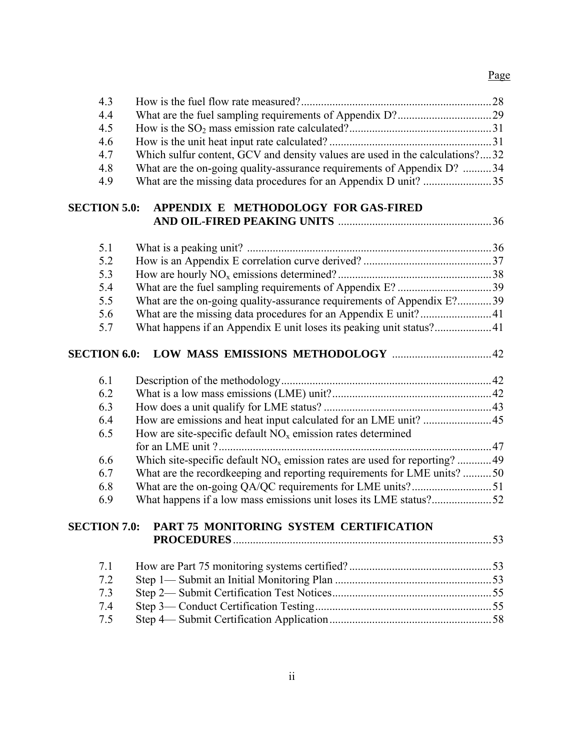#### <u>Page</u>

| 4.3                 |                                                                               |  |
|---------------------|-------------------------------------------------------------------------------|--|
| 4.4                 |                                                                               |  |
| 4.5                 |                                                                               |  |
| 4.6                 |                                                                               |  |
| 4.7                 | Which sulfur content, GCV and density values are used in the calculations?32  |  |
| 4.8                 | What are the on-going quality-assurance requirements of Appendix D? 34        |  |
| 4.9                 |                                                                               |  |
| <b>SECTION 5.0:</b> | APPENDIX E METHODOLOGY FOR GAS-FIRED                                          |  |
|                     |                                                                               |  |
| 5.1                 |                                                                               |  |
| 5.2                 |                                                                               |  |
| 5.3                 |                                                                               |  |
| 5.4                 |                                                                               |  |
| 5.5                 | What are the on-going quality-assurance requirements of Appendix E?39         |  |
| 5.6                 |                                                                               |  |
| 5.7                 |                                                                               |  |
| <b>SECTION 6.0:</b> |                                                                               |  |
| 6.1                 |                                                                               |  |
| 6.2                 |                                                                               |  |
| 6.3                 |                                                                               |  |
| 6.4                 |                                                                               |  |
| 6.5                 | How are site-specific default $NOx$ emission rates determined                 |  |
|                     |                                                                               |  |
| 6.6                 | Which site-specific default $NO_x$ emission rates are used for reporting?  49 |  |
| 6.7                 | What are the recordkeeping and reporting requirements for LME units? 50       |  |
| 6.8                 |                                                                               |  |
| 6.9                 | What happens if a low mass emissions unit loses its LME status?52             |  |
| <b>SECTION 7.0:</b> | PART 75 MONITORING SYSTEM CERTIFICATION                                       |  |
|                     |                                                                               |  |
| 7.1                 |                                                                               |  |
| 7.2                 |                                                                               |  |
| 7.3                 |                                                                               |  |
| 7.4                 |                                                                               |  |
| 7.5                 |                                                                               |  |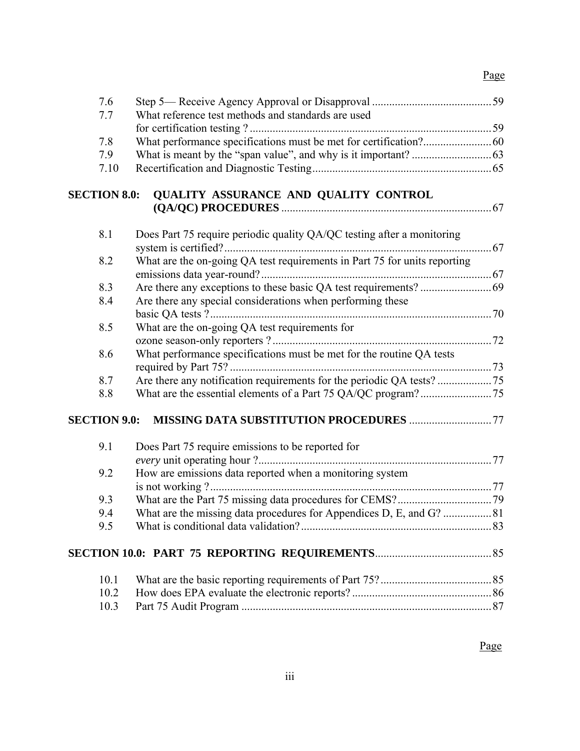#### Page **Page**

| 7.6<br>7.7          | What reference test methods and standards are used                        |  |
|---------------------|---------------------------------------------------------------------------|--|
|                     |                                                                           |  |
| 7.8                 |                                                                           |  |
| 7.9                 |                                                                           |  |
| 7.10                |                                                                           |  |
| <b>SECTION 8.0:</b> | QUALITY ASSURANCE AND QUALITY CONTROL                                     |  |
|                     |                                                                           |  |
| 8.1                 | Does Part 75 require periodic quality QA/QC testing after a monitoring    |  |
| 8.2                 | What are the on-going QA test requirements in Part 75 for units reporting |  |
| 8.3                 |                                                                           |  |
| 8.4                 | Are there any special considerations when performing these                |  |
|                     |                                                                           |  |
| 8.5                 | What are the on-going QA test requirements for                            |  |
|                     |                                                                           |  |
| 8.6                 | What performance specifications must be met for the routine QA tests      |  |
| 8.7                 |                                                                           |  |
| 8.8                 |                                                                           |  |
| <b>SECTION 9.0:</b> |                                                                           |  |
| 9.1                 | Does Part 75 require emissions to be reported for                         |  |
|                     |                                                                           |  |
| 9.2                 | How are emissions data reported when a monitoring system                  |  |
|                     |                                                                           |  |
| 9.3                 |                                                                           |  |
| 9.4                 |                                                                           |  |
| 9.5                 |                                                                           |  |
|                     |                                                                           |  |
| 10.1                |                                                                           |  |
| 10.2                |                                                                           |  |
| 10.3                |                                                                           |  |

*Page*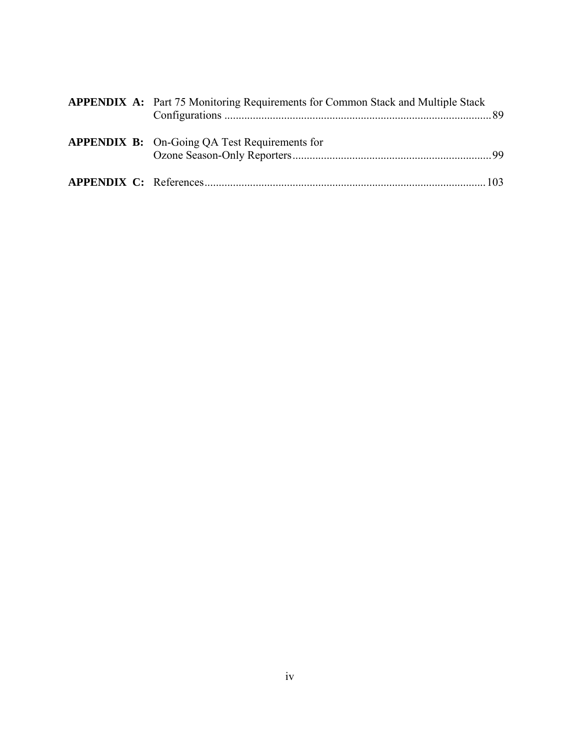|  | <b>APPENDIX A:</b> Part 75 Monitoring Requirements for Common Stack and Multiple Stack |  |
|--|----------------------------------------------------------------------------------------|--|
|  | <b>APPENDIX B:</b> On-Going QA Test Requirements for                                   |  |
|  |                                                                                        |  |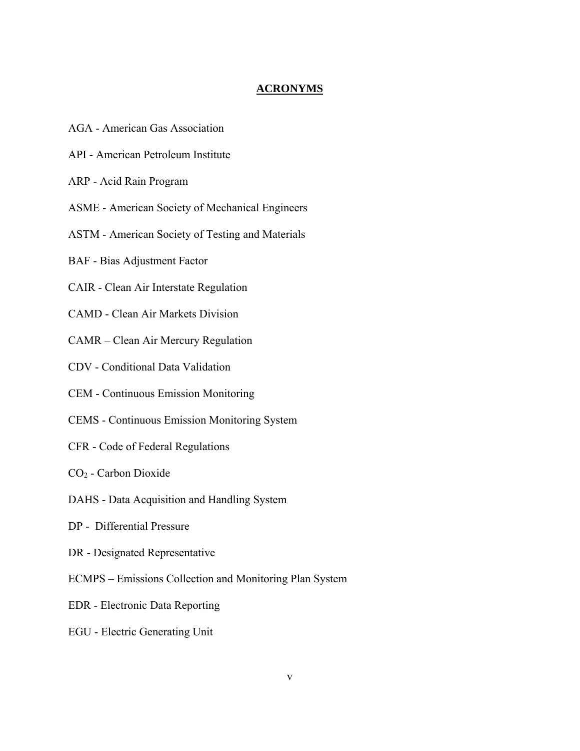## **ACRONYMS**

- AGA American Gas Association
- API American Petroleum Institute
- ARP Acid Rain Program
- ASME American Society of Mechanical Engineers
- ASTM American Society of Testing and Materials
- BAF Bias Adjustment Factor
- CAIR Clean Air Interstate Regulation
- CAMD Clean Air Markets Division
- CAMR Clean Air Mercury Regulation
- CDV Conditional Data Validation
- CEM Continuous Emission Monitoring
- CEMS Continuous Emission Monitoring System
- CFR Code of Federal Regulations
- CO2 Carbon Dioxide
- DAHS Data Acquisition and Handling System
- DP Differential Pressure
- DR Designated Representative
- ECMPS Emissions Collection and Monitoring Plan System
- EDR Electronic Data Reporting
- EGU Electric Generating Unit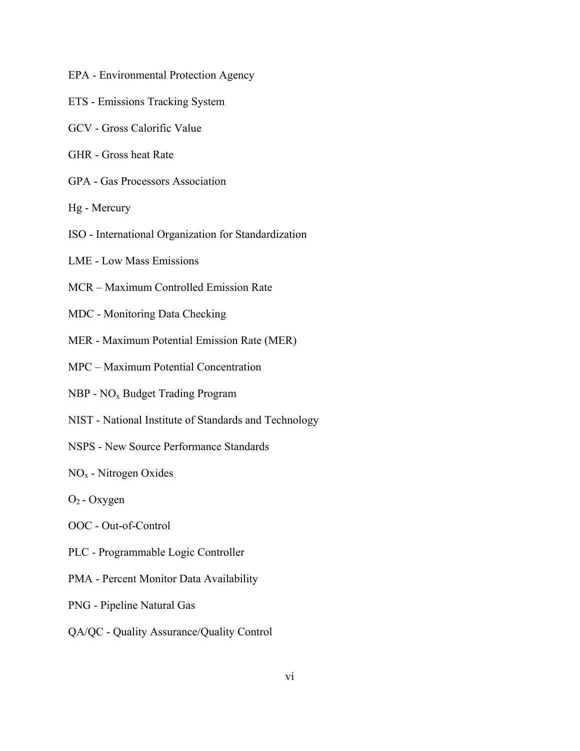- EPA Environmental Protection Agency
- ETS Emissions Tracking System
- GCV Gross Calorific Value
- GHR Gross heat Rate
- GPA Gas Processors Association
- Hg Mercury
- ISO International Organization for Standardization
- LME Low Mass Emissions
- MCR Maximum Controlled Emission Rate
- MDC Monitoring Data Checking
- MER Maximum Potential Emission Rate (MER)
- MPC Maximum Potential Concentration
- NBP NOx Budget Trading Program
- NIST National Institute of Standards and Technology
- NSPS New Source Performance Standards
- NOx Nitrogen Oxides
- $O_2$  Oxygen
- OOC Out-of-Control
- PLC Programmable Logic Controller
- PMA Percent Monitor Data Availability
- PNG Pipeline Natural Gas
- QA/QC Quality Assurance/Quality Control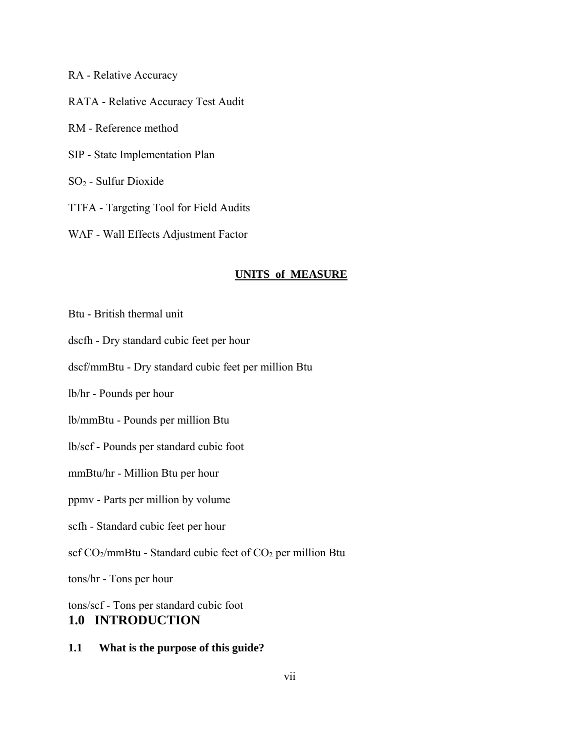- RA Relative Accuracy RATA - Relative Accuracy Test Audit RM - Reference method SIP - State Implementation Plan SO2 - Sulfur Dioxide TTFA - Targeting Tool for Field Audits
- WAF Wall Effects Adjustment Factor

#### **UNITS of MEASURE**

- Btu British thermal unit
- dscfh Dry standard cubic feet per hour
- dscf/mmBtu Dry standard cubic feet per million Btu
- lb/hr Pounds per hour
- lb/mmBtu Pounds per million Btu
- lb/scf Pounds per standard cubic foot
- mmBtu/hr Million Btu per hour
- ppmv Parts per million by volume
- scfh Standard cubic feet per hour
- scf  $CO_2$ /mmBtu Standard cubic feet of  $CO_2$  per million Btu

tons/hr - Tons per hour

tons/scf - Tons per standard cubic foot **1.0 INTRODUCTION**

**1.1 What is the purpose of this guide?**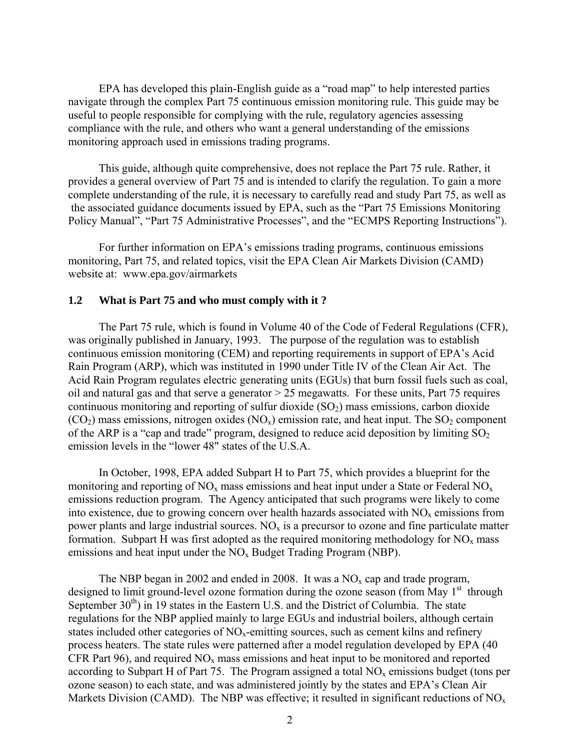EPA has developed this plain-English guide as a "road map" to help interested parties navigate through the complex Part 75 continuous emission monitoring rule. This guide may be useful to people responsible for complying with the rule, regulatory agencies assessing compliance with the rule, and others who want a general understanding of the emissions monitoring approach used in emissions trading programs.

This guide, although quite comprehensive, does not replace the Part 75 rule. Rather, it provides a general overview of Part 75 and is intended to clarify the regulation. To gain a more complete understanding of the rule, it is necessary to carefully read and study Part 75, as well as the associated guidance documents issued by EPA, such as the "Part 75 Emissions Monitoring Policy Manual", "Part 75 Administrative Processes", and the "ECMPS Reporting Instructions").

For further information on EPA's emissions trading programs, continuous emissions monitoring, Part 75, and related topics, visit the EPA Clean Air Markets Division (CAMD) website at: www.epa.gov/airmarkets

#### **1.2 What is Part 75 and who must comply with it ?**

The Part 75 rule, which is found in Volume 40 of the Code of Federal Regulations (CFR), was originally published in January, 1993. The purpose of the regulation was to establish continuous emission monitoring (CEM) and reporting requirements in support of EPA's Acid Rain Program (ARP), which was instituted in 1990 under Title IV of the Clean Air Act. The Acid Rain Program regulates electric generating units (EGUs) that burn fossil fuels such as coal, oil and natural gas and that serve a generator  $> 25$  megawatts. For these units, Part 75 requires continuous monitoring and reporting of sulfur dioxide  $(SO<sub>2</sub>)$  mass emissions, carbon dioxide  $(CO<sub>2</sub>)$  mass emissions, nitrogen oxides  $(NO<sub>x</sub>)$  emission rate, and heat input. The  $SO<sub>2</sub>$  component of the ARP is a "cap and trade" program, designed to reduce acid deposition by limiting  $SO_2$ emission levels in the "lower 48" states of the U.S.A.

In October, 1998, EPA added Subpart H to Part 75, which provides a blueprint for the monitoring and reporting of  $NO_x$  mass emissions and heat input under a State or Federal  $NO_x$ emissions reduction program. The Agency anticipated that such programs were likely to come into existence, due to growing concern over health hazards associated with  $NO<sub>x</sub>$  emissions from power plants and large industrial sources.  $NO<sub>x</sub>$  is a precursor to ozone and fine particulate matter formation. Subpart H was first adopted as the required monitoring methodology for  $NO<sub>x</sub>$  mass emissions and heat input under the  $NO<sub>x</sub>$  Budget Trading Program (NBP).

The NBP began in 2002 and ended in 2008. It was a  $NO<sub>x</sub>$  cap and trade program, designed to limit ground-level ozone formation during the ozone season (from May  $1<sup>st</sup>$  through September  $30<sup>th</sup>$ ) in 19 states in the Eastern U.S. and the District of Columbia. The state regulations for the NBP applied mainly to large EGUs and industrial boilers, although certain states included other categories of  $NO<sub>x</sub>$ -emitting sources, such as cement kilns and refinery process heaters. The state rules were patterned after a model regulation developed by EPA (40 CFR Part 96), and required  $NO<sub>x</sub>$  mass emissions and heat input to be monitored and reported according to Subpart H of Part 75. The Program assigned a total  $NO<sub>x</sub>$  emissions budget (tons per ozone season) to each state, and was administered jointly by the states and EPA's Clean Air Markets Division (CAMD). The NBP was effective; it resulted in significant reductions of  $NO<sub>x</sub>$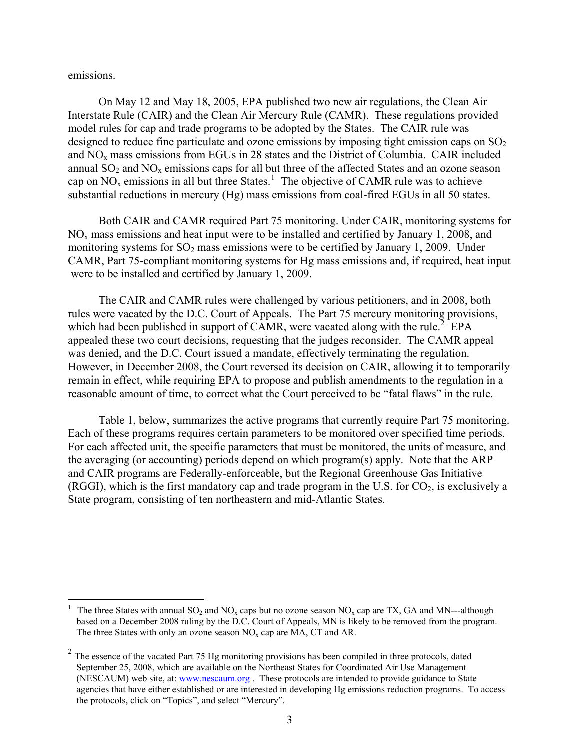emissions.

 $\overline{a}$ 

On May 12 and May 18, 2005, EPA published two new air regulations, the Clean Air Interstate Rule (CAIR) and the Clean Air Mercury Rule (CAMR). These regulations provided model rules for cap and trade programs to be adopted by the States. The CAIR rule was designed to reduce fine particulate and ozone emissions by imposing tight emission caps on  $SO<sub>2</sub>$ and NOx mass emissions from EGUs in 28 states and the District of Columbia. CAIR included annual  $SO_2$  and  $NO_x$  emissions caps for all but three of the affected States and an ozone season cap on  $NO_x$  emissions in all but three States.<sup>[1](#page-9-0)</sup> The objective of CAMR rule was to achieve substantial reductions in mercury (Hg) mass emissions from coal-fired EGUs in all 50 states.

Both CAIR and CAMR required Part 75 monitoring. Under CAIR, monitoring systems for  $NO<sub>x</sub>$  mass emissions and heat input were to be installed and certified by January 1, 2008, and monitoring systems for  $SO_2$  mass emissions were to be certified by January 1, 2009. Under CAMR, Part 75-compliant monitoring systems for Hg mass emissions and, if required, heat input were to be installed and certified by January 1, 2009.

The CAIR and CAMR rules were challenged by various petitioners, and in 2008, both rules were vacated by the D.C. Court of Appeals. The Part 75 mercury monitoring provisions, which had been published in support of CAMR, were vacated along with the rule.<sup>[2](#page-9-1)</sup> EPA appealed these two court decisions, requesting that the judges reconsider. The CAMR appeal was denied, and the D.C. Court issued a mandate, effectively terminating the regulation. However, in December 2008, the Court reversed its decision on CAIR, allowing it to temporarily remain in effect, while requiring EPA to propose and publish amendments to the regulation in a reasonable amount of time, to correct what the Court perceived to be "fatal flaws" in the rule.

Table 1, below, summarizes the active programs that currently require Part 75 monitoring. Each of these programs requires certain parameters to be monitored over specified time periods. For each affected unit, the specific parameters that must be monitored, the units of measure, and the averaging (or accounting) periods depend on which program(s) apply. Note that the ARP and CAIR programs are Federally-enforceable, but the Regional Greenhouse Gas Initiative (RGGI), which is the first mandatory cap and trade program in the U.S. for  $CO<sub>2</sub>$ , is exclusively a State program, consisting of ten northeastern and mid-Atlantic States.

<span id="page-9-0"></span>The three States with annual  $SO_2$  and  $NO_x$  caps but no ozone season  $NO_x$  cap are TX, GA and MN---although based on a December 2008 ruling by the D.C. Court of Appeals, MN is likely to be removed from the program. The three States with only an ozone season  $NO<sub>x</sub>$  cap are MA, CT and AR.

<span id="page-9-1"></span><sup>&</sup>lt;sup>2</sup> The essence of the vacated Part 75 Hg monitoring provisions has been compiled in three protocols, dated September 25, 2008, which are available on the Northeast States for Coordinated Air Use Management (NESCAUM) web site, at: [www.nescaum.org](http://www.nescaum.org/) . These protocols are intended to provide guidance to State agencies that have either established or are interested in developing Hg emissions reduction programs. To access the protocols, click on "Topics", and select "Mercury".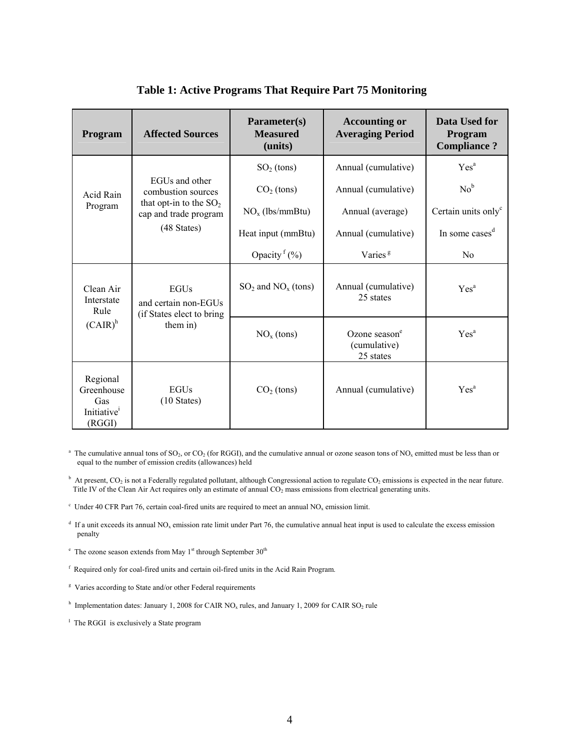| Program                                                            | <b>Affected Sources</b>                                                      | Parameter(s)<br><b>Measured</b><br>(units) | <b>Accounting or</b><br><b>Averaging Period</b>        | Data Used for<br>Program<br><b>Compliance?</b> |
|--------------------------------------------------------------------|------------------------------------------------------------------------------|--------------------------------------------|--------------------------------------------------------|------------------------------------------------|
|                                                                    |                                                                              | $SO2$ (tons)                               | Annual (cumulative)                                    | Yes <sup>a</sup>                               |
| Acid Rain                                                          | EGUs and other<br>combustion sources                                         | $CO2$ (tons)                               | Annual (cumulative)                                    | No <sup>b</sup>                                |
| Program                                                            | that opt-in to the $SO_2$<br>cap and trade program                           | $NOx$ (lbs/mmBtu)                          | Annual (average)                                       | Certain units only <sup>c</sup>                |
|                                                                    | (48 States)                                                                  | Heat input (mmBtu)                         | Annual (cumulative)                                    | In some cases <sup>d</sup>                     |
|                                                                    |                                                                              | Opacity <sup>f</sup> $(\%)$                | Varies <sup>g</sup>                                    | No                                             |
| Clean Air<br>Interstate<br>Rule                                    | <b>EGUs</b><br>and certain non-EGUs<br>(if States elect to bring<br>them in) | $SO_2$ and $NO_x$ (tons)                   | Annual (cumulative)<br>25 states                       | Yes <sup>a</sup>                               |
| $(CAIR)^h$                                                         |                                                                              | $NOx$ (tons)                               | Ozone season <sup>e</sup><br>(cumulative)<br>25 states | Yes <sup>a</sup>                               |
| Regional<br>Greenhouse<br>Gas<br>Initiative <sup>1</sup><br>(RGGI) | <b>EGUs</b><br>$(10 \text{ States})$                                         | $CO2$ (tons)                               | Annual (cumulative)                                    | Yes <sup>a</sup>                               |

## **Table 1: Active Programs That Require Part 75 Monitoring**

<sup>a</sup> The cumulative annual tons of SO<sub>2</sub>, or CO<sub>2</sub> (for RGGI), and the cumulative annual or ozone season tons of NO<sub>x</sub> emitted must be less than or equal to the number of emission credits (allowances) held

 $\beta$  At present, CO<sub>2</sub> is not a Federally regulated pollutant, although Congressional action to regulate CO<sub>2</sub> emissions is expected in the near future. Title IV of the Clean Air Act requires only an estimate of annual CO<sub>2</sub> mass emissions from electrical generating units.

- $d$  If a unit exceeds its annual NO<sub>x</sub> emission rate limit under Part 76, the cumulative annual heat input is used to calculate the excess emission penalty
- $e^{\text{e}}$  The ozone season extends from May 1<sup>st</sup> through September 30<sup>th</sup>
- f Required only for coal-fired units and certain oil-fired units in the Acid Rain Program.
- <sup>g</sup> Varies according to State and/or other Federal requirements
- <sup>h</sup> Implementation dates: January 1, 2008 for CAIR NO<sub>x</sub> rules, and January 1, 2009 for CAIR SO<sub>2</sub> rule
- <sup>I</sup> The RGGI is exclusively a State program

 $\rm c$  Under 40 CFR Part 76, certain coal-fired units are required to meet an annual NO<sub>x</sub> emission limit.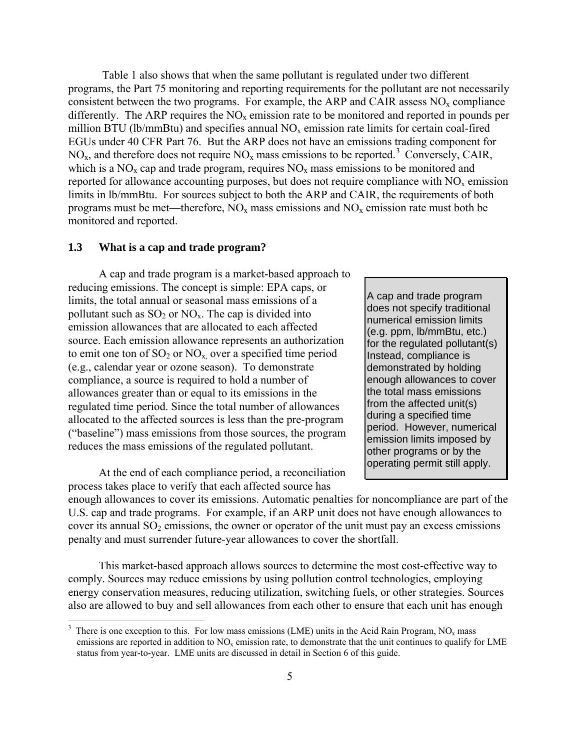Table 1 also shows that when the same pollutant is regulated under two different programs, the Part 75 monitoring and reporting requirements for the pollutant are not necessarily consistent between the two programs. For example, the ARP and CAIR assess  $NO<sub>x</sub>$  compliance differently. The ARP requires the  $NO<sub>x</sub>$  emission rate to be monitored and reported in pounds per million BTU (lb/mmBtu) and specifies annual  $NO<sub>x</sub>$  emission rate limits for certain coal-fired EGUs under 40 CFR Part 76. But the ARP does not have an emissions trading component for  $NO<sub>x</sub>$ , and therefore does not require  $NO<sub>x</sub>$  mass emissions to be reported.<sup>[3](#page-11-0)</sup> Conversely, CAIR, which is a  $NO<sub>x</sub>$  cap and trade program, requires  $NO<sub>x</sub>$  mass emissions to be monitored and reported for allowance accounting purposes, but does not require compliance with  $NO<sub>x</sub>$  emission limits in lb/mmBtu. For sources subject to both the ARP and CAIR, the requirements of both programs must be met—therefore,  $NO<sub>x</sub>$  mass emissions and  $NO<sub>x</sub>$  emission rate must both be monitored and reported.

#### **1.3 What is a cap and trade program?**

A cap and trade program is a market-based approach to reducing emissions. The concept is simple: EPA caps, or limits, the total annual or seasonal mass emissions of a pollutant such as  $SO_2$  or  $NO_x$ . The cap is divided into emission allowances that are allocated to each affected source. Each emission allowance represents an authorization to emit one ton of  $SO_2$  or  $NO_x$  over a specified time period (e.g., calendar year or ozone season). To demonstrate compliance, a source is required to hold a number of allowances greater than or equal to its emissions in the regulated time period. Since the total number of allowances allocated to the affected sources is less than the pre-program ("baseline") mass emissions from those sources, the program reduces the mass emissions of the regulated pollutant.

At the end of each compliance period, a reconciliation process takes place to verify that each affected source has

 $\overline{a}$ 

A cap and trade program does not specify traditional numerical emission limits (e.g. ppm, lb/mmBtu, etc.) for the regulated pollutant(s) Instead, compliance is demonstrated by holding enough allowances to cover the total mass emissions from the affected unit(s) during a specified time period. However, numerical emission limits imposed by other programs or by the operating permit still apply.

enough allowances to cover its emissions. Automatic penalties for noncompliance are part of the U.S. cap and trade programs. For example, if an ARP unit does not have enough allowances to cover its annual  $SO_2$  emissions, the owner or operator of the unit must pay an excess emissions penalty and must surrender future-year allowances to cover the shortfall.

This market-based approach allows sources to determine the most cost-effective way to comply. Sources may reduce emissions by using pollution control technologies, employing energy conservation measures, reducing utilization, switching fuels, or other strategies. Sources also are allowed to buy and sell allowances from each other to ensure that each unit has enough

<span id="page-11-0"></span> $3$  There is one exception to this. For low mass emissions (LME) units in the Acid Rain Program, NO<sub>y</sub> mass emissions are reported in addition to  $NO<sub>x</sub>$  emission rate, to demonstrate that the unit continues to qualify for LME status from year-to-year. LME units are discussed in detail in Section 6 of this guide.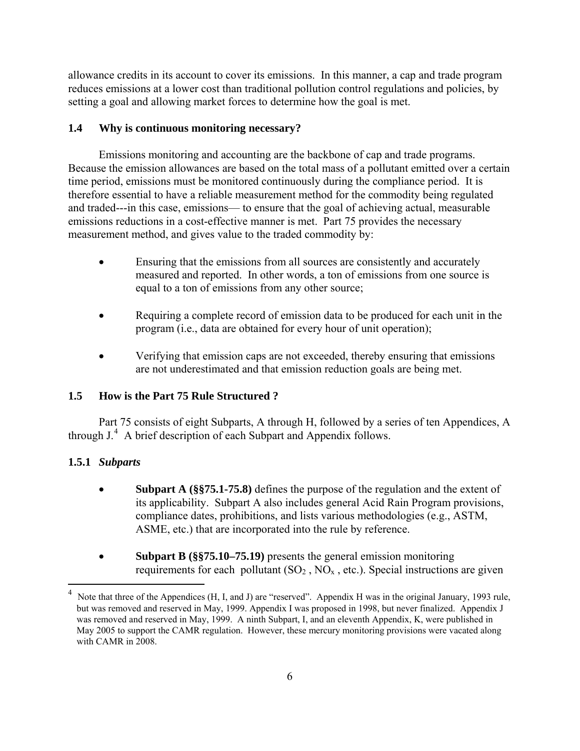allowance credits in its account to cover its emissions. In this manner, a cap and trade program reduces emissions at a lower cost than traditional pollution control regulations and policies, by setting a goal and allowing market forces to determine how the goal is met.

## **1.4 Why is continuous monitoring necessary?**

Emissions monitoring and accounting are the backbone of cap and trade programs. Because the emission allowances are based on the total mass of a pollutant emitted over a certain time period, emissions must be monitored continuously during the compliance period. It is therefore essential to have a reliable measurement method for the commodity being regulated and traded---in this case, emissions— to ensure that the goal of achieving actual, measurable emissions reductions in a cost-effective manner is met. Part 75 provides the necessary measurement method, and gives value to the traded commodity by:

- Ensuring that the emissions from all sources are consistently and accurately measured and reported. In other words, a ton of emissions from one source is equal to a ton of emissions from any other source;
- Requiring a complete record of emission data to be produced for each unit in the program (i.e., data are obtained for every hour of unit operation);
- Verifying that emission caps are not exceeded, thereby ensuring that emissions are not underestimated and that emission reduction goals are being met.

## **1.5 How is the Part 75 Rule Structured ?**

Part 75 consists of eight Subparts, A through H, followed by a series of ten Appendices, A through J.<sup>[4](#page-12-0)</sup> A brief description of each Subpart and Appendix follows.

## **1.5.1** *Subparts*

 $\overline{a}$ 

- **Subpart A (§§75.1-75.8)** defines the purpose of the regulation and the extent of its applicability. Subpart A also includes general Acid Rain Program provisions, compliance dates, prohibitions, and lists various methodologies (e.g., ASTM, ASME, etc.) that are incorporated into the rule by reference.
- **Subpart B (§§75.10–75.19)** presents the general emission monitoring requirements for each pollutant  $(SO_2, NO_x, etc.)$ . Special instructions are given

<span id="page-12-0"></span><sup>4</sup> Note that three of the Appendices (H, I, and J) are "reserved". Appendix H was in the original January, 1993 rule, but was removed and reserved in May, 1999. Appendix I was proposed in 1998, but never finalized. Appendix J was removed and reserved in May, 1999. A ninth Subpart, I, and an eleventh Appendix, K, were published in May 2005 to support the CAMR regulation. However, these mercury monitoring provisions were vacated along with CAMR in 2008.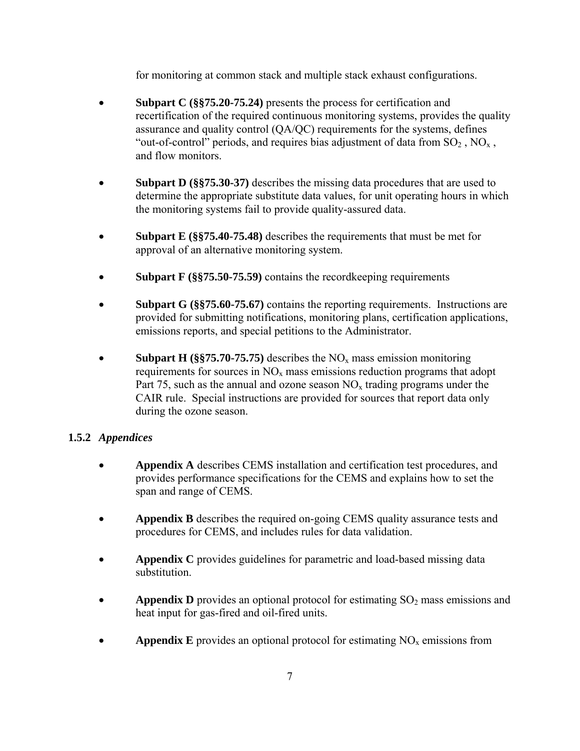for monitoring at common stack and multiple stack exhaust configurations.

- **Subpart C** (§§75.20-75.24) presents the process for certification and recertification of the required continuous monitoring systems, provides the quality assurance and quality control (QA/QC) requirements for the systems, defines "out-of-control" periods, and requires bias adjustment of data from  $SO_2$ ,  $NO_x$ , and flow monitors.
- **Subpart D** (§§75.30-37) describes the missing data procedures that are used to determine the appropriate substitute data values, for unit operating hours in which the monitoring systems fail to provide quality-assured data.
- **Subpart E** (§§75.40-75.48) describes the requirements that must be met for approval of an alternative monitoring system.
- **Subpart F** (§§75.50-75.59) contains the record keeping requirements
- **Subpart G (§§75.60-75.67)** contains the reporting requirements. Instructions are provided for submitting notifications, monitoring plans, certification applications, emissions reports, and special petitions to the Administrator.
- **Subpart H** (§§75.70-75.75) describes the  $NO<sub>x</sub>$  mass emission monitoring requirements for sources in  $NO<sub>x</sub>$  mass emissions reduction programs that adopt Part 75, such as the annual and ozone season  $NO<sub>x</sub>$  trading programs under the CAIR rule. Special instructions are provided for sources that report data only during the ozone season.

## **1.5.2** *Appendices*

- **Appendix A** describes CEMS installation and certification test procedures, and provides performance specifications for the CEMS and explains how to set the span and range of CEMS.
- **Appendix B** describes the required on-going CEMS quality assurance tests and procedures for CEMS, and includes rules for data validation.
- **Appendix C** provides guidelines for parametric and load-based missing data substitution.
- **Appendix D** provides an optional protocol for estimating SO<sub>2</sub> mass emissions and heat input for gas-fired and oil-fired units.
- **Appendix E** provides an optional protocol for estimating  $NO<sub>x</sub>$  emissions from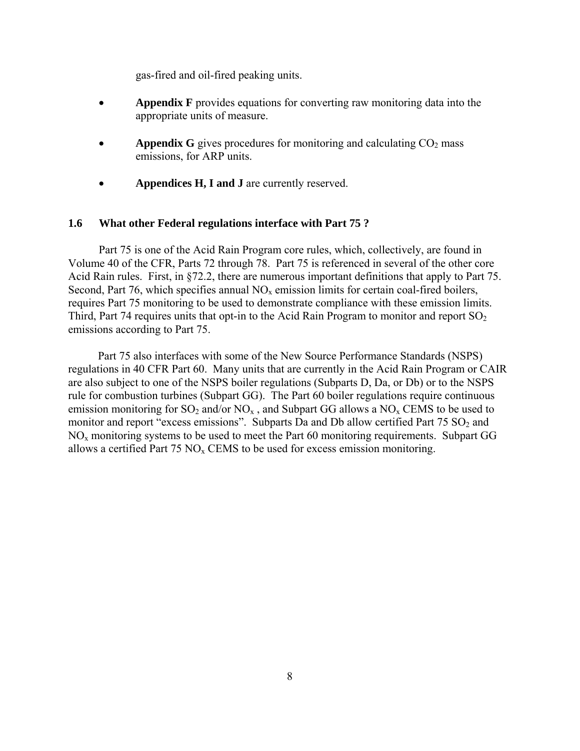gas-fired and oil-fired peaking units.

- **Appendix F** provides equations for converting raw monitoring data into the appropriate units of measure.
- **Appendix G** gives procedures for monitoring and calculating  $CO<sub>2</sub>$  mass emissions, for ARP units.
- **Appendices H, I and J** are currently reserved.

#### **1.6 What other Federal regulations interface with Part 75 ?**

Part 75 is one of the Acid Rain Program core rules, which, collectively, are found in Volume 40 of the CFR, Parts 72 through 78. Part 75 is referenced in several of the other core Acid Rain rules. First, in §72.2, there are numerous important definitions that apply to Part 75. Second, Part 76, which specifies annual  $NO<sub>x</sub>$  emission limits for certain coal-fired boilers, requires Part 75 monitoring to be used to demonstrate compliance with these emission limits. Third, Part 74 requires units that opt-in to the Acid Rain Program to monitor and report  $SO<sub>2</sub>$ emissions according to Part 75.

Part 75 also interfaces with some of the New Source Performance Standards (NSPS) regulations in 40 CFR Part 60. Many units that are currently in the Acid Rain Program or CAIR are also subject to one of the NSPS boiler regulations (Subparts D, Da, or Db) or to the NSPS rule for combustion turbines (Subpart GG). The Part 60 boiler regulations require continuous emission monitoring for  $SO_2$  and/or  $NO_x$ , and Subpart GG allows a  $NO_x$  CEMS to be used to monitor and report "excess emissions". Subparts Da and Db allow certified Part  $75 \text{ SO}_2$  and  $NO<sub>x</sub>$  monitoring systems to be used to meet the Part 60 monitoring requirements. Subpart GG allows a certified Part 75  $NO<sub>x</sub>$  CEMS to be used for excess emission monitoring.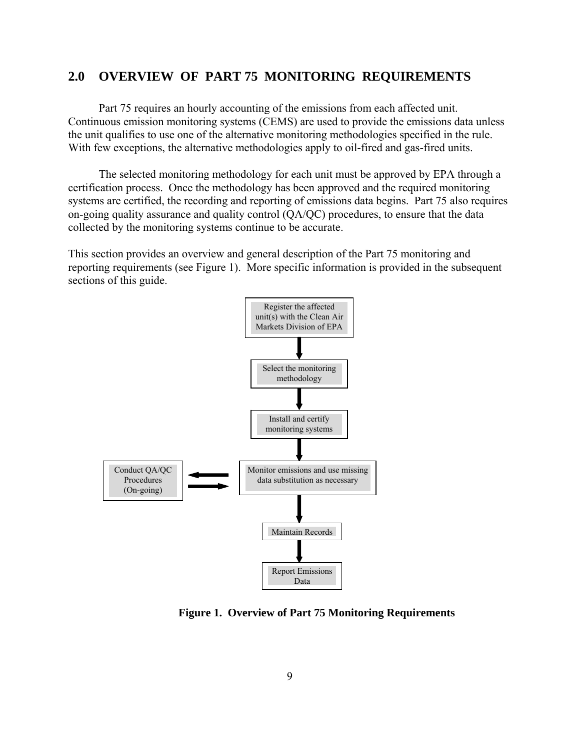## **2.0 OVERVIEW OF PART 75 MONITORING REQUIREMENTS**

Part 75 requires an hourly accounting of the emissions from each affected unit. Continuous emission monitoring systems (CEMS) are used to provide the emissions data unless the unit qualifies to use one of the alternative monitoring methodologies specified in the rule. With few exceptions, the alternative methodologies apply to oil-fired and gas-fired units.

The selected monitoring methodology for each unit must be approved by EPA through a certification process. Once the methodology has been approved and the required monitoring systems are certified, the recording and reporting of emissions data begins. Part 75 also requires on-going quality assurance and quality control (QA/QC) procedures, to ensure that the data collected by the monitoring systems continue to be accurate.

This section provides an overview and general description of the Part 75 monitoring and reporting requirements (see Figure 1). More specific information is provided in the subsequent sections of this guide.



 **Figure 1. Overview of Part 75 Monitoring Requirements**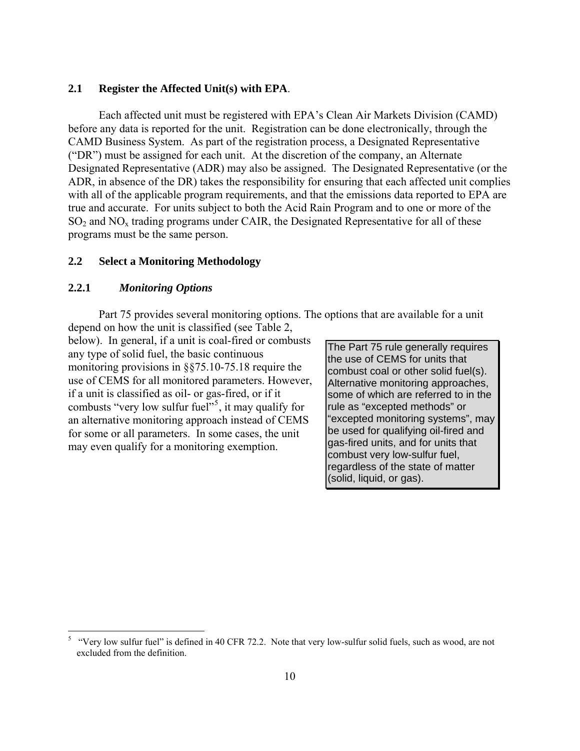## **2.1 Register the Affected Unit(s) with EPA**.

Each affected unit must be registered with EPA's Clean Air Markets Division (CAMD) before any data is reported for the unit. Registration can be done electronically, through the CAMD Business System. As part of the registration process, a Designated Representative ("DR") must be assigned for each unit. At the discretion of the company, an Alternate Designated Representative (ADR) may also be assigned. The Designated Representative (or the ADR, in absence of the DR) takes the responsibility for ensuring that each affected unit complies with all of the applicable program requirements, and that the emissions data reported to EPA are true and accurate. For units subject to both the Acid Rain Program and to one or more of the  $SO<sub>2</sub>$  and  $NO<sub>x</sub>$  trading programs under CAIR, the Designated Representative for all of these programs must be the same person.

## **2.2 Select a Monitoring Methodology**

## **2.2.1** *Monitoring Options*

 $\overline{a}$ 

Part 75 provides several monitoring options. The options that are available for a unit

depend on how the unit is classified (see Table 2, below). In general, if a unit is coal-fired or combusts any type of solid fuel, the basic continuous monitoring provisions in §§75.10-75.18 require the use of CEMS for all monitored parameters. However, if a unit is classified as oil- or gas-fired, or if it combusts "very low sulfur fuel"<sup>[5](#page-16-0)</sup>, it may qualify for an alternative monitoring approach instead of CEMS for some or all parameters. In some cases, the unit may even qualify for a monitoring exemption.

The Part 75 rule generally requires the use of CEMS for units that combust coal or other solid fuel(s). Alternative monitoring approaches, some of which are referred to in the rule as "excepted methods" or "excepted monitoring systems", may be used for qualifying oil-fired and gas-fired units, and for units that combust very low-sulfur fuel, regardless of the state of matter (solid, liquid, or gas).

<span id="page-16-0"></span><sup>5</sup> "Very low sulfur fuel" is defined in 40 CFR 72.2. Note that very low-sulfur solid fuels, such as wood, are not excluded from the definition.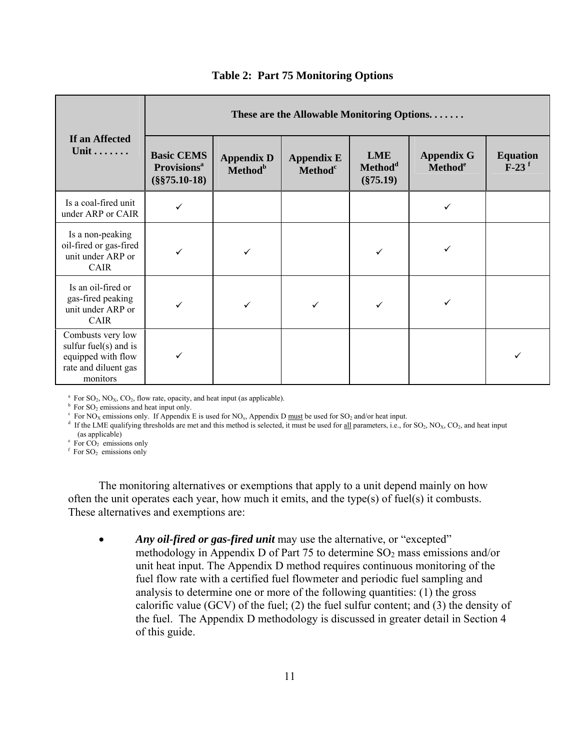|                                                                                                      | These are the Allowable Monitoring Options                             |                                          |                                                 |                                                  |                                                 |                                        |  |
|------------------------------------------------------------------------------------------------------|------------------------------------------------------------------------|------------------------------------------|-------------------------------------------------|--------------------------------------------------|-------------------------------------------------|----------------------------------------|--|
| If an Affected<br>Unit                                                                               | <b>Basic CEMS</b><br><b>Provisions</b> <sup>a</sup><br>$(\$§75.10-18)$ | <b>Appendix D</b><br>Method <sup>b</sup> | <b>Appendix E</b><br><b>Method</b> <sup>c</sup> | <b>LME</b><br>Method <sup>d</sup><br>$(\$75.19)$ | <b>Appendix G</b><br><b>Method</b> <sup>e</sup> | <b>Equation</b><br>$F-23$ <sup>f</sup> |  |
| Is a coal-fired unit<br>under ARP or CAIR                                                            | ✓                                                                      |                                          |                                                 |                                                  | ✓                                               |                                        |  |
| Is a non-peaking<br>oil-fired or gas-fired<br>unit under ARP or<br><b>CAIR</b>                       |                                                                        |                                          |                                                 |                                                  |                                                 |                                        |  |
| Is an oil-fired or<br>gas-fired peaking<br>unit under ARP or<br><b>CAIR</b>                          |                                                                        | ✓                                        |                                                 |                                                  |                                                 |                                        |  |
| Combusts very low<br>sulfur fuel(s) and is<br>equipped with flow<br>rate and diluent gas<br>monitors |                                                                        |                                          |                                                 |                                                  |                                                 |                                        |  |

#### **Table 2: Part 75 Monitoring Options**

<sup>a</sup> For SO<sub>2</sub>, NO<sub>X</sub>, CO<sub>2</sub>, flow rate, opacity, and heat input (as applicable). b For SO<sub>2</sub> emissions and heat input only.

 $\text{F}$  For NO<sub>x</sub> emissions only. If Appendix E is used for NO<sub>x</sub>, Appendix D must be used for SO<sub>2</sub> and/or heat input.

<sup>d</sup> If the LME qualifying thresholds are met and this method is selected, it must be used for <u>all</u> parameters, i.e., for SO<sub>2</sub>, NO<sub>X</sub>, CO<sub>2</sub>, and heat input (as applicable)

 $\text{e}$  For  $\overrightarrow{CO_2}$  emissions only

 $f$  For SO<sub>2</sub> emissions only

The monitoring alternatives or exemptions that apply to a unit depend mainly on how often the unit operates each year, how much it emits, and the type(s) of fuel(s) it combusts. These alternatives and exemptions are:

• *Any oil-fired or gas-fired unit* may use the alternative, or "excepted" methodology in Appendix D of Part 75 to determine  $SO_2$  mass emissions and/or unit heat input. The Appendix D method requires continuous monitoring of the fuel flow rate with a certified fuel flowmeter and periodic fuel sampling and analysis to determine one or more of the following quantities: (1) the gross calorific value (GCV) of the fuel; (2) the fuel sulfur content; and (3) the density of the fuel. The Appendix D methodology is discussed in greater detail in Section 4 of this guide.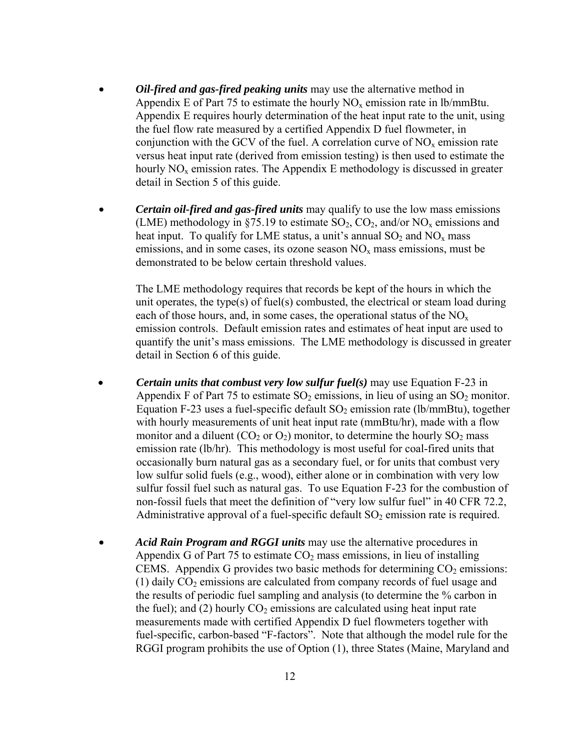- *Oil-fired and gas-fired peaking units* may use the alternative method in Appendix E of Part 75 to estimate the hourly  $NO<sub>x</sub>$  emission rate in lb/mmBtu. Appendix E requires hourly determination of the heat input rate to the unit, using the fuel flow rate measured by a certified Appendix D fuel flowmeter, in conjunction with the GCV of the fuel. A correlation curve of  $NO<sub>x</sub>$  emission rate versus heat input rate (derived from emission testing) is then used to estimate the hourly  $NO<sub>x</sub>$  emission rates. The Appendix E methodology is discussed in greater detail in Section 5 of this guide.
- *Certain oil-fired and gas-fired units* may qualify to use the low mass emissions (LME) methodology in §75.19 to estimate  $SO_2$ ,  $CO_2$ , and/or  $NO_x$  emissions and heat input. To qualify for LME status, a unit's annual  $SO_2$  and  $NO_x$  mass emissions, and in some cases, its ozone season  $NO<sub>x</sub>$  mass emissions, must be demonstrated to be below certain threshold values.

The LME methodology requires that records be kept of the hours in which the unit operates, the type(s) of fuel(s) combusted, the electrical or steam load during each of those hours, and, in some cases, the operational status of the  $NO<sub>x</sub>$ emission controls. Default emission rates and estimates of heat input are used to quantify the unit's mass emissions. The LME methodology is discussed in greater detail in Section 6 of this guide.

- *Certain units that combust very low sulfur fuel(s)* may use Equation F-23 in Appendix F of Part 75 to estimate  $SO_2$  emissions, in lieu of using an  $SO_2$  monitor. Equation F-23 uses a fuel-specific default  $SO_2$  emission rate (lb/mmBtu), together with hourly measurements of unit heat input rate (mmBtu/hr), made with a flow monitor and a diluent  $(CO_2$  or  $O_2)$  monitor, to determine the hourly  $SO_2$  mass emission rate (lb/hr). This methodology is most useful for coal-fired units that occasionally burn natural gas as a secondary fuel, or for units that combust very low sulfur solid fuels (e.g., wood), either alone or in combination with very low sulfur fossil fuel such as natural gas. To use Equation F-23 for the combustion of non-fossil fuels that meet the definition of "very low sulfur fuel" in 40 CFR 72.2, Administrative approval of a fuel-specific default  $SO_2$  emission rate is required.
- *Acid Rain Program and RGGI units* may use the alternative procedures in Appendix G of Part 75 to estimate  $CO<sub>2</sub>$  mass emissions, in lieu of installing CEMS. Appendix G provides two basic methods for determining  $CO<sub>2</sub>$  emissions: (1) daily  $CO<sub>2</sub>$  emissions are calculated from company records of fuel usage and the results of periodic fuel sampling and analysis (to determine the % carbon in the fuel); and (2) hourly  $CO<sub>2</sub>$  emissions are calculated using heat input rate measurements made with certified Appendix D fuel flowmeters together with fuel-specific, carbon-based "F-factors". Note that although the model rule for the RGGI program prohibits the use of Option (1), three States (Maine, Maryland and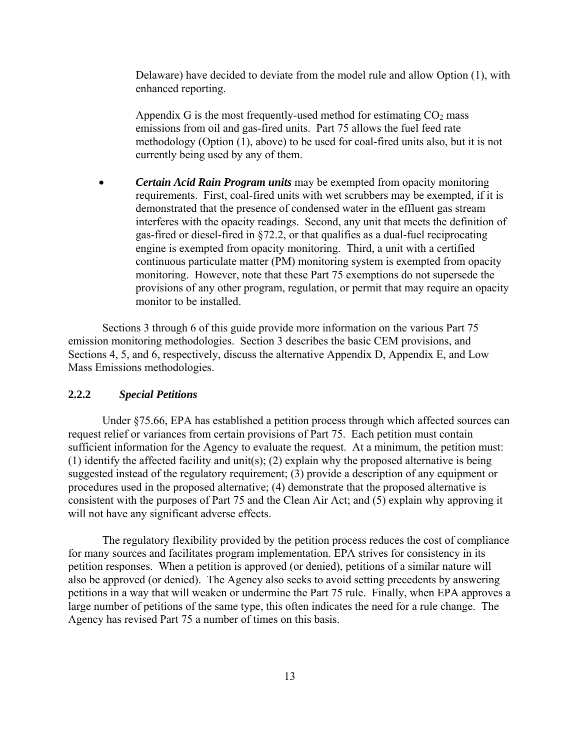Delaware) have decided to deviate from the model rule and allow Option (1), with enhanced reporting.

Appendix G is the most frequently-used method for estimating  $CO<sub>2</sub>$  mass emissions from oil and gas-fired units. Part 75 allows the fuel feed rate methodology (Option (1), above) to be used for coal-fired units also, but it is not currently being used by any of them.

• *Certain Acid Rain Program units* may be exempted from opacity monitoring requirements. First, coal-fired units with wet scrubbers may be exempted, if it is demonstrated that the presence of condensed water in the effluent gas stream interferes with the opacity readings. Second, any unit that meets the definition of gas-fired or diesel-fired in §72.2, or that qualifies as a dual-fuel reciprocating engine is exempted from opacity monitoring. Third, a unit with a certified continuous particulate matter (PM) monitoring system is exempted from opacity monitoring. However, note that these Part 75 exemptions do not supersede the provisions of any other program, regulation, or permit that may require an opacity monitor to be installed.

Sections 3 through 6 of this guide provide more information on the various Part 75 emission monitoring methodologies. Section 3 describes the basic CEM provisions, and Sections 4, 5, and 6, respectively, discuss the alternative Appendix D, Appendix E, and Low Mass Emissions methodologies.

#### **2.2.2** *Special Petitions*

Under §75.66, EPA has established a petition process through which affected sources can request relief or variances from certain provisions of Part 75. Each petition must contain sufficient information for the Agency to evaluate the request. At a minimum, the petition must: (1) identify the affected facility and unit(s); (2) explain why the proposed alternative is being suggested instead of the regulatory requirement; (3) provide a description of any equipment or procedures used in the proposed alternative; (4) demonstrate that the proposed alternative is consistent with the purposes of Part 75 and the Clean Air Act; and (5) explain why approving it will not have any significant adverse effects.

The regulatory flexibility provided by the petition process reduces the cost of compliance for many sources and facilitates program implementation. EPA strives for consistency in its petition responses. When a petition is approved (or denied), petitions of a similar nature will also be approved (or denied). The Agency also seeks to avoid setting precedents by answering petitions in a way that will weaken or undermine the Part 75 rule. Finally, when EPA approves a large number of petitions of the same type, this often indicates the need for a rule change. The Agency has revised Part 75 a number of times on this basis.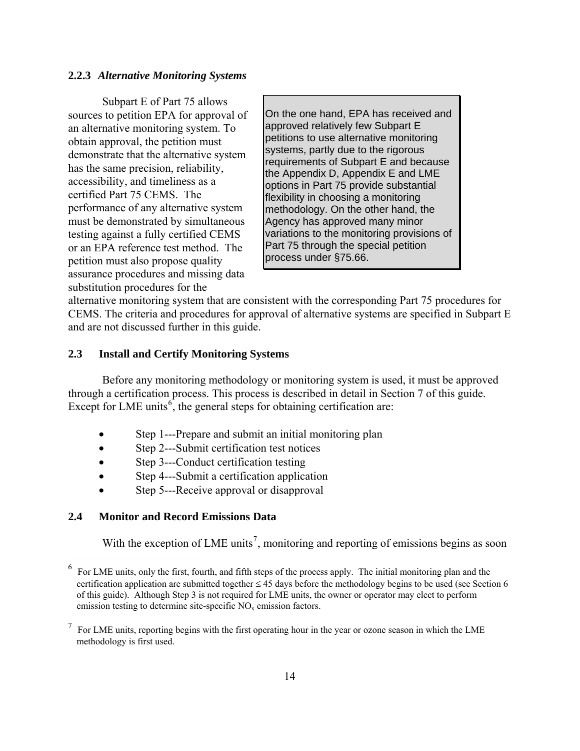#### **2.2.3** *Alternative Monitoring Systems*

Subpart E of Part 75 allows sources to petition EPA for approval of an alternative monitoring system. To obtain approval, the petition must demonstrate that the alternative system has the same precision, reliability, accessibility, and timeliness as a certified Part 75 CEMS. The performance of any alternative system must be demonstrated by simultaneous testing against a fully certified CEMS or an EPA reference test method. The petition must also propose quality assurance procedures and missing data substitution procedures for the

On the one hand, EPA has received and approved relatively few Subpart E petitions to use alternative monitoring systems, partly due to the rigorous requirements of Subpart E and because the Appendix D, Appendix E and LME options in Part 75 provide substantial flexibility in choosing a monitoring methodology. On the other hand, the Agency has approved many minor variations to the monitoring provisions of Part 75 through the special petition process under §75.66.

alternative monitoring system that are consistent with the corresponding Part 75 procedures for CEMS. The criteria and procedures for approval of alternative systems are specified in Subpart E and are not discussed further in this guide.

#### **2.3 Install and Certify Monitoring Systems**

Before any monitoring methodology or monitoring system is used, it must be approved through a certification process. This process is described in detail in Section 7 of this guide. Except for LME units<sup>[6](#page-20-0)</sup>, the general steps for obtaining certification are:

- Step 1---Prepare and submit an initial monitoring plan
- Step 2---Submit certification test notices
- Step 3---Conduct certification testing
- Step 4—Submit a certification application
- Step 5---Receive approval or disapproval

#### **2.4 Monitor and Record Emissions Data**

 $\overline{a}$ 

With the exception of LME units<sup>[7](#page-20-1)</sup>, monitoring and reporting of emissions begins as soon

<span id="page-20-0"></span><sup>6</sup> For LME units, only the first, fourth, and fifth steps of the process apply. The initial monitoring plan and the certification application are submitted together ≤ 45 days before the methodology begins to be used (see Section 6 of this guide). Although Step 3 is not required for LME units, the owner or operator may elect to perform emission testing to determine site-specific  $NO<sub>x</sub>$  emission factors.

<span id="page-20-1"></span> $7$  For LME units, reporting begins with the first operating hour in the year or ozone season in which the LME methodology is first used.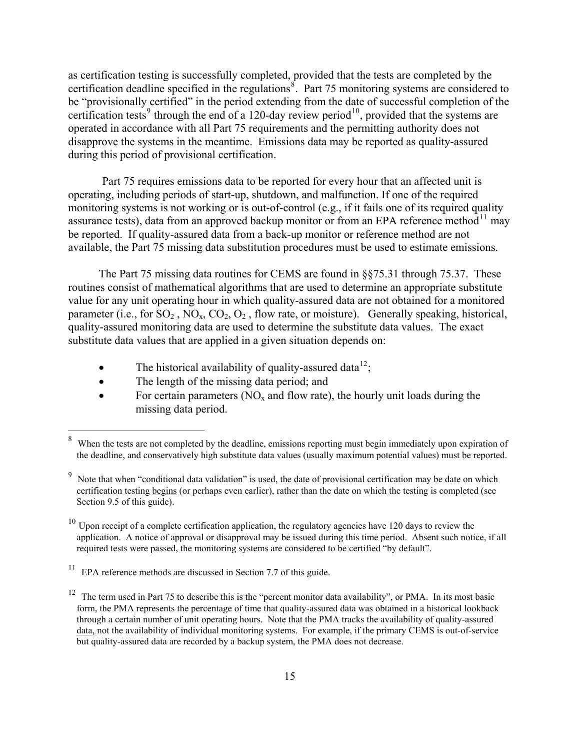as certification testing is successfully completed, provided that the tests are completed by the certification deadline specified in the regulations<sup>[8](#page-21-0)</sup>. Part 75 monitoring systems are considered to be "provisionally certified" in the period extending from the date of successful completion of the certification tests<sup>[9](#page-21-1)</sup> through the end of a 120-day review period<sup>[10](#page-21-2)</sup>, provided that the systems are operated in accordance with all Part 75 requirements and the permitting authority does not disapprove the systems in the meantime. Emissions data may be reported as quality-assured during this period of provisional certification.

Part 75 requires emissions data to be reported for every hour that an affected unit is operating, including periods of start-up, shutdown, and malfunction. If one of the required monitoring systems is not working or is out-of-control (e.g., if it fails one of its required quality assurance tests), data from an approved backup monitor or from an EPA reference method $^{11}$  $^{11}$  $^{11}$  may be reported. If quality-assured data from a back-up monitor or reference method are not available, the Part 75 missing data substitution procedures must be used to estimate emissions.

The Part 75 missing data routines for CEMS are found in §§75.31 through 75.37. These routines consist of mathematical algorithms that are used to determine an appropriate substitute value for any unit operating hour in which quality-assured data are not obtained for a monitored parameter (i.e., for  $SO_2$ ,  $NO_x$ ,  $CO_2$ ,  $O_2$ , flow rate, or moisture). Generally speaking, historical, quality-assured monitoring data are used to determine the substitute data values. The exact substitute data values that are applied in a given situation depends on:

- The historical availability of quality-assured data<sup>[12](#page-21-4)</sup>;
- The length of the missing data period; and

 $\overline{a}$ 

• For certain parameters ( $NO<sub>x</sub>$  and flow rate), the hourly unit loads during the missing data period.

<span id="page-21-0"></span><sup>8</sup> When the tests are not completed by the deadline, emissions reporting must begin immediately upon expiration of the deadline, and conservatively high substitute data values (usually maximum potential values) must be reported.

<span id="page-21-1"></span><sup>9</sup> Note that when "conditional data validation" is used, the date of provisional certification may be date on which certification testing begins (or perhaps even earlier), rather than the date on which the testing is completed (see Section 9.5 of this guide).

<span id="page-21-2"></span> $10$  Upon receipt of a complete certification application, the regulatory agencies have 120 days to review the application. A notice of approval or disapproval may be issued during this time period. Absent such notice, if all required tests were passed, the monitoring systems are considered to be certified "by default".

<span id="page-21-3"></span><sup>&</sup>lt;sup>11</sup> EPA reference methods are discussed in Section 7.7 of this guide.

<span id="page-21-4"></span><sup>&</sup>lt;sup>12</sup> The term used in Part 75 to describe this is the "percent monitor data availability", or PMA. In its most basic form, the PMA represents the percentage of time that quality-assured data was obtained in a historical lookback through a certain number of unit operating hours. Note that the PMA tracks the availability of quality-assured data, not the availability of individual monitoring systems. For example, if the primary CEMS is out-of-service but quality-assured data are recorded by a backup system, the PMA does not decrease.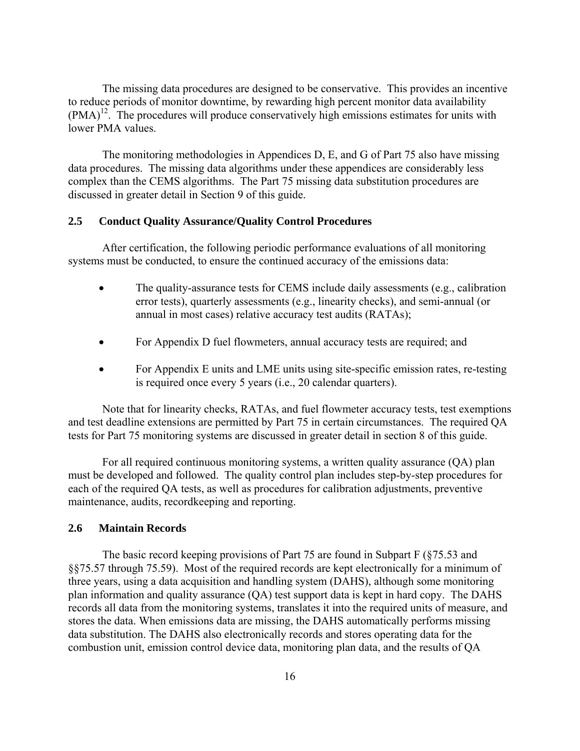The missing data procedures are designed to be conservative. This provides an incentive to reduce periods of monitor downtime, by rewarding high percent monitor data availability  $(PMA)<sup>12</sup>$ . The procedures will produce conservatively high emissions estimates for units with lower PMA values.

 The monitoring methodologies in Appendices D, E, and G of Part 75 also have missing data procedures. The missing data algorithms under these appendices are considerably less complex than the CEMS algorithms. The Part 75 missing data substitution procedures are discussed in greater detail in Section 9 of this guide.

## **2.5 Conduct Quality Assurance/Quality Control Procedures**

After certification, the following periodic performance evaluations of all monitoring systems must be conducted, to ensure the continued accuracy of the emissions data:

- The quality-assurance tests for CEMS include daily assessments (e.g., calibration error tests), quarterly assessments (e.g., linearity checks), and semi-annual (or annual in most cases) relative accuracy test audits (RATAs);
- For Appendix D fuel flowmeters, annual accuracy tests are required; and
- For Appendix E units and LME units using site-specific emission rates, re-testing is required once every 5 years (i.e., 20 calendar quarters).

Note that for linearity checks, RATAs, and fuel flowmeter accuracy tests, test exemptions and test deadline extensions are permitted by Part 75 in certain circumstances. The required QA tests for Part 75 monitoring systems are discussed in greater detail in section 8 of this guide.

For all required continuous monitoring systems, a written quality assurance (QA) plan must be developed and followed. The quality control plan includes step-by-step procedures for each of the required QA tests, as well as procedures for calibration adjustments, preventive maintenance, audits, recordkeeping and reporting.

## **2.6 Maintain Records**

The basic record keeping provisions of Part 75 are found in Subpart F (§75.53 and §§75.57 through 75.59). Most of the required records are kept electronically for a minimum of three years, using a data acquisition and handling system (DAHS), although some monitoring plan information and quality assurance (QA) test support data is kept in hard copy. The DAHS records all data from the monitoring systems, translates it into the required units of measure, and stores the data. When emissions data are missing, the DAHS automatically performs missing data substitution. The DAHS also electronically records and stores operating data for the combustion unit, emission control device data, monitoring plan data, and the results of QA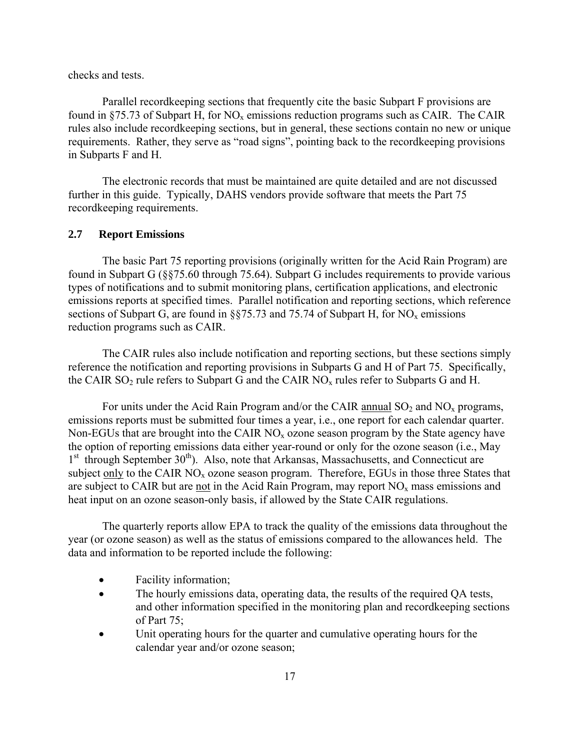checks and tests.

Parallel recordkeeping sections that frequently cite the basic Subpart F provisions are found in  $\S$ 75.73 of Subpart H, for NO<sub>x</sub> emissions reduction programs such as CAIR. The CAIR rules also include recordkeeping sections, but in general, these sections contain no new or unique requirements. Rather, they serve as "road signs", pointing back to the recordkeeping provisions in Subparts F and H.

The electronic records that must be maintained are quite detailed and are not discussed further in this guide. Typically, DAHS vendors provide software that meets the Part 75 recordkeeping requirements.

## **2.7 Report Emissions**

The basic Part 75 reporting provisions (originally written for the Acid Rain Program) are found in Subpart G (§§75.60 through 75.64). Subpart G includes requirements to provide various types of notifications and to submit monitoring plans, certification applications, and electronic emissions reports at specified times. Parallel notification and reporting sections, which reference sections of Subpart G, are found in  $\S$ §75.73 and 75.74 of Subpart H, for NO<sub>x</sub> emissions reduction programs such as CAIR.

The CAIR rules also include notification and reporting sections, but these sections simply reference the notification and reporting provisions in Subparts G and H of Part 75. Specifically, the CAIR  $SO_2$  rule refers to Subpart G and the CAIR  $NO_x$  rules refer to Subparts G and H.

For units under the Acid Rain Program and/or the CAIR annual  $SO_2$  and  $NO_x$  programs, emissions reports must be submitted four times a year, i.e., one report for each calendar quarter. Non-EGUs that are brought into the CAIR  $NO<sub>x</sub>$  ozone season program by the State agency have the option of reporting emissions data either year-round or only for the ozone season (i.e., May  $1<sup>st</sup>$  through September 30<sup>th</sup>). Also, note that Arkansas, Massachusetts, and Connecticut are subject only to the CAIR  $NO<sub>x</sub>$  ozone season program. Therefore, EGUs in those three States that are subject to CAIR but are not in the Acid Rain Program, may report  $NO<sub>x</sub>$  mass emissions and heat input on an ozone season-only basis, if allowed by the State CAIR regulations.

The quarterly reports allow EPA to track the quality of the emissions data throughout the year (or ozone season) as well as the status of emissions compared to the allowances held. The data and information to be reported include the following:

- Facility information;
- The hourly emissions data, operating data, the results of the required QA tests, and other information specified in the monitoring plan and recordkeeping sections of Part 75;
- Unit operating hours for the quarter and cumulative operating hours for the calendar year and/or ozone season;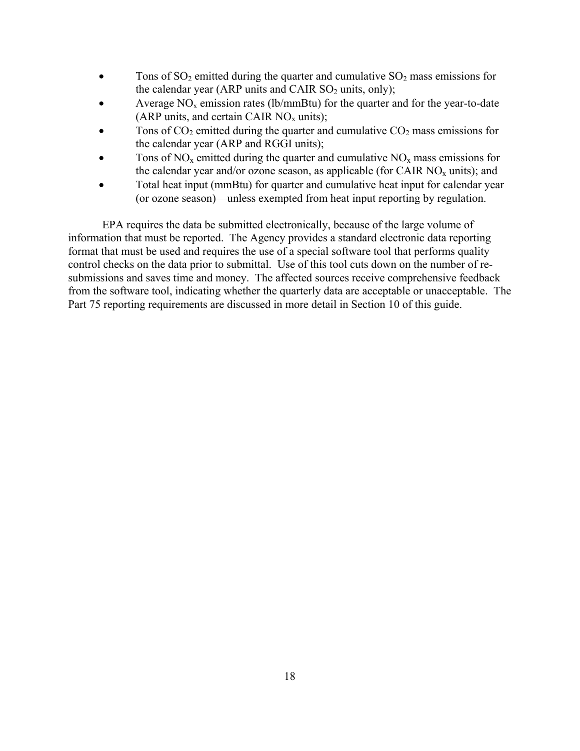- Tons of  $SO_2$  emitted during the quarter and cumulative  $SO_2$  mass emissions for the calendar year (ARP units and CAIR  $SO_2$  units, only);
- Average  $NO<sub>x</sub>$  emission rates (lb/mmBtu) for the quarter and for the year-to-date (ARP units, and certain CAIR  $NO_x$  units);
- Tons of  $CO_2$  emitted during the quarter and cumulative  $CO_2$  mass emissions for the calendar year (ARP and RGGI units);
- Tons of  $NO<sub>x</sub>$  emitted during the quarter and cumulative  $NO<sub>x</sub>$  mass emissions for the calendar year and/or ozone season, as applicable (for CAIR  $NO_x$  units); and
- Total heat input (mmBtu) for quarter and cumulative heat input for calendar year (or ozone season)—unless exempted from heat input reporting by regulation.

EPA requires the data be submitted electronically, because of the large volume of information that must be reported. The Agency provides a standard electronic data reporting format that must be used and requires the use of a special software tool that performs quality control checks on the data prior to submittal. Use of this tool cuts down on the number of resubmissions and saves time and money. The affected sources receive comprehensive feedback from the software tool, indicating whether the quarterly data are acceptable or unacceptable. The Part 75 reporting requirements are discussed in more detail in Section 10 of this guide.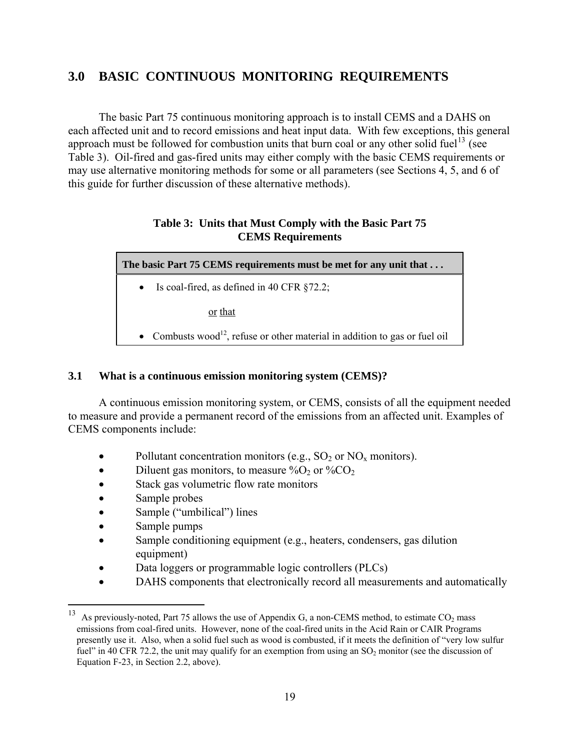# **3.0 BASIC CONTINUOUS MONITORING REQUIREMENTS**

The basic Part 75 continuous monitoring approach is to install CEMS and a DAHS on each affected unit and to record emissions and heat input data. With few exceptions, this general approach must be followed for combustion units that burn coal or any other solid fuel<sup>[13](#page-25-0)</sup> (see Table 3). Oil-fired and gas-fired units may either comply with the basic CEMS requirements or may use alternative monitoring methods for some or all parameters (see Sections 4, 5, and 6 of this guide for further discussion of these alternative methods).

## **Table 3: Units that Must Comply with the Basic Part 75 CEMS Requirements**

| The basic Part 75 CEMS requirements must be met for any unit that                       |  |  |  |  |
|-----------------------------------------------------------------------------------------|--|--|--|--|
| • Is coal-fired, as defined in 40 CFR $\S 72.2$ ;                                       |  |  |  |  |
| or that                                                                                 |  |  |  |  |
| • Combusts wood <sup>12</sup> , refuse or other material in addition to gas or fuel oil |  |  |  |  |

## **3.1 What is a continuous emission monitoring system (CEMS)?**

A continuous emission monitoring system, or CEMS, consists of all the equipment needed to measure and provide a permanent record of the emissions from an affected unit. Examples of CEMS components include:

- Pollutant concentration monitors (e.g.,  $SO_2$  or  $NO_x$  monitors).
- Diluent gas monitors, to measure  $\%O_2$  or  $\%CO_2$
- Stack gas volumetric flow rate monitors
- Sample probes
- Sample ("umbilical") lines
- Sample pumps

 $\overline{a}$ 

- Sample conditioning equipment (e.g., heaters, condensers, gas dilution equipment)
- Data loggers or programmable logic controllers (PLCs)
- DAHS components that electronically record all measurements and automatically

<span id="page-25-0"></span><sup>&</sup>lt;sup>13</sup> As previously-noted, Part 75 allows the use of Appendix G, a non-CEMS method, to estimate CO<sub>2</sub> mass emissions from coal-fired units. However, none of the coal-fired units in the Acid Rain or CAIR Programs presently use it. Also, when a solid fuel such as wood is combusted, if it meets the definition of "very low sulfur fuel" in 40 CFR 72.2, the unit may qualify for an exemption from using an  $SO_2$  monitor (see the discussion of Equation F-23, in Section 2.2, above).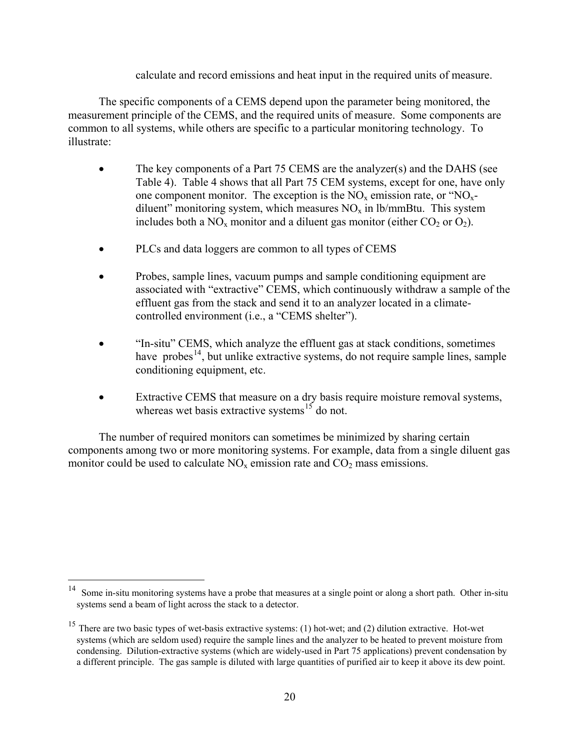## calculate and record emissions and heat input in the required units of measure.

The specific components of a CEMS depend upon the parameter being monitored, the measurement principle of the CEMS, and the required units of measure. Some components are common to all systems, while others are specific to a particular monitoring technology. To illustrate:

- The key components of a Part 75 CEMS are the analyzer(s) and the DAHS (see Table 4). Table 4 shows that all Part 75 CEM systems, except for one, have only one component monitor. The exception is the  $NO<sub>x</sub>$  emission rate, or " $NO<sub>x</sub>$ diluent" monitoring system, which measures  $NO<sub>x</sub>$  in lb/mmBtu. This system includes both a  $NO<sub>x</sub>$  monitor and a diluent gas monitor (either  $CO<sub>2</sub>$  or  $O<sub>2</sub>$ ).
- PLCs and data loggers are common to all types of CEMS
- Probes, sample lines, vacuum pumps and sample conditioning equipment are associated with "extractive" CEMS, which continuously withdraw a sample of the effluent gas from the stack and send it to an analyzer located in a climatecontrolled environment (i.e., a "CEMS shelter").
- "In-situ" CEMS, which analyze the effluent gas at stack conditions, sometimes have probes<sup>[14](#page-26-0)</sup>, but unlike extractive systems, do not require sample lines, sample conditioning equipment, etc.
- Extractive CEMS that measure on a dry basis require moisture removal systems, whereas wet basis extractive systems<sup>[15](#page-26-1)</sup> do not.

The number of required monitors can sometimes be minimized by sharing certain components among two or more monitoring systems. For example, data from a single diluent gas monitor could be used to calculate  $NO<sub>x</sub>$  emission rate and  $CO<sub>2</sub>$  mass emissions.

<span id="page-26-0"></span> $14$ Some in-situ monitoring systems have a probe that measures at a single point or along a short path. Other in-situ systems send a beam of light across the stack to a detector.

<span id="page-26-1"></span><sup>&</sup>lt;sup>15</sup> There are two basic types of wet-basis extractive systems: (1) hot-wet; and (2) dilution extractive. Hot-wet systems (which are seldom used) require the sample lines and the analyzer to be heated to prevent moisture from condensing. Dilution-extractive systems (which are widely-used in Part 75 applications) prevent condensation by a different principle. The gas sample is diluted with large quantities of purified air to keep it above its dew point.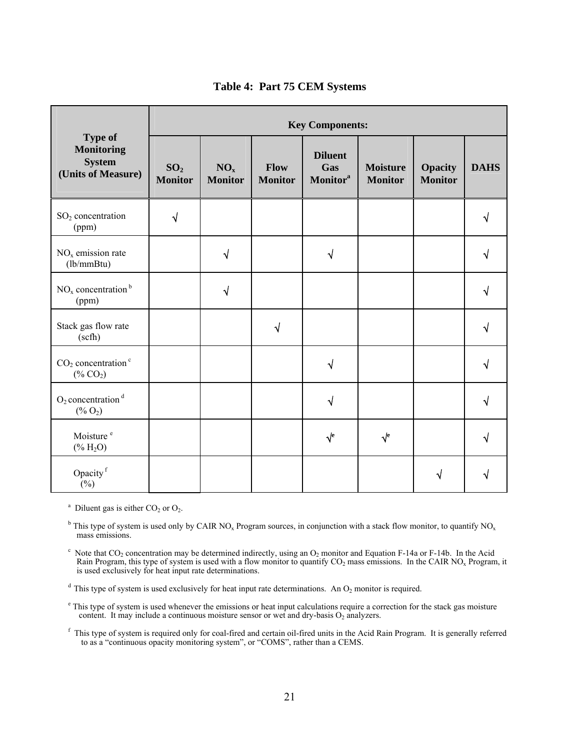|                                                                            | <b>Key Components:</b>            |                                   |                               |                                                      |                                   |                                  |             |
|----------------------------------------------------------------------------|-----------------------------------|-----------------------------------|-------------------------------|------------------------------------------------------|-----------------------------------|----------------------------------|-------------|
| <b>Type of</b><br><b>Monitoring</b><br><b>System</b><br>(Units of Measure) | SO <sub>2</sub><br><b>Monitor</b> | NO <sub>x</sub><br><b>Monitor</b> | <b>Flow</b><br><b>Monitor</b> | <b>Diluent</b><br>Gas<br><b>Monitor</b> <sup>a</sup> | <b>Moisture</b><br><b>Monitor</b> | <b>Opacity</b><br><b>Monitor</b> | <b>DAHS</b> |
| $SO2$ concentration<br>(ppm)                                               | $\sqrt{ }$                        |                                   |                               |                                                      |                                   |                                  |             |
| $NOx$ emission rate<br>(lb/mmBtu)                                          |                                   | $\sqrt{}$                         |                               | √                                                    |                                   |                                  |             |
| $NOx$ concentration <sup>b</sup><br>(ppm)                                  |                                   | $\sqrt{ }$                        |                               |                                                      |                                   |                                  | ٧           |
| Stack gas flow rate<br>(scfh)                                              |                                   |                                   | $\sqrt{}$                     |                                                      |                                   |                                  |             |
| $CO2 concentrationc$<br>$(*6 CO2)$                                         |                                   |                                   |                               | $\sqrt{ }$                                           |                                   |                                  |             |
| $O_2$ concentration <sup>d</sup><br>$(*6 O2)$                              |                                   |                                   |                               | $\sqrt{}$                                            |                                   |                                  | ٦I          |
| Moisture <sup>e</sup><br>$(% ^{0}\times H_{2}O)$                           |                                   |                                   |                               | $\sqrt{e}$                                           | $\sqrt{\ }$                       |                                  |             |
| Opacity <sup>f</sup><br>$(\%)$                                             |                                   |                                   |                               |                                                      |                                   | √                                |             |

#### **Table 4: Part 75 CEM Systems**

<sup>a</sup> Diluent gas is either  $CO<sub>2</sub>$  or  $O<sub>2</sub>$ .

<sup>b</sup> This type of system is used only by CAIR NO<sub>x</sub> Program sources, in conjunction with a stack flow monitor, to quantify NO<sub>x</sub> mass emissions.

 $\rm c$  Note that CO<sub>2</sub> concentration may be determined indirectly, using an O<sub>2</sub> monitor and Equation F-14a or F-14b. In the Acid Rain Program, this type of system is used with a flow monitor to quantify  $CO_2$  mass emissions. In the CAIR NO<sub>x</sub> Program, it is used exclusively for heat input rate determinations.

 $d$  This type of system is used exclusively for heat input rate determinations. An  $O_2$  monitor is required.

<sup>e</sup> This type of system is used whenever the emissions or heat input calculations require a correction for the stack gas moisture content. It may include a continuous moisture sensor or wet and dry-basis  $O_2$  analyzers.

<sup>f</sup> This type of system is required only for coal-fired and certain oil-fired units in the Acid Rain Program. It is generally referred to as a "continuous opacity monitoring system", or "COMS", rather than a CEMS.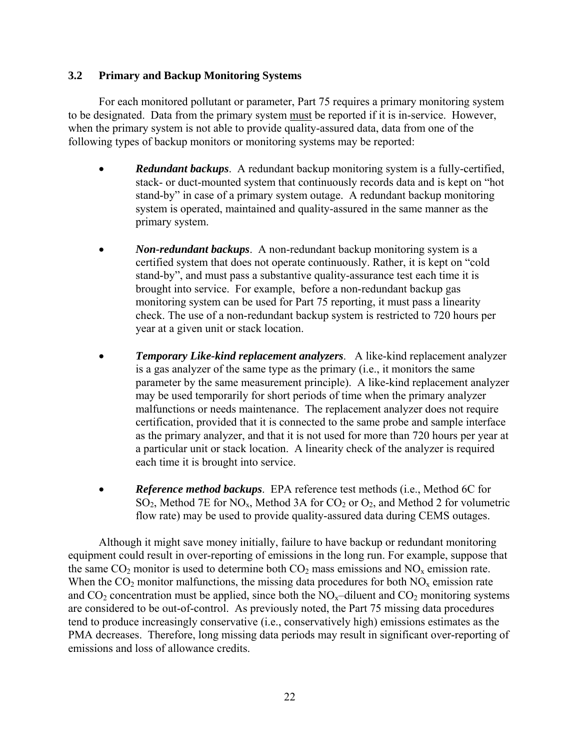## **3.2 Primary and Backup Monitoring Systems**

For each monitored pollutant or parameter, Part 75 requires a primary monitoring system to be designated. Data from the primary system must be reported if it is in-service. However, when the primary system is not able to provide quality-assured data, data from one of the following types of backup monitors or monitoring systems may be reported:

- *Redundant backups*. A redundant backup monitoring system is a fully-certified, stack- or duct-mounted system that continuously records data and is kept on "hot stand-by" in case of a primary system outage. A redundant backup monitoring system is operated, maintained and quality-assured in the same manner as the primary system.
- *Non-redundant backups*. A non-redundant backup monitoring system is a certified system that does not operate continuously. Rather, it is kept on "cold stand-by", and must pass a substantive quality-assurance test each time it is brought into service. For example, before a non-redundant backup gas monitoring system can be used for Part 75 reporting, it must pass a linearity check. The use of a non-redundant backup system is restricted to 720 hours per year at a given unit or stack location.
- *Temporary Like-kind replacement analyzers*. A like-kind replacement analyzer is a gas analyzer of the same type as the primary (i.e., it monitors the same parameter by the same measurement principle). A like-kind replacement analyzer may be used temporarily for short periods of time when the primary analyzer malfunctions or needs maintenance. The replacement analyzer does not require certification, provided that it is connected to the same probe and sample interface as the primary analyzer, and that it is not used for more than 720 hours per year at a particular unit or stack location. A linearity check of the analyzer is required each time it is brought into service.
- *Reference method backups*. EPA reference test methods (i.e., Method 6C for  $SO_2$ , Method 7E for NO<sub>x</sub>, Method 3A for  $CO_2$  or  $O_2$ , and Method 2 for volumetric flow rate) may be used to provide quality-assured data during CEMS outages.

Although it might save money initially, failure to have backup or redundant monitoring equipment could result in over-reporting of emissions in the long run. For example, suppose that the same  $CO_2$  monitor is used to determine both  $CO_2$  mass emissions and  $NO_x$  emission rate. When the  $CO_2$  monitor malfunctions, the missing data procedures for both  $NO<sub>x</sub>$  emission rate and  $CO<sub>2</sub>$  concentration must be applied, since both the  $NO<sub>x</sub>$ -diluent and  $CO<sub>2</sub>$  monitoring systems are considered to be out-of-control. As previously noted, the Part 75 missing data procedures tend to produce increasingly conservative (i.e., conservatively high) emissions estimates as the PMA decreases. Therefore, long missing data periods may result in significant over-reporting of emissions and loss of allowance credits.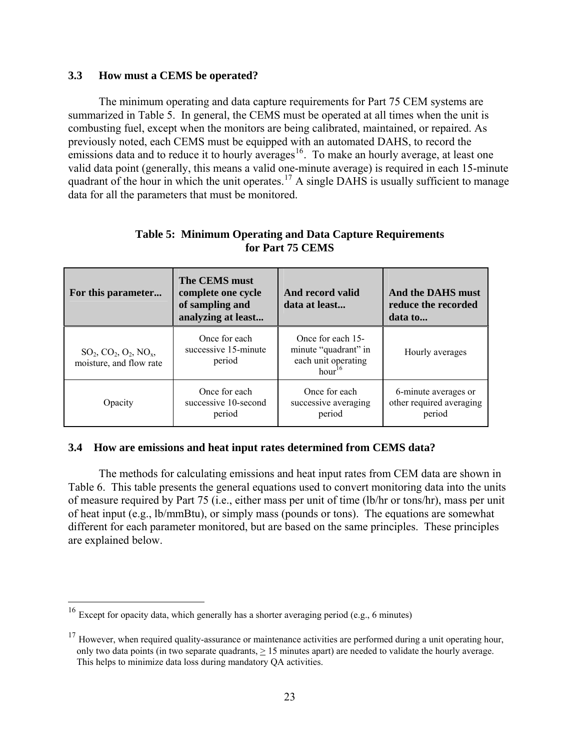## **3.3 How must a CEMS be operated?**

The minimum operating and data capture requirements for Part 75 CEM systems are summarized in Table 5. In general, the CEMS must be operated at all times when the unit is combusting fuel, except when the monitors are being calibrated, maintained, or repaired. As previously noted, each CEMS must be equipped with an automated DAHS, to record the emissions data and to reduce it to hourly averages<sup>[16](#page-29-0)</sup>. To make an hourly average, at least one valid data point (generally, this means a valid one-minute average) is required in each 15-minute quadrant of the hour in which the unit operates.<sup>[17](#page-29-1)</sup> A single DAHS is usually sufficient to manage data for all the parameters that must be monitored.

| For this parameter                                  | The CEMS must<br>complete one cycle<br>of sampling and<br>analyzing at least | And record valid<br>data at least                                                      | And the DAHS must<br>reduce the recorded<br>data to        |  |
|-----------------------------------------------------|------------------------------------------------------------------------------|----------------------------------------------------------------------------------------|------------------------------------------------------------|--|
| $SO_2, CO_2, O_2, NO_x,$<br>moisture, and flow rate | Once for each<br>successive 15-minute<br>period                              | Once for each 15-<br>minute "quadrant" in<br>each unit operating<br>hour <sup>16</sup> | Hourly averages                                            |  |
| Opacity                                             | Once for each<br>successive 10-second<br>period                              | Once for each<br>successive averaging<br>period                                        | 6-minute averages or<br>other required averaging<br>period |  |

## **Table 5: Minimum Operating and Data Capture Requirements for Part 75 CEMS**

## **3.4 How are emissions and heat input rates determined from CEMS data?**

The methods for calculating emissions and heat input rates from CEM data are shown in Table 6. This table presents the general equations used to convert monitoring data into the units of measure required by Part 75 (i.e., either mass per unit of time (lb/hr or tons/hr), mass per unit of heat input (e.g., lb/mmBtu), or simply mass (pounds or tons). The equations are somewhat different for each parameter monitored, but are based on the same principles. These principles are explained below.

 $\overline{a}$ 

<span id="page-29-0"></span><sup>&</sup>lt;sup>16</sup> Except for opacity data, which generally has a shorter averaging period (e.g., 6 minutes)

<span id="page-29-1"></span> $17$  However, when required quality-assurance or maintenance activities are performed during a unit operating hour, only two data points (in two separate quadrants, > 15 minutes apart) are needed to validate the hourly average. This helps to minimize data loss during mandatory QA activities.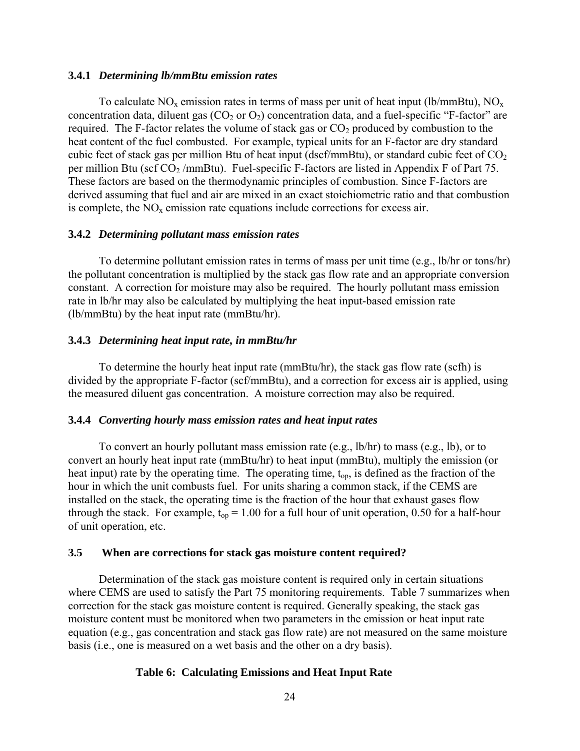#### **3.4.1** *Determining lb/mmBtu emission rates*

To calculate  $NO_x$  emission rates in terms of mass per unit of heat input (lb/mmBtu),  $NO_x$ concentration data, diluent gas  $(CO_2$  or  $O_2)$  concentration data, and a fuel-specific "F-factor" are required. The F-factor relates the volume of stack gas or  $CO<sub>2</sub>$  produced by combustion to the heat content of the fuel combusted. For example, typical units for an F-factor are dry standard cubic feet of stack gas per million Btu of heat input (dscf/mmBtu), or standard cubic feet of  $CO<sub>2</sub>$ per million Btu (scf  $CO_2$ /mmBtu). Fuel-specific F-factors are listed in Appendix F of Part 75. These factors are based on the thermodynamic principles of combustion. Since F-factors are derived assuming that fuel and air are mixed in an exact stoichiometric ratio and that combustion is complete, the  $NO<sub>x</sub>$  emission rate equations include corrections for excess air.

#### **3.4.2** *Determining pollutant mass emission rates*

To determine pollutant emission rates in terms of mass per unit time (e.g., lb/hr or tons/hr) the pollutant concentration is multiplied by the stack gas flow rate and an appropriate conversion constant. A correction for moisture may also be required. The hourly pollutant mass emission rate in lb/hr may also be calculated by multiplying the heat input-based emission rate (lb/mmBtu) by the heat input rate (mmBtu/hr).

#### **3.4.3** *Determining heat input rate, in mmBtu/hr*

To determine the hourly heat input rate (mmBtu/hr), the stack gas flow rate (scfh) is divided by the appropriate F-factor (scf/mmBtu), and a correction for excess air is applied, using the measured diluent gas concentration. A moisture correction may also be required.

#### **3.4.4** *Converting hourly mass emission rates and heat input rates*

To convert an hourly pollutant mass emission rate (e.g., lb/hr) to mass (e.g., lb), or to convert an hourly heat input rate (mmBtu/hr) to heat input (mmBtu), multiply the emission (or heat input) rate by the operating time. The operating time, t<sub>op</sub>, is defined as the fraction of the hour in which the unit combusts fuel. For units sharing a common stack, if the CEMS are installed on the stack, the operating time is the fraction of the hour that exhaust gases flow through the stack. For example,  $t_{op} = 1.00$  for a full hour of unit operation, 0.50 for a half-hour of unit operation, etc.

#### **3.5 When are corrections for stack gas moisture content required?**

Determination of the stack gas moisture content is required only in certain situations where CEMS are used to satisfy the Part 75 monitoring requirements. Table 7 summarizes when correction for the stack gas moisture content is required. Generally speaking, the stack gas moisture content must be monitored when two parameters in the emission or heat input rate equation (e.g., gas concentration and stack gas flow rate) are not measured on the same moisture basis (i.e., one is measured on a wet basis and the other on a dry basis).

#### **Table 6: Calculating Emissions and Heat Input Rate**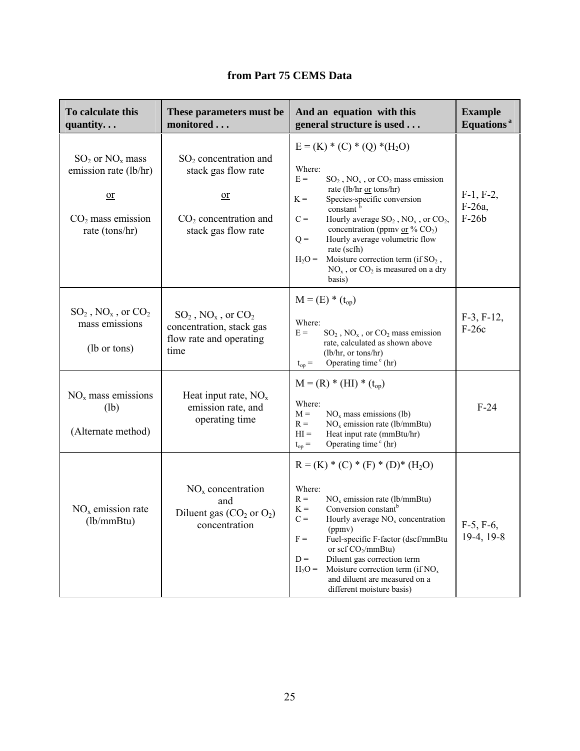|  |  |  | from Part 75 CEMS Data |  |
|--|--|--|------------------------|--|
|--|--|--|------------------------|--|

| To calculate this<br>quantity                                                                   | These parameters must be<br>monitored                                                                  | And an equation with this<br>general structure is used                                                                                                                                                                                                                                                                                                                                                                                                    | <b>Example</b><br>Equations <sup>a</sup> |
|-------------------------------------------------------------------------------------------------|--------------------------------------------------------------------------------------------------------|-----------------------------------------------------------------------------------------------------------------------------------------------------------------------------------------------------------------------------------------------------------------------------------------------------------------------------------------------------------------------------------------------------------------------------------------------------------|------------------------------------------|
| $SO_2$ or $NO_x$ mass<br>emission rate (lb/hr)<br>$or$<br>$CO2$ mass emission<br>rate (tons/hr) | $SO2$ concentration and<br>stack gas flow rate<br>or<br>$CO2$ concentration and<br>stack gas flow rate | $E = (K) * (C) * (Q) * (H_2O)$<br>Where:<br>$E =$<br>$SO_2$ , $NO_x$ , or $CO_2$ mass emission<br>rate (lb/hr or tons/hr)<br>$K =$<br>Species-specific conversion<br>constant <sup>b</sup><br>$C =$<br>Hourly average $SO_2$ , $NO_x$ , or $CO_2$ ,<br>concentration (ppmv or % $CO2$ )<br>$Q =$<br>Hourly average volumetric flow<br>rate (scfh)<br>$H_2O =$<br>Moisture correction term (if $SO_2$ ,<br>$NOx$ , or $CO2$ is measured on a dry<br>basis) | $F-1, F-2,$<br>F-26a,<br>$F-26b$         |
| $SO_2$ , $NO_x$ , or $CO_2$<br>mass emissions<br>(lb or tons)                                   | $SO_2$ , $NO_x$ , or $CO_2$<br>concentration, stack gas<br>flow rate and operating<br>time             | $M = (E) * (t_{op})$<br>Where:<br>$E =$<br>$SO_2$ , $NO_x$ , or $CO_2$ mass emission<br>rate, calculated as shown above<br>(lb/hr, or tons/hr)<br>Operating time $\text{c}$ (hr)<br>$\mathfrak{t}_{\text{op}}=$                                                                                                                                                                                                                                           | $F-3, F-12,$<br>$F-26c$                  |
| $NOx$ mass emissions<br>(lb)<br>(Alternate method)                                              | Heat input rate, $NOx$<br>emission rate, and<br>operating time                                         | $M = (R) * (HI) * (t_{op})$<br>Where:<br>$M =$<br>$NOx$ mass emissions (lb)<br>$NOx$ emission rate (lb/mmBtu)<br>$R =$<br>$HI =$<br>Heat input rate (mmBtu/hr)<br>Operating time $\text{c}$ (hr)<br>$t_{op} =$                                                                                                                                                                                                                                            | $F-24$                                   |
| $NOx$ emission rate<br>(lb/mm Btu)                                                              | $NOx$ concentration<br>and<br>Diluent gas $(CO_2$ or $O_2$ )<br>concentration                          | $R = (K) * (C) * (F) * (D) * (H2O)$<br>Where:<br>$NOx$ emission rate (lb/mmBtu)<br>$R =$<br>Conversion constant <sup>b</sup><br>$K =$<br>$C =$<br>Hourly average $NOx$ concentration<br>(ppmv)<br>Fuel-specific F-factor (dscf/mmBtu<br>$F =$<br>or scf $CO_2/mmBtu$ )<br>Diluent gas correction term<br>$D =$<br>Moisture correction term (if $NOx$<br>$H_2O =$<br>and diluent are measured on a<br>different moisture basis)                            | $F-5, F-6,$<br>19-4, 19-8                |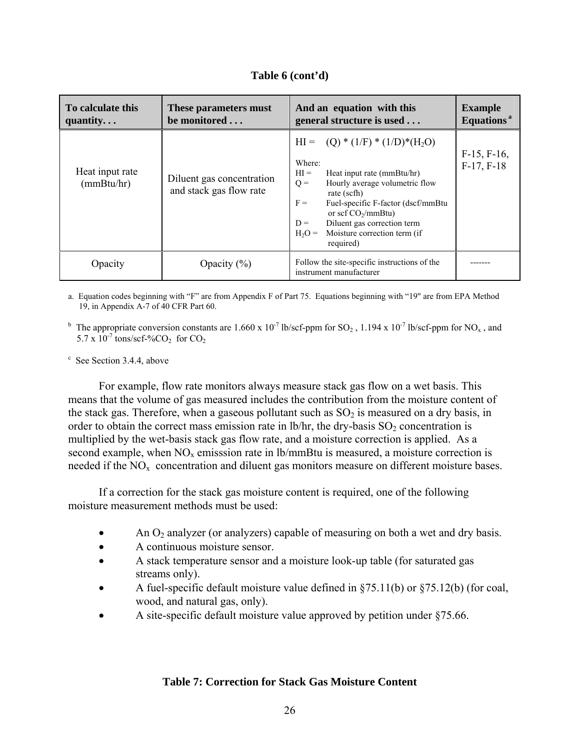| To calculate this<br>quantity | These parameters must<br>be monitored                | And an equation with this<br>general structure is used                                                                                                                                                                                                                                                                 | <b>Example</b><br>Equations <sup>a</sup> |
|-------------------------------|------------------------------------------------------|------------------------------------------------------------------------------------------------------------------------------------------------------------------------------------------------------------------------------------------------------------------------------------------------------------------------|------------------------------------------|
| Heat input rate<br>(mmBtu/hr) | Diluent gas concentration<br>and stack gas flow rate | $HI = (Q) * (1/F) * (1/D) * (H2O)$<br>Where:<br>$HI =$<br>Heat input rate (mmBtu/hr)<br>Hourly average volumetric flow<br>$Q =$<br>rate (scfh)<br>$F =$<br>Fuel-specific F-factor (dscf/mmBtu<br>or sef $CO_2/mmBtu$ )<br>Diluent gas correction term<br>$D =$<br>Moisture correction term (if<br>$H2O =$<br>required) | $F-15, F-16,$<br>$F-17, F-18$            |
| Opacity                       | Opacity $(\% )$                                      | Follow the site-specific instructions of the<br>instrument manufacturer                                                                                                                                                                                                                                                |                                          |

a. Equation codes beginning with "F" are from Appendix F of Part 75. Equations beginning with "19" are from EPA Method 19, in Appendix A-7 of 40 CFR Part 60.

<sup>b</sup> The appropriate conversion constants are 1.660 x 10<sup>-7</sup> lb/scf-ppm for SO<sub>2</sub>, 1.194 x 10<sup>-7</sup> lb/scf-ppm for NO<sub>x</sub>, and 5.7 x  $10^{-7}$  tons/scf-%CO<sub>2</sub> for CO<sub>2</sub>

<sup>c</sup> See Section 3.4.4, above

For example, flow rate monitors always measure stack gas flow on a wet basis. This means that the volume of gas measured includes the contribution from the moisture content of the stack gas. Therefore, when a gaseous pollutant such as  $SO_2$  is measured on a dry basis, in order to obtain the correct mass emission rate in  $lb/hr$ , the dry-basis  $SO<sub>2</sub>$  concentration is multiplied by the wet-basis stack gas flow rate, and a moisture correction is applied. As a second example, when  $NO<sub>x</sub>$  emisssion rate in lb/mmBtu is measured, a moisture correction is needed if the  $NO<sub>x</sub>$  concentration and diluent gas monitors measure on different moisture bases.

If a correction for the stack gas moisture content is required, one of the following moisture measurement methods must be used:

- An  $O_2$  analyzer (or analyzers) capable of measuring on both a wet and dry basis.
- A continuous moisture sensor.
- A stack temperature sensor and a moisture look-up table (for saturated gas streams only).
- A fuel-specific default moisture value defined in  $\S 75.11(b)$  or  $\S 75.12(b)$  (for coal, wood, and natural gas, only).
- A site-specific default moisture value approved by petition under §75.66.

## **Table 7: Correction for Stack Gas Moisture Content**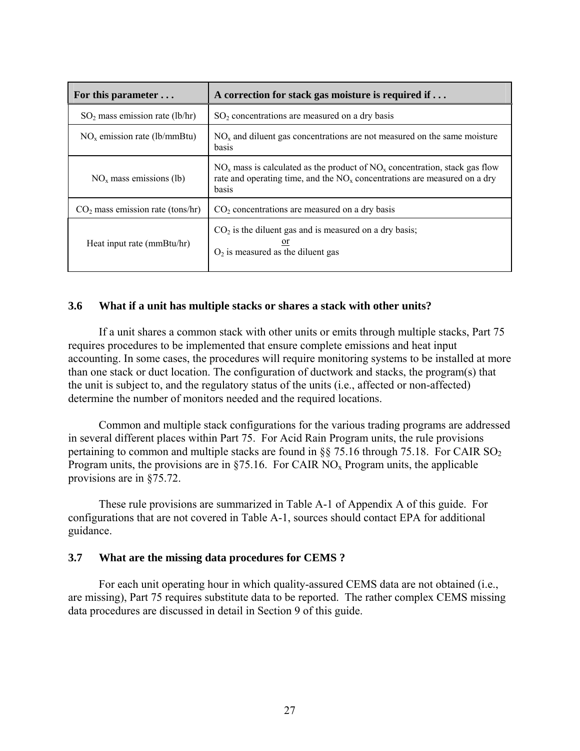| For this parameter $\dots$         | A correction for stack gas moisture is required if                                                                                                                               |  |
|------------------------------------|----------------------------------------------------------------------------------------------------------------------------------------------------------------------------------|--|
| $SO2$ mass emission rate (lb/hr)   | $SO2$ concentrations are measured on a dry basis                                                                                                                                 |  |
| $NOx$ emission rate (lb/mmBtu)     | $NOx$ and diluent gas concentrations are not measured on the same moisture<br>basis                                                                                              |  |
| $NOx$ mass emissions (lb)          | $NOx$ mass is calculated as the product of $NOx$ concentration, stack gas flow<br>rate and operating time, and the NO <sub>x</sub> concentrations are measured on a dry<br>basis |  |
| $CO2$ mass emission rate (tons/hr) | $CO2$ concentrations are measured on a dry basis                                                                                                                                 |  |
| Heat input rate (mmBtu/hr)         | $CO2$ is the diluent gas and is measured on a dry basis;<br>$O2$ is measured as the diluent gas                                                                                  |  |

## **3.6 What if a unit has multiple stacks or shares a stack with other units?**

If a unit shares a common stack with other units or emits through multiple stacks, Part 75 requires procedures to be implemented that ensure complete emissions and heat input accounting. In some cases, the procedures will require monitoring systems to be installed at more than one stack or duct location. The configuration of ductwork and stacks, the program(s) that the unit is subject to, and the regulatory status of the units (i.e., affected or non-affected) determine the number of monitors needed and the required locations.

Common and multiple stack configurations for the various trading programs are addressed in several different places within Part 75. For Acid Rain Program units, the rule provisions pertaining to common and multiple stacks are found in  $\S$  75.16 through 75.18. For CAIR SO<sub>2</sub> Program units, the provisions are in  $\S75.16$ . For CAIR NO<sub>x</sub> Program units, the applicable provisions are in §75.72.

These rule provisions are summarized in Table A-1 of Appendix A of this guide. For configurations that are not covered in Table A-1, sources should contact EPA for additional guidance.

#### **3.7 What are the missing data procedures for CEMS ?**

For each unit operating hour in which quality-assured CEMS data are not obtained (i.e., are missing), Part 75 requires substitute data to be reported. The rather complex CEMS missing data procedures are discussed in detail in Section 9 of this guide.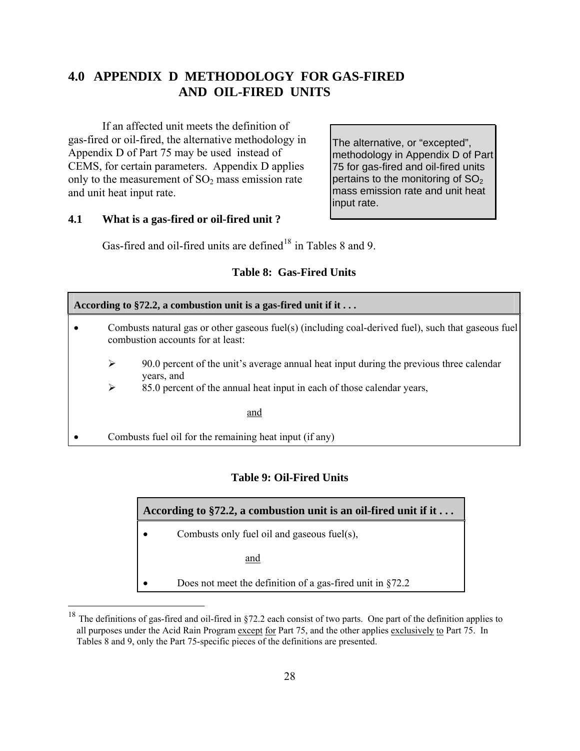## **4.0 APPENDIX D METHODOLOGY FOR GAS-FIRED AND OIL-FIRED UNITS**

If an affected unit meets the definition of gas-fired or oil-fired, the alternative methodology in Appendix D of Part 75 may be used instead of CEMS, for certain parameters. Appendix D applies only to the measurement of  $SO<sub>2</sub>$  mass emission rate and unit heat input rate.

The alternative, or "excepted", methodology in Appendix D of Part 75 for gas-fired and oil-fired units pertains to the monitoring of  $SO<sub>2</sub>$ mass emission rate and unit heat input rate.

## **4.1 What is a gas-fired or oil-fired unit ?**

 $\overline{a}$ 

Gas-fired and oil-fired units are defined<sup>[18](#page-34-0)</sup> in Tables 8 and 9.

## **Table 8: Gas-Fired Units**

| According to §72.2, a combustion unit is a gas-fired unit if it $\dots$ |                                                                                                                                          |  |  |
|-------------------------------------------------------------------------|------------------------------------------------------------------------------------------------------------------------------------------|--|--|
|                                                                         | Combusts natural gas or other gaseous fuel(s) (including coal-derived fuel), such that gaseous fuel<br>combustion accounts for at least: |  |  |
| ➤                                                                       | 90.0 percent of the unit's average annual heat input during the previous three calendar<br>years, and                                    |  |  |
| ➤                                                                       | 85.0 percent of the annual heat input in each of those calendar years,                                                                   |  |  |
|                                                                         | and                                                                                                                                      |  |  |
|                                                                         | Combusts fuel oil for the remaining heat input (if any)                                                                                  |  |  |

## **Table 9: Oil-Fired Units**

| According to §72.2, a combustion unit is an oil-fired unit if it $\dots$ |                                                               |  |
|--------------------------------------------------------------------------|---------------------------------------------------------------|--|
| Combusts only fuel oil and gaseous fuel(s),                              |                                                               |  |
|                                                                          | and                                                           |  |
|                                                                          | Does not meet the definition of a gas-fired unit in $\S 72.2$ |  |

<span id="page-34-0"></span><sup>&</sup>lt;sup>18</sup> The definitions of gas-fired and oil-fired in §72.2 each consist of two parts. One part of the definition applies to all purposes under the Acid Rain Program except for Part 75, and the other applies exclusively to Part 75. In Tables 8 and 9, only the Part 75-specific pieces of the definitions are presented.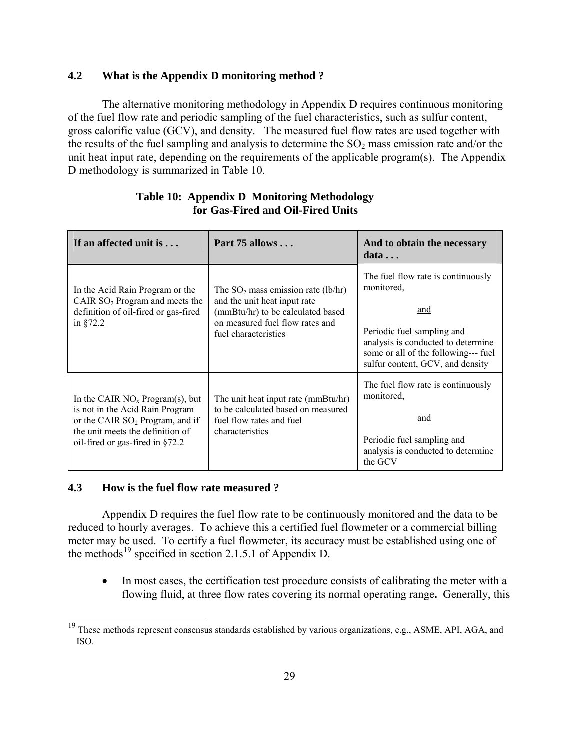## **4.2 What is the Appendix D monitoring method ?**

The alternative monitoring methodology in Appendix D requires continuous monitoring of the fuel flow rate and periodic sampling of the fuel characteristics, such as sulfur content, gross calorific value (GCV), and density. The measured fuel flow rates are used together with the results of the fuel sampling and analysis to determine the  $SO_2$  mass emission rate and/or the unit heat input rate, depending on the requirements of the applicable program(s). The Appendix D methodology is summarized in Table 10.

| If an affected unit is                                                                                                                                                            | Part $75$ allows                                                                                                                                                      | And to obtain the necessary<br>data                                                                                                                                                                     |
|-----------------------------------------------------------------------------------------------------------------------------------------------------------------------------------|-----------------------------------------------------------------------------------------------------------------------------------------------------------------------|---------------------------------------------------------------------------------------------------------------------------------------------------------------------------------------------------------|
| In the Acid Rain Program or the<br>CAIR $SO2$ Program and meets the<br>definition of oil-fired or gas-fired<br>in $§72.2$                                                         | The $SO_2$ mass emission rate (lb/hr)<br>and the unit heat input rate<br>(mmBtu/hr) to be calculated based<br>on measured fuel flow rates and<br>fuel characteristics | The fuel flow rate is continuously<br>monitored,<br>and<br>Periodic fuel sampling and<br>analysis is conducted to determine<br>some or all of the following--- fuel<br>sulfur content, GCV, and density |
| In the CAIR $NOx Program(s)$ , but<br>is not in the Acid Rain Program<br>or the CAIR $SO2$ Program, and if<br>the unit meets the definition of<br>oil-fired or gas-fired in §72.2 | The unit heat input rate (mmBtu/hr)<br>to be calculated based on measured<br>fuel flow rates and fuel<br>characteristics                                              | The fuel flow rate is continuously<br>monitored.<br>and<br>Periodic fuel sampling and<br>analysis is conducted to determine<br>the GCV                                                                  |

## **Table 10: Appendix D Monitoring Methodology for Gas-Fired and Oil-Fired Units**

## **4.3 How is the fuel flow rate measured ?**

 $\overline{a}$ 

Appendix D requires the fuel flow rate to be continuously monitored and the data to be reduced to hourly averages. To achieve this a certified fuel flowmeter or a commercial billing meter may be used. To certify a fuel flowmeter, its accuracy must be established using one of the methods<sup>[19](#page-35-0)</sup> specified in section 2.1.5.1 of Appendix D.

• In most cases, the certification test procedure consists of calibrating the meter with a flowing fluid, at three flow rates covering its normal operating range**.** Generally, this

<span id="page-35-0"></span> $19$  These methods represent consensus standards established by various organizations, e.g., ASME, API, AGA, and ISO.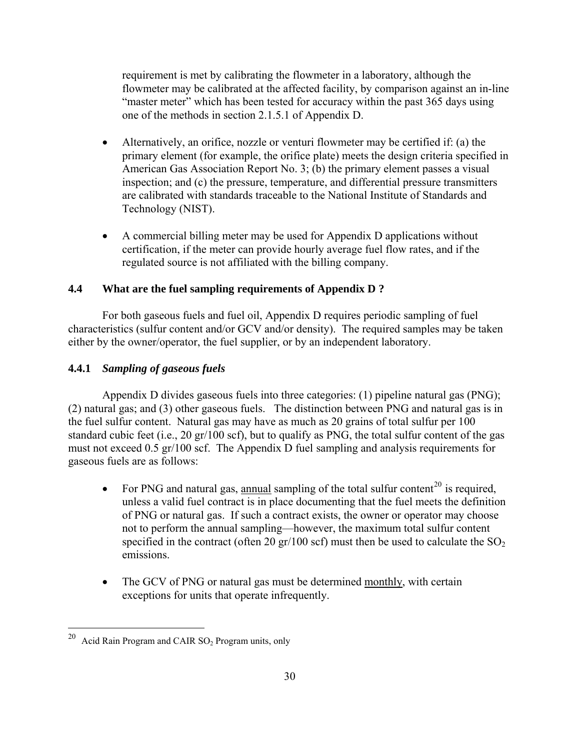requirement is met by calibrating the flowmeter in a laboratory, although the flowmeter may be calibrated at the affected facility, by comparison against an in-line "master meter" which has been tested for accuracy within the past 365 days using one of the methods in section 2.1.5.1 of Appendix D.

- Alternatively, an orifice, nozzle or venturi flowmeter may be certified if: (a) the primary element (for example, the orifice plate) meets the design criteria specified in American Gas Association Report No. 3; (b) the primary element passes a visual inspection; and (c) the pressure, temperature, and differential pressure transmitters are calibrated with standards traceable to the National Institute of Standards and Technology (NIST).
- A commercial billing meter may be used for Appendix D applications without certification, if the meter can provide hourly average fuel flow rates, and if the regulated source is not affiliated with the billing company.

### **4.4 What are the fuel sampling requirements of Appendix D ?**

For both gaseous fuels and fuel oil, Appendix D requires periodic sampling of fuel characteristics (sulfur content and/or GCV and/or density). The required samples may be taken either by the owner/operator, the fuel supplier, or by an independent laboratory.

### **4.4.1** *Sampling of gaseous fuels*

Appendix D divides gaseous fuels into three categories: (1) pipeline natural gas (PNG); (2) natural gas; and (3) other gaseous fuels. The distinction between PNG and natural gas is in the fuel sulfur content. Natural gas may have as much as 20 grains of total sulfur per 100 standard cubic feet (i.e., 20 gr/100 scf), but to qualify as PNG, the total sulfur content of the gas must not exceed 0.5 gr/100 scf. The Appendix D fuel sampling and analysis requirements for gaseous fuels are as follows:

- For PNG and natural gas, annual sampling of the total sulfur content<sup>[20](#page-36-0)</sup> is required, unless a valid fuel contract is in place documenting that the fuel meets the definition of PNG or natural gas. If such a contract exists, the owner or operator may choose not to perform the annual sampling—however, the maximum total sulfur content specified in the contract (often 20 gr/100 scf) must then be used to calculate the  $SO_2$ emissions.
- The GCV of PNG or natural gas must be determined monthly, with certain exceptions for units that operate infrequently.

<span id="page-36-0"></span>Acid Rain Program and CAIR SO<sub>2</sub> Program units, only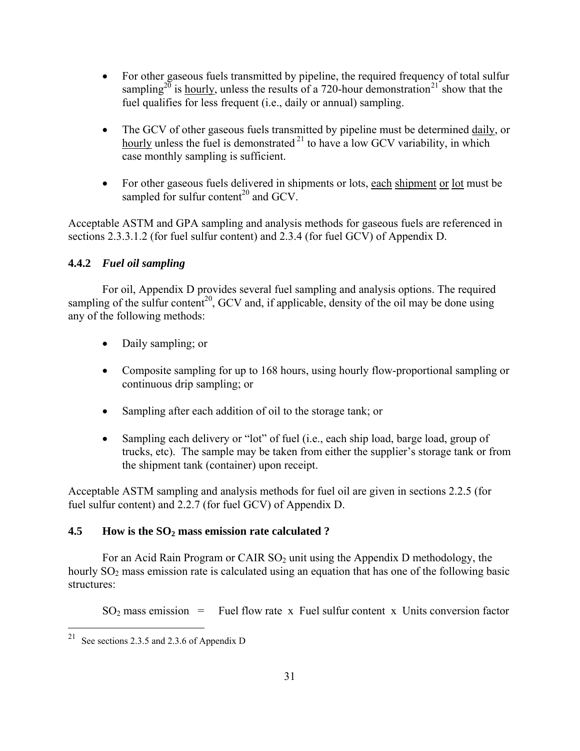- For other gaseous fuels transmitted by pipeline, the required frequency of total sulfur sampling<sup>20</sup> is hourly, unless the results of a 720-hour demonstration<sup>[21](#page-37-0)</sup> show that the fuel qualifies for less frequent (i.e., daily or annual) sampling.
- The GCV of other gaseous fuels transmitted by pipeline must be determined daily, or hourly unless the fuel is demonstrated  $2<sup>1</sup>$  to have a low GCV variability, in which case monthly sampling is sufficient.
- For other gaseous fuels delivered in shipments or lots, each shipment or lot must be sampled for sulfur content<sup>20</sup> and GCV.

Acceptable ASTM and GPA sampling and analysis methods for gaseous fuels are referenced in sections 2.3.3.1.2 (for fuel sulfur content) and 2.3.4 (for fuel GCV) of Appendix D.

### **4.4.2** *Fuel oil sampling*

For oil, Appendix D provides several fuel sampling and analysis options. The required sampling of the sulfur content<sup>20</sup>, GCV and, if applicable, density of the oil may be done using any of the following methods:

- Daily sampling; or
- Composite sampling for up to 168 hours, using hourly flow-proportional sampling or continuous drip sampling; or
- Sampling after each addition of oil to the storage tank; or
- Sampling each delivery or "lot" of fuel (i.e., each ship load, barge load, group of trucks, etc). The sample may be taken from either the supplier's storage tank or from the shipment tank (container) upon receipt.

Acceptable ASTM sampling and analysis methods for fuel oil are given in sections 2.2.5 (for fuel sulfur content) and 2.2.7 (for fuel GCV) of Appendix D.

### **4.5 How is the SO2 mass emission rate calculated ?**

For an Acid Rain Program or CAIR  $SO_2$  unit using the Appendix D methodology, the hourly  $SO<sub>2</sub>$  mass emission rate is calculated using an equation that has one of the following basic structures:

 $SO<sub>2</sub>$  mass emission = Fuel flow rate x Fuel sulfur content x Units conversion factor

<span id="page-37-0"></span>See sections 2.3.5 and 2.3.6 of Appendix D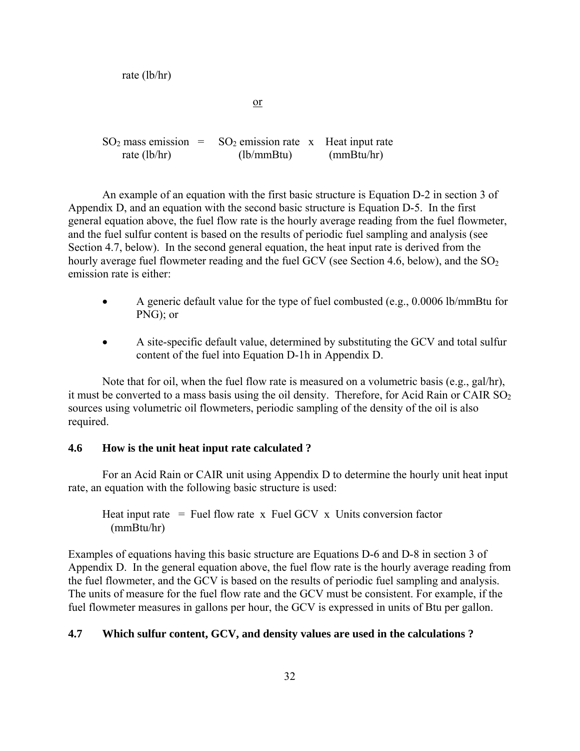rate (lb/hr) <u>or</u>  $SO_2$  mass emission =  $SO_2$  emission rate x Heat input rate rate (lb/hr) (lb/mmBtu) (mmBtu/hr)

An example of an equation with the first basic structure is Equation D-2 in section 3 of Appendix D, and an equation with the second basic structure is Equation D-5. In the first general equation above, the fuel flow rate is the hourly average reading from the fuel flowmeter, and the fuel sulfur content is based on the results of periodic fuel sampling and analysis (see Section 4.7, below). In the second general equation, the heat input rate is derived from the hourly average fuel flowmeter reading and the fuel GCV (see Section 4.6, below), and the  $SO_2$ emission rate is either:

- A generic default value for the type of fuel combusted (e.g., 0.0006 lb/mmBtu for PNG); or
- A site-specific default value, determined by substituting the GCV and total sulfur content of the fuel into Equation D-1h in Appendix D.

Note that for oil, when the fuel flow rate is measured on a volumetric basis (e.g., gal/hr), it must be converted to a mass basis using the oil density. Therefore, for Acid Rain or CAIR  $SO_2$ sources using volumetric oil flowmeters, periodic sampling of the density of the oil is also required.

#### **4.6 How is the unit heat input rate calculated ?**

For an Acid Rain or CAIR unit using Appendix D to determine the hourly unit heat input rate, an equation with the following basic structure is used:

Heat input rate  $=$  Fuel flow rate x Fuel GCV x Units conversion factor (mmBtu/hr)

Examples of equations having this basic structure are Equations D-6 and D-8 in section 3 of Appendix D. In the general equation above, the fuel flow rate is the hourly average reading from the fuel flowmeter, and the GCV is based on the results of periodic fuel sampling and analysis. The units of measure for the fuel flow rate and the GCV must be consistent. For example, if the fuel flowmeter measures in gallons per hour, the GCV is expressed in units of Btu per gallon.

### **4.7 Which sulfur content, GCV, and density values are used in the calculations ?**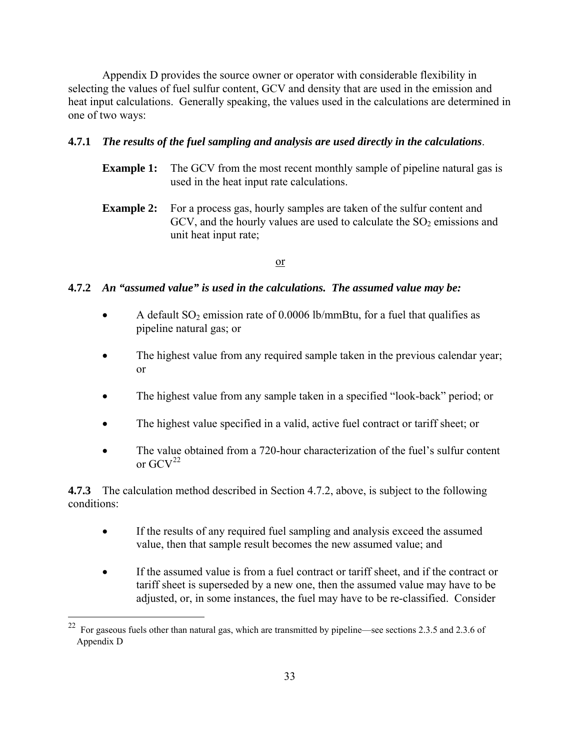Appendix D provides the source owner or operator with considerable flexibility in selecting the values of fuel sulfur content, GCV and density that are used in the emission and heat input calculations. Generally speaking, the values used in the calculations are determined in one of two ways:

#### **4.7.1** *The results of the fuel sampling and analysis are used directly in the calculations*.

- **Example 1:** The GCV from the most recent monthly sample of pipeline natural gas is used in the heat input rate calculations.
- **Example 2:** For a process gas, hourly samples are taken of the sulfur content and GCV, and the hourly values are used to calculate the  $SO<sub>2</sub>$  emissions and unit heat input rate;

#### or

#### **4.7.2** *An "assumed value" is used in the calculations. The assumed value may be:*

- A default  $SO_2$  emission rate of 0.0006 lb/mmBtu, for a fuel that qualifies as pipeline natural gas; or
- The highest value from any required sample taken in the previous calendar year; or
- The highest value from any sample taken in a specified "look-back" period; or
- The highest value specified in a valid, active fuel contract or tariff sheet; or
- The value obtained from a 720-hour characterization of the fuel's sulfur content or  $\text{GCV}^{22}$  $\text{GCV}^{22}$  $\text{GCV}^{22}$

**4.7.3** The calculation method described in Section 4.7.2, above, is subject to the following conditions:

- If the results of any required fuel sampling and analysis exceed the assumed value, then that sample result becomes the new assumed value; and
- If the assumed value is from a fuel contract or tariff sheet, and if the contract or tariff sheet is superseded by a new one, then the assumed value may have to be adjusted, or, in some instances, the fuel may have to be re-classified. Consider

<span id="page-39-0"></span><sup>&</sup>lt;sup>22</sup> For gaseous fuels other than natural gas, which are transmitted by pipeline—see sections 2.3.5 and 2.3.6 of Appendix D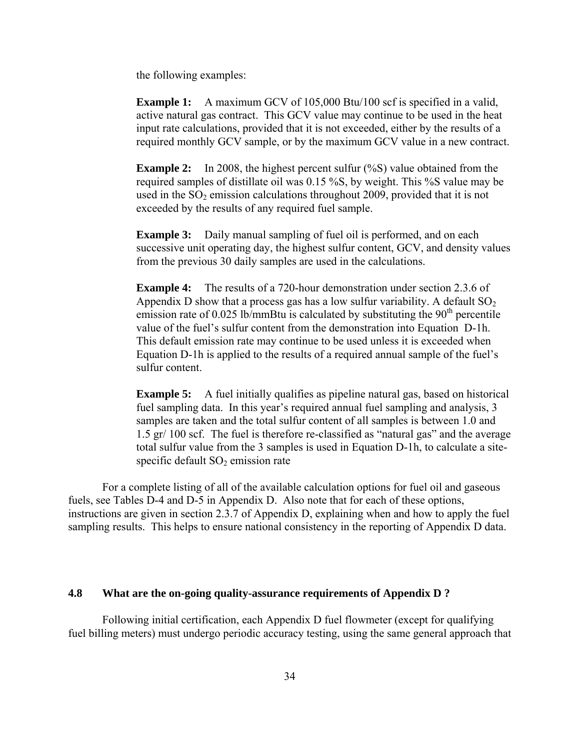the following examples:

**Example 1:** A maximum GCV of 105,000 Btu/100 scf is specified in a valid, active natural gas contract. This GCV value may continue to be used in the heat input rate calculations, provided that it is not exceeded, either by the results of a required monthly GCV sample, or by the maximum GCV value in a new contract.

**Example 2:** In 2008, the highest percent sulfur (%S) value obtained from the required samples of distillate oil was 0.15 %S, by weight. This %S value may be used in the  $SO<sub>2</sub>$  emission calculations throughout 2009, provided that it is not exceeded by the results of any required fuel sample.

**Example 3:** Daily manual sampling of fuel oil is performed, and on each successive unit operating day, the highest sulfur content, GCV, and density values from the previous 30 daily samples are used in the calculations.

**Example 4:** The results of a 720-hour demonstration under section 2.3.6 of Appendix D show that a process gas has a low sulfur variability. A default  $SO<sub>2</sub>$ emission rate of 0.025 lb/mmBtu is calculated by substituting the  $90<sup>th</sup>$  percentile value of the fuel's sulfur content from the demonstration into Equation D-1h. This default emission rate may continue to be used unless it is exceeded when Equation D-1h is applied to the results of a required annual sample of the fuel's sulfur content.

**Example 5:** A fuel initially qualifies as pipeline natural gas, based on historical fuel sampling data. In this year's required annual fuel sampling and analysis, 3 samples are taken and the total sulfur content of all samples is between 1.0 and 1.5 gr/ 100 scf. The fuel is therefore re-classified as "natural gas" and the average total sulfur value from the 3 samples is used in Equation D-1h, to calculate a sitespecific default  $SO<sub>2</sub>$  emission rate

For a complete listing of all of the available calculation options for fuel oil and gaseous fuels, see Tables D-4 and D-5 in Appendix D. Also note that for each of these options, instructions are given in section 2.3.7 of Appendix D, explaining when and how to apply the fuel sampling results. This helps to ensure national consistency in the reporting of Appendix D data.

#### **4.8 What are the on-going quality-assurance requirements of Appendix D ?**

Following initial certification, each Appendix D fuel flowmeter (except for qualifying fuel billing meters) must undergo periodic accuracy testing, using the same general approach that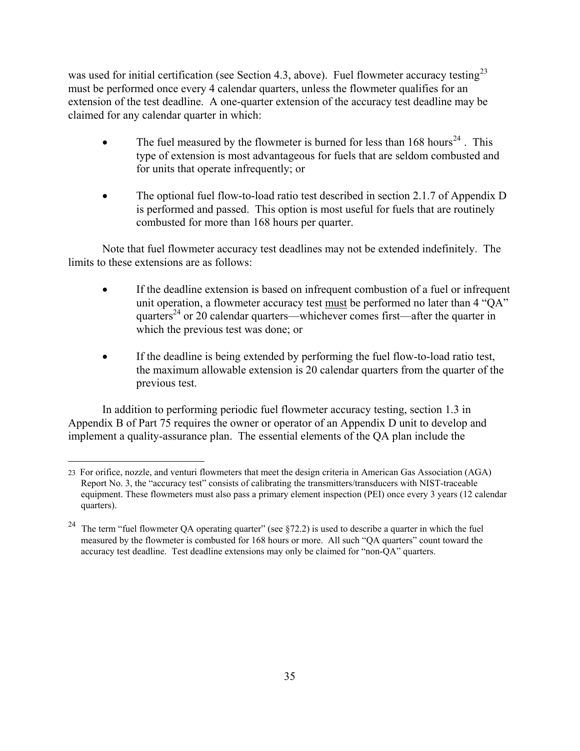was used for initial certification (see Section 4.3, above). Fuel flowmeter accuracy testing<sup>[23](#page-41-0)</sup> must be performed once every 4 calendar quarters, unless the flowmeter qualifies for an extension of the test deadline. A one-quarter extension of the accuracy test deadline may be claimed for any calendar quarter in which:

- The fuel measured by the flowmeter is burned for less than  $168$  hours<sup>[24](#page-41-1)</sup>. This type of extension is most advantageous for fuels that are seldom combusted and for units that operate infrequently; or
- The optional fuel flow-to-load ratio test described in section 2.1.7 of Appendix D is performed and passed. This option is most useful for fuels that are routinely combusted for more than 168 hours per quarter.

Note that fuel flowmeter accuracy test deadlines may not be extended indefinitely. The limits to these extensions are as follows:

- If the deadline extension is based on infrequent combustion of a fuel or infrequent unit operation, a flowmeter accuracy test must be performed no later than 4 "QA" quarters<sup>24</sup> or 20 calendar quarters—whichever comes first—after the quarter in which the previous test was done; or
- If the deadline is being extended by performing the fuel flow-to-load ratio test, the maximum allowable extension is 20 calendar quarters from the quarter of the previous test.

In addition to performing periodic fuel flowmeter accuracy testing, section 1.3 in Appendix B of Part 75 requires the owner or operator of an Appendix D unit to develop and implement a quality-assurance plan. The essential elements of the QA plan include the

<span id="page-41-0"></span> $\overline{a}$ 23 For orifice, nozzle, and venturi flowmeters that meet the design criteria in American Gas Association (AGA) Report No. 3, the "accuracy test" consists of calibrating the transmitters/transducers with NIST-traceable equipment. These flowmeters must also pass a primary element inspection (PEI) once every 3 years (12 calendar quarters).

<span id="page-41-1"></span><sup>&</sup>lt;sup>24</sup> The term "fuel flowmeter QA operating quarter" (see  $\S$ 72.2) is used to describe a quarter in which the fuel measured by the flowmeter is combusted for 168 hours or more. All such "QA quarters" count toward the accuracy test deadline. Test deadline extensions may only be claimed for "non-QA" quarters.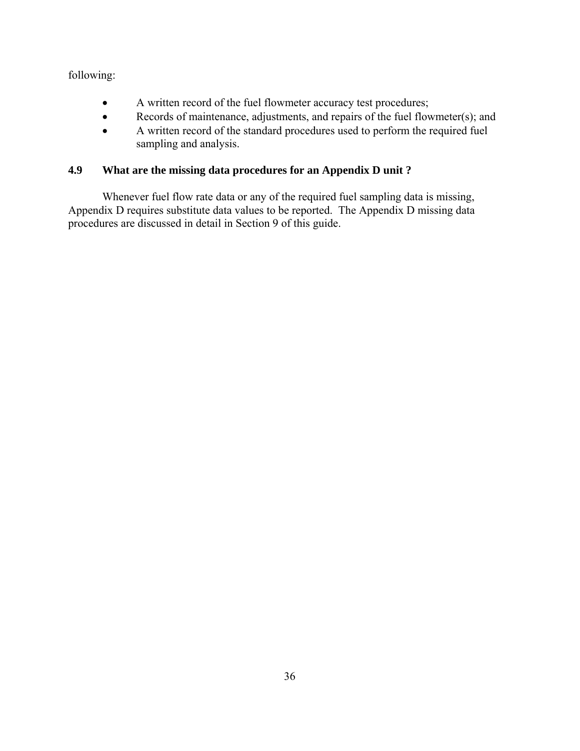following:

- A written record of the fuel flowmeter accuracy test procedures;
- Records of maintenance, adjustments, and repairs of the fuel flowmeter(s); and
- A written record of the standard procedures used to perform the required fuel sampling and analysis.

# **4.9 What are the missing data procedures for an Appendix D unit ?**

Whenever fuel flow rate data or any of the required fuel sampling data is missing, Appendix D requires substitute data values to be reported. The Appendix D missing data procedures are discussed in detail in Section 9 of this guide.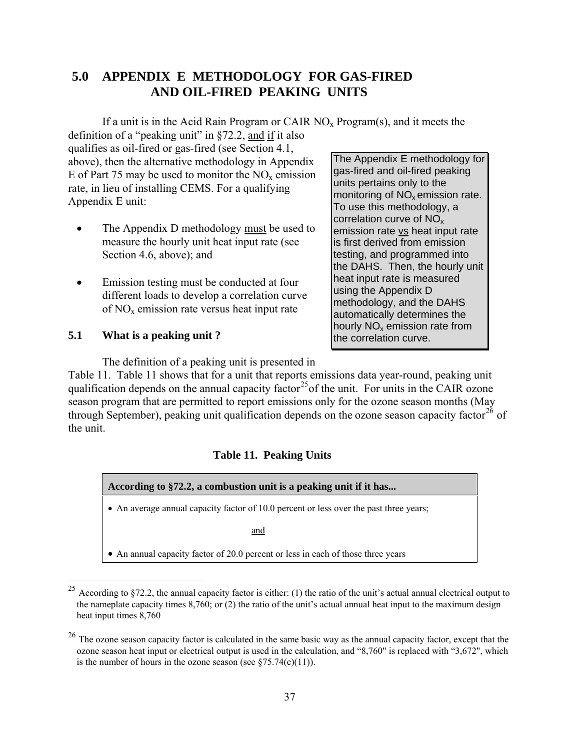# **5.0 APPENDIX E METHODOLOGY FOR GAS-FIRED AND OIL-FIRED PEAKING UNITS**

If a unit is in the Acid Rain Program or CAIR  $NO<sub>x</sub>$  Program(s), and it meets the

definition of a "peaking unit" in §72.2, and if it also qualifies as oil-fired or gas-fired (see Section 4.1, above), then the alternative methodology in Appendix E of Part 75 may be used to monitor the  $NO<sub>x</sub>$  emission rate, in lieu of installing CEMS. For a qualifying Appendix E unit:

- The Appendix D methodology must be used to measure the hourly unit heat input rate (see Section 4.6, above); and
- Emission testing must be conducted at four different loads to develop a correlation curve of  $NO<sub>x</sub>$  emission rate versus heat input rate

# **5.1 What is a peaking unit ?**

 $\overline{a}$ 

The Appendix E methodology for gas-fired and oil-fired peaking units pertains only to the monitoring of NO<sub>x</sub> emission rate. To use this methodology, a correlation curve of  $NO<sub>x</sub>$ emission rate vs heat input rate is first derived from emission testing, and programmed into the DAHS. Then, the hourly unit heat input rate is measured using the Appendix D methodology, and the DAHS automatically determines the hourly  $NO<sub>x</sub>$  emission rate from the correlation curve.

The definition of a peaking unit is presented in

Table 11. Table 11 shows that for a unit that reports emissions data year-round, peaking unit qualification depends on the annual capacity factor<sup>25</sup> of the unit. For units in the CAIR ozone season program that are permitted to report emissions only for the ozone season months (May through September), peaking unit qualification depends on the ozone season capacity factor<sup>[26](#page-43-1)</sup> of the unit.

# **Table 11. Peaking Units**



<span id="page-43-0"></span><sup>&</sup>lt;sup>25</sup> According to §72.2, the annual capacity factor is either: (1) the ratio of the unit's actual annual electrical output to the nameplate capacity times 8,760; or (2) the ratio of the unit's actual annual heat input to the maximum design heat input times 8,760

<span id="page-43-1"></span><sup>&</sup>lt;sup>26</sup> The ozone season capacity factor is calculated in the same basic way as the annual capacity factor, except that the ozone season heat input or electrical output is used in the calculation, and "8,760" is replaced with "3,672", which is the number of hours in the ozone season (see  $$75.74(c)(11)$ ).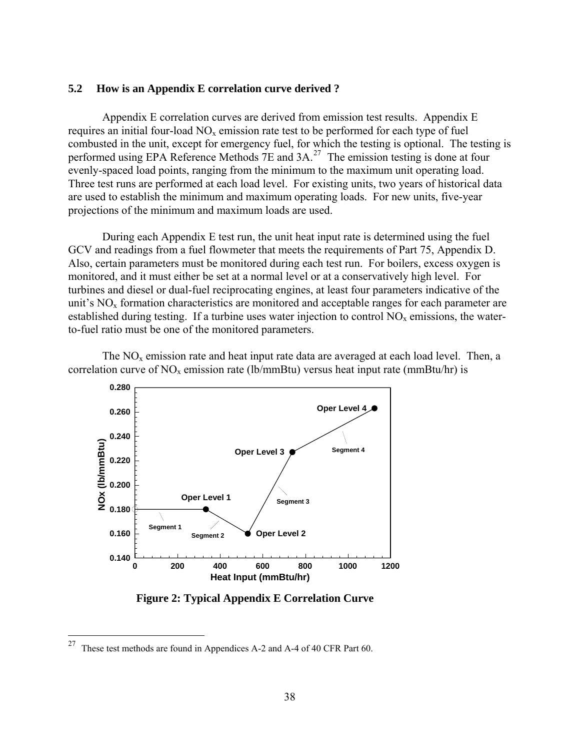#### **5.2 How is an Appendix E correlation curve derived ?**

Appendix E correlation curves are derived from emission test results. Appendix E requires an initial four-load  $NO<sub>x</sub>$  emission rate test to be performed for each type of fuel combusted in the unit, except for emergency fuel, for which the testing is optional. The testing is performed using EPA Reference Methods 7E and 3A.<sup>[27](#page-44-0)</sup> The emission testing is done at four evenly-spaced load points, ranging from the minimum to the maximum unit operating load. Three test runs are performed at each load level. For existing units, two years of historical data are used to establish the minimum and maximum operating loads. For new units, five-year projections of the minimum and maximum loads are used.

During each Appendix E test run, the unit heat input rate is determined using the fuel GCV and readings from a fuel flowmeter that meets the requirements of Part 75, Appendix D. Also, certain parameters must be monitored during each test run. For boilers, excess oxygen is monitored, and it must either be set at a normal level or at a conservatively high level. For turbines and diesel or dual-fuel reciprocating engines, at least four parameters indicative of the unit's  $NO<sub>x</sub>$  formation characteristics are monitored and acceptable ranges for each parameter are established during testing. If a turbine uses water injection to control  $NO<sub>x</sub>$  emissions, the waterto-fuel ratio must be one of the monitored parameters.

The  $NO<sub>x</sub>$  emission rate and heat input rate data are averaged at each load level. Then, a correlation curve of  $NO<sub>x</sub>$  emission rate (lb/mmBtu) versus heat input rate (mmBtu/hr) is



 **Figure 2: Typical Appendix E Correlation Curve**

<span id="page-44-0"></span><sup>&</sup>lt;sup>27</sup> These test methods are found in Appendices A-2 and A-4 of 40 CFR Part 60.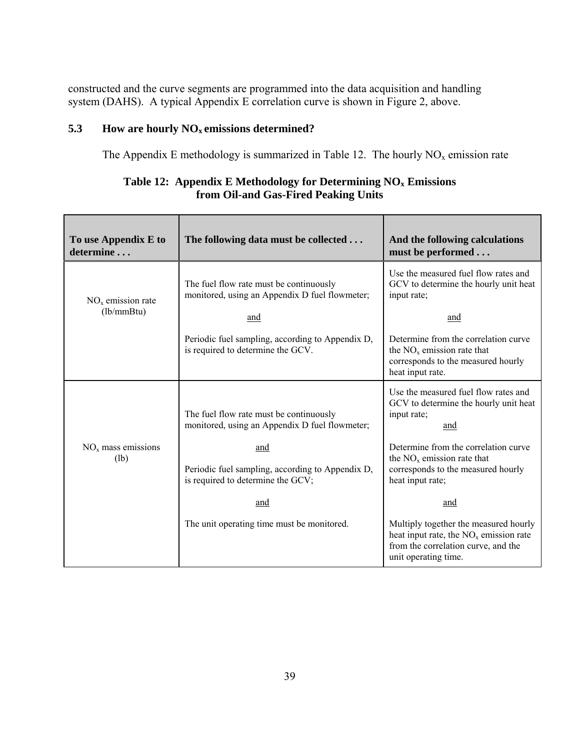constructed and the curve segments are programmed into the data acquisition and handling system (DAHS). A typical Appendix E correlation curve is shown in Figure 2, above.

# **5.3 How are hourly NOx emissions determined?**

The Appendix E methodology is summarized in Table 12. The hourly  $NO<sub>x</sub>$  emission rate

| To use Appendix E to<br>determine  | The following data must be collected                                                             | And the following calculations<br>must be performed                                                                                              |
|------------------------------------|--------------------------------------------------------------------------------------------------|--------------------------------------------------------------------------------------------------------------------------------------------------|
| $NOx$ emission rate<br>(lb/mm Btu) | The fuel flow rate must be continuously<br>monitored, using an Appendix D fuel flowmeter;<br>and | Use the measured fuel flow rates and<br>GCV to determine the hourly unit heat<br>input rate;<br>and                                              |
|                                    | Periodic fuel sampling, according to Appendix D,<br>is required to determine the GCV.            | Determine from the correlation curve<br>the $NOx$ emission rate that<br>corresponds to the measured hourly<br>heat input rate.                   |
|                                    | The fuel flow rate must be continuously<br>monitored, using an Appendix D fuel flowmeter;        | Use the measured fuel flow rates and<br>GCV to determine the hourly unit heat<br>input rate;<br>and                                              |
| $NOx$ mass emissions<br>(lb)       | and<br>Periodic fuel sampling, according to Appendix D,<br>is required to determine the GCV;     | Determine from the correlation curve<br>the $NOx$ emission rate that<br>corresponds to the measured hourly<br>heat input rate;                   |
|                                    | and                                                                                              | and                                                                                                                                              |
|                                    | The unit operating time must be monitored.                                                       | Multiply together the measured hourly<br>heat input rate, the $NOx$ emission rate<br>from the correlation curve, and the<br>unit operating time. |

# **Table 12: Appendix E Methodology for Determining NOx Emissions from Oil-and Gas-Fired Peaking Units**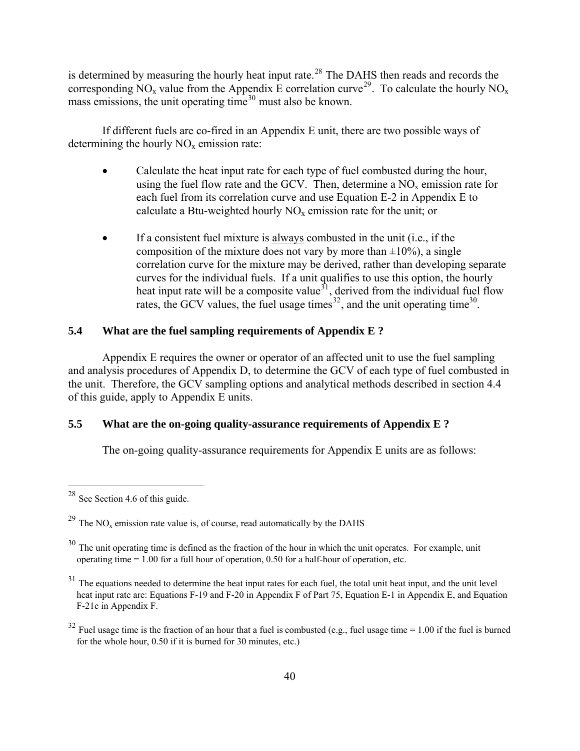is determined by measuring the hourly heat input rate.<sup>[28](#page-46-0)</sup> The DAHS then reads and records the corresponding  $\text{NO}_x$  value from the Appendix E correlation curve<sup>[29](#page-46-1)</sup>. To calculate the hourly  $\text{NO}_x$ mass emissions, the unit operating time<sup>[30](#page-46-2)</sup> must also be known.

If different fuels are co-fired in an Appendix E unit, there are two possible ways of determining the hourly  $NO<sub>x</sub>$  emission rate:

- Calculate the heat input rate for each type of fuel combusted during the hour, using the fuel flow rate and the GCV. Then, determine a  $NO<sub>x</sub>$  emission rate for each fuel from its correlation curve and use Equation E-2 in Appendix E to calculate a Btu-weighted hourly  $NO<sub>x</sub>$  emission rate for the unit; or
- $\bullet$  If a consistent fuel mixture is always combusted in the unit (i.e., if the composition of the mixture does not vary by more than  $\pm 10\%$ ), a single correlation curve for the mixture may be derived, rather than developing separate curves for the individual fuels. If a unit qualifies to use this option, the hourly heat input rate will be a composite value<sup>[31](#page-46-3)</sup>, derived from the individual fuel flow rates, the GCV values, the fuel usage times<sup>[32](#page-46-4)</sup>, and the unit operating time<sup>30</sup>.

### **5.4 What are the fuel sampling requirements of Appendix E ?**

Appendix E requires the owner or operator of an affected unit to use the fuel sampling and analysis procedures of Appendix D, to determine the GCV of each type of fuel combusted in the unit. Therefore, the GCV sampling options and analytical methods described in section 4.4 of this guide, apply to Appendix E units.

# **5.5 What are the on-going quality-assurance requirements of Appendix E ?**

The on-going quality-assurance requirements for Appendix E units are as follows:

<span id="page-46-0"></span> $28$  See Section 4.6 of this guide.

<span id="page-46-1"></span> $^{29}$  The NO<sub>x</sub> emission rate value is, of course, read automatically by the DAHS

<span id="page-46-2"></span><sup>&</sup>lt;sup>30</sup> The unit operating time is defined as the fraction of the hour in which the unit operates. For example, unit operating time  $= 1.00$  for a full hour of operation, 0.50 for a half-hour of operation, etc.

<span id="page-46-3"></span> $31$  The equations needed to determine the heat input rates for each fuel, the total unit heat input, and the unit level heat input rate are: Equations F-19 and F-20 in Appendix F of Part 75, Equation E-1 in Appendix E, and Equation F-21c in Appendix F.

<span id="page-46-4"></span> $32$  Fuel usage time is the fraction of an hour that a fuel is combusted (e.g., fuel usage time = 1.00 if the fuel is burned for the whole hour, 0.50 if it is burned for 30 minutes, etc.)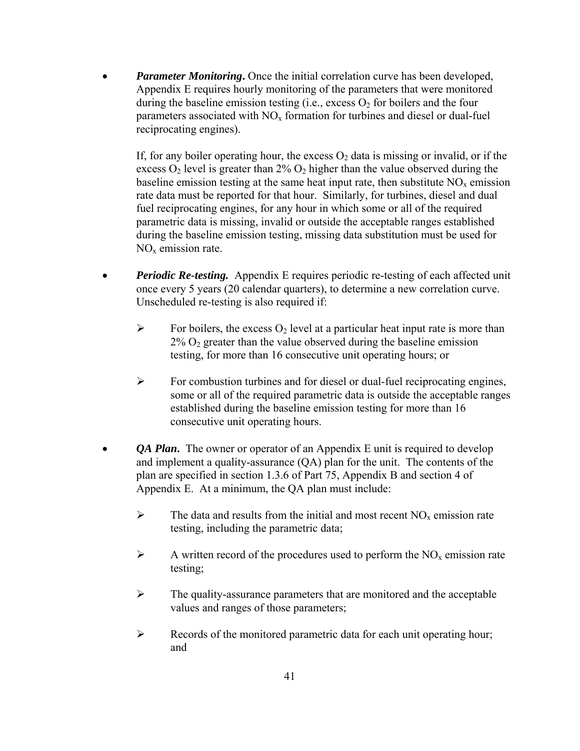• *Parameter Monitoring***.** Once the initial correlation curve has been developed, Appendix E requires hourly monitoring of the parameters that were monitored during the baseline emission testing (i.e., excess  $O_2$  for boilers and the four parameters associated with  $NO<sub>x</sub>$  formation for turbines and diesel or dual-fuel reciprocating engines).

If, for any boiler operating hour, the excess  $O_2$  data is missing or invalid, or if the excess  $O_2$  level is greater than  $2\% O_2$  higher than the value observed during the baseline emission testing at the same heat input rate, then substitute  $NO<sub>x</sub>$  emission rate data must be reported for that hour. Similarly, for turbines, diesel and dual fuel reciprocating engines, for any hour in which some or all of the required parametric data is missing, invalid or outside the acceptable ranges established during the baseline emission testing, missing data substitution must be used for  $NO<sub>x</sub>$  emission rate.

- *Periodic Re-testing.* Appendix E requires periodic re-testing of each affected unit once every 5 years (20 calendar quarters), to determine a new correlation curve. Unscheduled re-testing is also required if:
	- $\triangleright$  For boilers, the excess O<sub>2</sub> level at a particular heat input rate is more than  $2\%$  O<sub>2</sub> greater than the value observed during the baseline emission testing, for more than 16 consecutive unit operating hours; or
	- $\triangleright$  For combustion turbines and for diesel or dual-fuel reciprocating engines, some or all of the required parametric data is outside the acceptable ranges established during the baseline emission testing for more than 16 consecutive unit operating hours.
- *QA Plan*. The owner or operator of an Appendix E unit is required to develop and implement a quality-assurance (QA) plan for the unit. The contents of the plan are specified in section 1.3.6 of Part 75, Appendix B and section 4 of Appendix E.At a minimum, the QA plan must include:
	- $\triangleright$  The data and results from the initial and most recent NO<sub>x</sub> emission rate testing, including the parametric data;
	- $\triangleright$  A written record of the procedures used to perform the NO<sub>x</sub> emission rate testing;
	- $\triangleright$  The quality-assurance parameters that are monitored and the acceptable values and ranges of those parameters;
	- ¾ Records of the monitored parametric data for each unit operating hour; and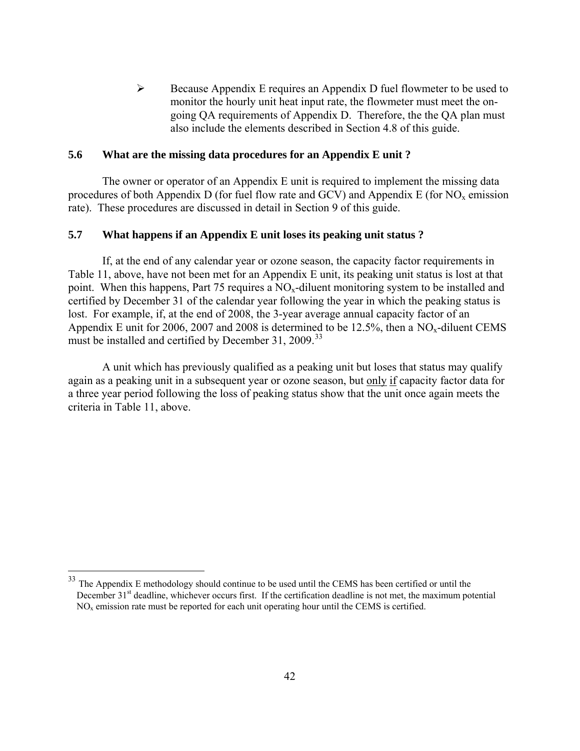$\triangleright$  Because Appendix E requires an Appendix D fuel flowmeter to be used to monitor the hourly unit heat input rate, the flowmeter must meet the ongoing QA requirements of Appendix D. Therefore, the the QA plan must also include the elements described in Section 4.8 of this guide.

#### **5.6 What are the missing data procedures for an Appendix E unit ?**

The owner or operator of an Appendix E unit is required to implement the missing data procedures of both Appendix D (for fuel flow rate and GCV) and Appendix E (for  $NO<sub>x</sub>$  emission rate). These procedures are discussed in detail in Section 9 of this guide.

#### **5.7 What happens if an Appendix E unit loses its peaking unit status ?**

If, at the end of any calendar year or ozone season, the capacity factor requirements in Table 11, above, have not been met for an Appendix E unit, its peaking unit status is lost at that point. When this happens, Part 75 requires a  $NO<sub>x</sub>$ -diluent monitoring system to be installed and certified by December 31 of the calendar year following the year in which the peaking status is lost. For example, if, at the end of 2008, the 3-year average annual capacity factor of an Appendix E unit for 2006, 2007 and 2008 is determined to be  $12.5\%$ , then a NO<sub>x</sub>-diluent CEMS must be installed and certified by December 31, 2009.<sup>[33](#page-48-0)</sup>

A unit which has previously qualified as a peaking unit but loses that status may qualify again as a peaking unit in a subsequent year or ozone season, but only if capacity factor data for a three year period following the loss of peaking status show that the unit once again meets the criteria in Table 11, above.

<span id="page-48-0"></span><sup>&</sup>lt;sup>33</sup> The Appendix E methodology should continue to be used until the CEMS has been certified or until the December 31<sup>st</sup> deadline, whichever occurs first. If the certification deadline is not met, the maximum potential  $NO<sub>x</sub>$  emission rate must be reported for each unit operating hour until the CEMS is certified.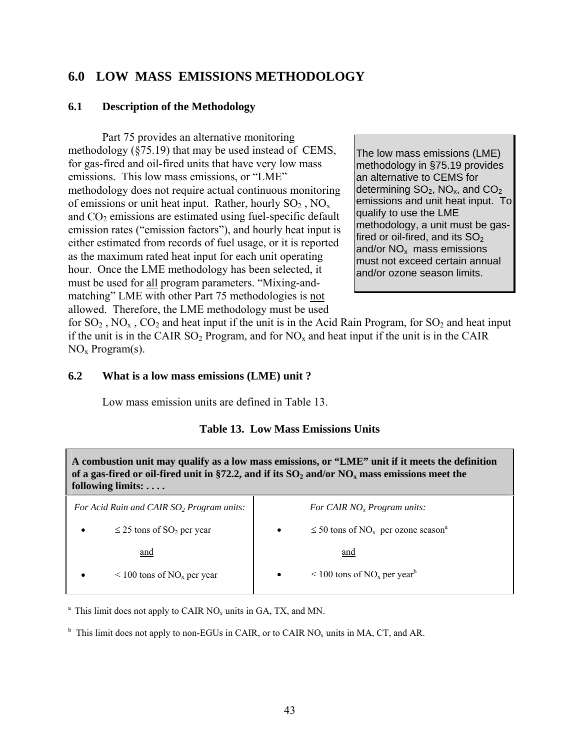# **6.0 LOW MASS EMISSIONS METHODOLOGY**

### **6.1 Description of the Methodology**

Part 75 provides an alternative monitoring methodology (§75.19) that may be used instead of CEMS, for gas-fired and oil-fired units that have very low mass emissions. This low mass emissions, or "LME" methodology does not require actual continuous monitoring of emissions or unit heat input. Rather, hourly  $SO_2$ ,  $NO<sub>x</sub>$ and  $CO<sub>2</sub>$  emissions are estimated using fuel-specific default emission rates ("emission factors"), and hourly heat input is either estimated from records of fuel usage, or it is reported as the maximum rated heat input for each unit operating hour. Once the LME methodology has been selected, it must be used for all program parameters. "Mixing-andmatching" LME with other Part 75 methodologies is not allowed. Therefore, the LME methodology must be used

The low mass emissions (LME) methodology in §75.19 provides an alternative to CEMS for determining  $SO_2$ , NO<sub>x</sub>, and  $CO_2$ emissions and unit heat input. To qualify to use the LME methodology, a unit must be gasfired or oil-fired, and its  $SO<sub>2</sub>$ and/or  $NO<sub>x</sub>$  mass emissions must not exceed certain annual and/or ozone season limits.

for  $SO_2$ ,  $NO_x$ ,  $CO_2$  and heat input if the unit is in the Acid Rain Program, for  $SO_2$  and heat input if the unit is in the CAIR  $SO_2$  Program, and for  $NO_x$  and heat input if the unit is in the CAIR  $NO<sub>x</sub> Program(s)$ .

#### **6.2 What is a low mass emissions (LME) unit ?**

Low mass emission units are defined in Table 13.

#### **Table 13. Low Mass Emissions Units**

**A combustion unit may qualify as a low mass emissions, or "LME" unit if it meets the definition**  of a gas-fired or oil-fired unit in  $\S72.2$ , and if its  $SO_2$  and/or  $NO_x$  mass emissions meet the **following limits: . . . .**

| For Acid Rain and CAIR SO <sub>2</sub> Program units: | For CAIR $NOx Program units$ :                                               |
|-------------------------------------------------------|------------------------------------------------------------------------------|
| $\leq$ 25 tons of SO <sub>2</sub> per year            | $\leq$ 50 tons of NO <sub>x</sub> per ozone season <sup>a</sup><br>$\bullet$ |
| and                                                   | and                                                                          |
| $\leq 100$ tons of NO <sub>x</sub> per year<br>٠      | $\leq 100$ tons of NO <sub>x</sub> per year <sup>b</sup><br>$\bullet$        |
|                                                       |                                                                              |

<sup>a</sup> This limit does not apply to CAIR  $NO_x$  units in GA, TX, and MN.

<sup>b</sup> This limit does not apply to non-EGUs in CAIR, or to CAIR NO<sub>x</sub> units in MA, CT, and AR.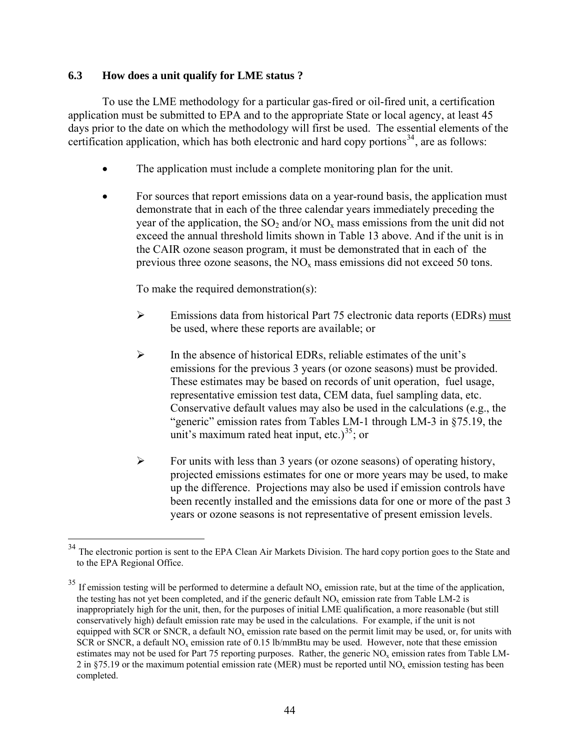### **6.3 How does a unit qualify for LME status ?**

To use the LME methodology for a particular gas-fired or oil-fired unit, a certification application must be submitted to EPA and to the appropriate State or local agency, at least 45 days prior to the date on which the methodology will first be used. The essential elements of the certification application, which has both electronic and hard copy portions<sup>[34](#page-50-0)</sup>, are as follows:

- The application must include a complete monitoring plan for the unit.
- For sources that report emissions data on a year-round basis, the application must demonstrate that in each of the three calendar years immediately preceding the year of the application, the  $SO_2$  and/or  $NO_x$  mass emissions from the unit did not exceed the annual threshold limits shown in Table 13 above. And if the unit is in the CAIR ozone season program, it must be demonstrated that in each of the previous three ozone seasons, the  $NO<sub>x</sub>$  mass emissions did not exceed 50 tons.

To make the required demonstration(s):

- ¾ Emissions data from historical Part 75 electronic data reports (EDRs) must be used, where these reports are available; or
- ¾ In the absence of historical EDRs, reliable estimates of the unit's emissions for the previous 3 years (or ozone seasons) must be provided. These estimates may be based on records of unit operation, fuel usage, representative emission test data, CEM data, fuel sampling data, etc. Conservative default values may also be used in the calculations (e.g., the "generic" emission rates from Tables LM-1 through LM-3 in §75.19, the unit's maximum rated heat input, etc.)<sup>[35](#page-50-1)</sup>; or
- $\triangleright$  For units with less than 3 years (or ozone seasons) of operating history, projected emissions estimates for one or more years may be used, to make up the difference. Projections may also be used if emission controls have been recently installed and the emissions data for one or more of the past 3 years or ozone seasons is not representative of present emission levels.

<span id="page-50-0"></span><sup>&</sup>lt;sup>34</sup> The electronic portion is sent to the EPA Clean Air Markets Division. The hard copy portion goes to the State and to the EPA Regional Office.

<span id="page-50-1"></span> $35$  If emission testing will be performed to determine a default NO<sub>x</sub> emission rate, but at the time of the application, the testing has not yet been completed, and if the generic default  $NO<sub>x</sub>$  emission rate from Table LM-2 is inappropriately high for the unit, then, for the purposes of initial LME qualification, a more reasonable (but still conservatively high) default emission rate may be used in the calculations. For example, if the unit is not equipped with SCR or SNCR, a default  $NO<sub>x</sub>$  emission rate based on the permit limit may be used, or, for units with SCR or SNCR, a default  $NO<sub>x</sub>$  emission rate of 0.15 lb/mmBtu may be used. However, note that these emission estimates may not be used for Part 75 reporting purposes. Rather, the generic NO<sub>y</sub> emission rates from Table LM-2 in  $\S$ 75.19 or the maximum potential emission rate (MER) must be reported until NO<sub>x</sub> emission testing has been completed.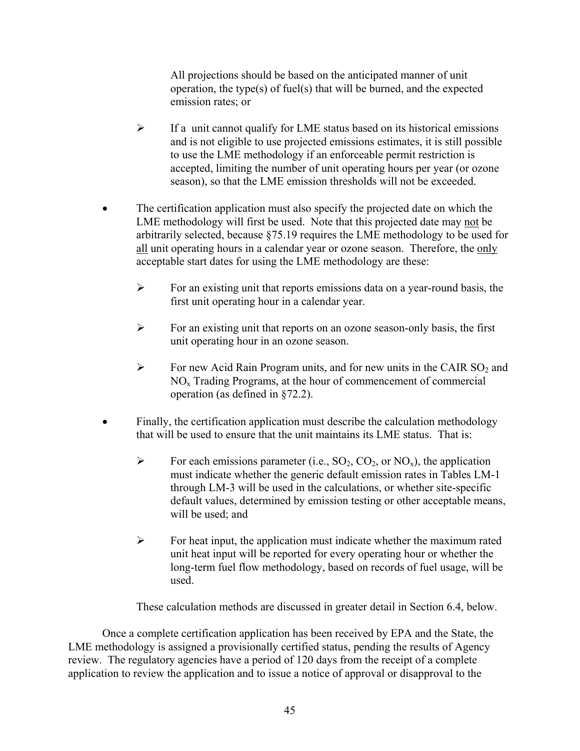All projections should be based on the anticipated manner of unit operation, the type(s) of fuel(s) that will be burned, and the expected emission rates; or

- $\triangleright$  If a unit cannot qualify for LME status based on its historical emissions and is not eligible to use projected emissions estimates, it is still possible to use the LME methodology if an enforceable permit restriction is accepted, limiting the number of unit operating hours per year (or ozone season), so that the LME emission thresholds will not be exceeded.
- The certification application must also specify the projected date on which the LME methodology will first be used. Note that this projected date may not be arbitrarily selected, because §75.19 requires the LME methodology to be used for all unit operating hours in a calendar year or ozone season. Therefore, the only acceptable start dates for using the LME methodology are these:
	- $\triangleright$  For an existing unit that reports emissions data on a year-round basis, the first unit operating hour in a calendar year.
	- ¾ For an existing unit that reports on an ozone season-only basis, the first unit operating hour in an ozone season.
	- $\triangleright$  For new Acid Rain Program units, and for new units in the CAIR SO<sub>2</sub> and NOx Trading Programs, at the hour of commencement of commercial operation (as defined in §72.2).
- Finally, the certification application must describe the calculation methodology that will be used to ensure that the unit maintains its LME status. That is:
	- $\triangleright$  For each emissions parameter (i.e., SO<sub>2</sub>, CO<sub>2</sub>, or NO<sub>x</sub>), the application must indicate whether the generic default emission rates in Tables LM-1 through LM-3 will be used in the calculations, or whether site-specific default values, determined by emission testing or other acceptable means, will be used; and
	- $\triangleright$  For heat input, the application must indicate whether the maximum rated unit heat input will be reported for every operating hour or whether the long-term fuel flow methodology, based on records of fuel usage, will be used.

These calculation methods are discussed in greater detail in Section 6.4, below.

Once a complete certification application has been received by EPA and the State, the LME methodology is assigned a provisionally certified status, pending the results of Agency review. The regulatory agencies have a period of 120 days from the receipt of a complete application to review the application and to issue a notice of approval or disapproval to the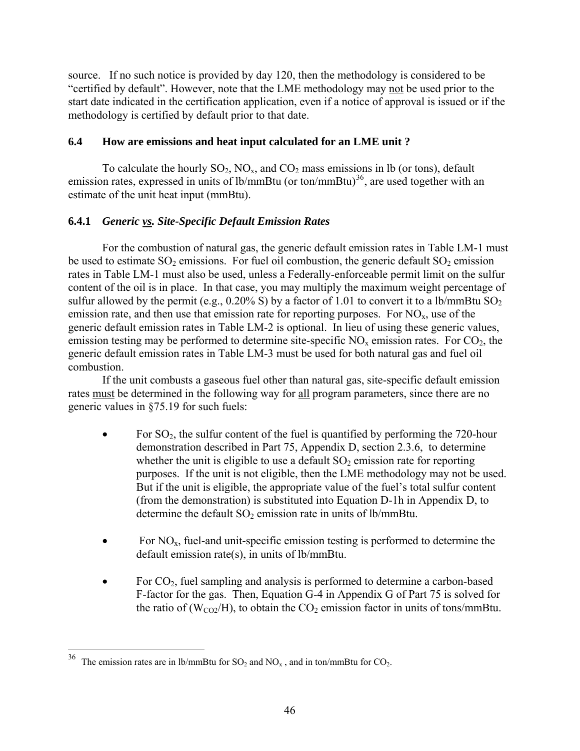source. If no such notice is provided by day 120, then the methodology is considered to be "certified by default". However, note that the LME methodology may not be used prior to the start date indicated in the certification application, even if a notice of approval is issued or if the methodology is certified by default prior to that date.

# **6.4 How are emissions and heat input calculated for an LME unit ?**

To calculate the hourly  $SO_2$ ,  $NO_x$ , and  $CO_2$  mass emissions in lb (or tons), default emission rates, expressed in units of lb/mmBtu (or ton/mmBtu)<sup>[36](#page-52-0)</sup>, are used together with an estimate of the unit heat input (mmBtu).

### **6.4.1** *Generic vs. Site-Specific Default Emission Rates*

For the combustion of natural gas, the generic default emission rates in Table LM-1 must be used to estimate  $SO_2$  emissions. For fuel oil combustion, the generic default  $SO_2$  emission rates in Table LM-1 must also be used, unless a Federally-enforceable permit limit on the sulfur content of the oil is in place. In that case, you may multiply the maximum weight percentage of sulfur allowed by the permit (e.g.,  $0.20\%$  S) by a factor of 1.01 to convert it to a lb/mmBtu SO<sub>2</sub> emission rate, and then use that emission rate for reporting purposes. For  $NO<sub>x</sub>$ , use of the generic default emission rates in Table LM-2 is optional. In lieu of using these generic values, emission testing may be performed to determine site-specific  $NO<sub>x</sub>$  emission rates. For  $CO<sub>2</sub>$ , the generic default emission rates in Table LM-3 must be used for both natural gas and fuel oil combustion.

If the unit combusts a gaseous fuel other than natural gas, site-specific default emission rates must be determined in the following way for all program parameters, since there are no generic values in §75.19 for such fuels:

- For  $SO_2$ , the sulfur content of the fuel is quantified by performing the 720-hour demonstration described in Part 75, Appendix D, section 2.3.6, to determine whether the unit is eligible to use a default  $SO<sub>2</sub>$  emission rate for reporting purposes. If the unit is not eligible, then the LME methodology may not be used. But if the unit is eligible, the appropriate value of the fuel's total sulfur content (from the demonstration) is substituted into Equation D-1h in Appendix D, to determine the default  $SO_2$  emission rate in units of lb/mmBtu.
- For  $NO<sub>x</sub>$ , fuel-and unit-specific emission testing is performed to determine the default emission rate(s), in units of lb/mmBtu.
- For  $CO<sub>2</sub>$ , fuel sampling and analysis is performed to determine a carbon-based F-factor for the gas. Then, Equation G-4 in Appendix G of Part 75 is solved for the ratio of ( $W_{CO2}/H$ ), to obtain the  $CO<sub>2</sub>$  emission factor in units of tons/mmBtu.

<span id="page-52-0"></span><sup>&</sup>lt;sup>36</sup> The emission rates are in lb/mmBtu for  $SO_2$  and  $NO_x$ , and in ton/mmBtu for  $CO_2$ .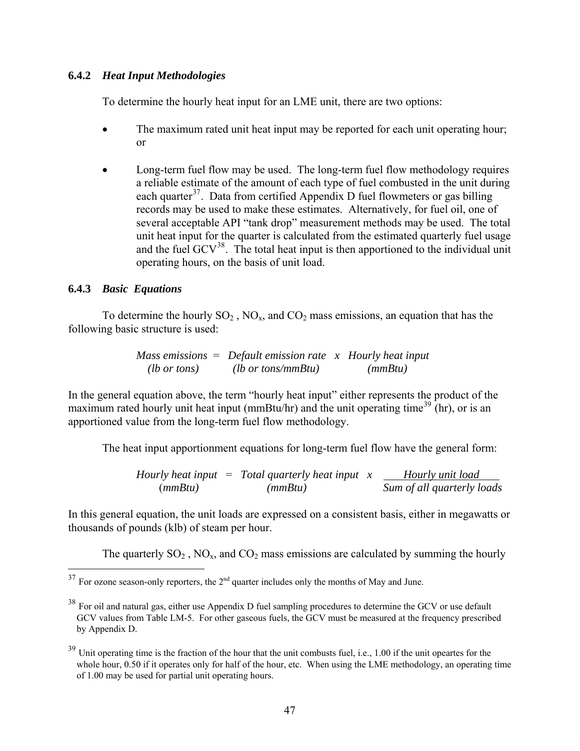### **6.4.2** *Heat Input Methodologies*

To determine the hourly heat input for an LME unit, there are two options:

- The maximum rated unit heat input may be reported for each unit operating hour; or
- Long-term fuel flow may be used. The long-term fuel flow methodology requires a reliable estimate of the amount of each type of fuel combusted in the unit during each quarter<sup>[37](#page-53-0)</sup>. Data from certified Appendix D fuel flowmeters or gas billing records may be used to make these estimates. Alternatively, for fuel oil, one of several acceptable API "tank drop" measurement methods may be used. The total unit heat input for the quarter is calculated from the estimated quarterly fuel usage and the fuel  $GCV^{38}$  $GCV^{38}$  $GCV^{38}$ . The total heat input is then apportioned to the individual unit operating hours, on the basis of unit load.

### **6.4.3** *Basic Equations*

 $\overline{a}$ 

To determine the hourly  $SO_2$ ,  $NO_x$ , and  $CO_2$  mass emissions, an equation that has the following basic structure is used:

> *Mass emissions* = *Default emission rate x Hourly heat input (lb or tons) (lb or tons/mmBtu) (mmBtu)*

In the general equation above, the term "hourly heat input" either represents the product of the maximum rated hourly unit heat input (mmBtu/hr) and the unit operating time<sup>[39](#page-53-2)</sup> (hr), or is an apportioned value from the long-term fuel flow methodology.

The heat input apportionment equations for long-term fuel flow have the general form:

*Hourly heat input*  = *Total quarterly heat input*  $x$  <u>*\_\_\_ Hourly unit load*</u> (*mmBtu) (mmBtu) Sum of all quarterly loads*

In this general equation, the unit loads are expressed on a consistent basis, either in megawatts or thousands of pounds (klb) of steam per hour.

The quarterly  $SO_2$ ,  $NO_x$ , and  $CO_2$  mass emissions are calculated by summing the hourly

<span id="page-53-0"></span> $37$  For ozone season-only reporters, the  $2<sup>nd</sup>$  quarter includes only the months of May and June.

<span id="page-53-1"></span><sup>&</sup>lt;sup>38</sup> For oil and natural gas, either use Appendix D fuel sampling procedures to determine the GCV or use default GCV values from Table LM-5. For other gaseous fuels, the GCV must be measured at the frequency prescribed by Appendix D.

<span id="page-53-2"></span> $39$  Unit operating time is the fraction of the hour that the unit combusts fuel, i.e., 1.00 if the unit opeartes for the whole hour, 0.50 if it operates only for half of the hour, etc. When using the LME methodology, an operating time of 1.00 may be used for partial unit operating hours.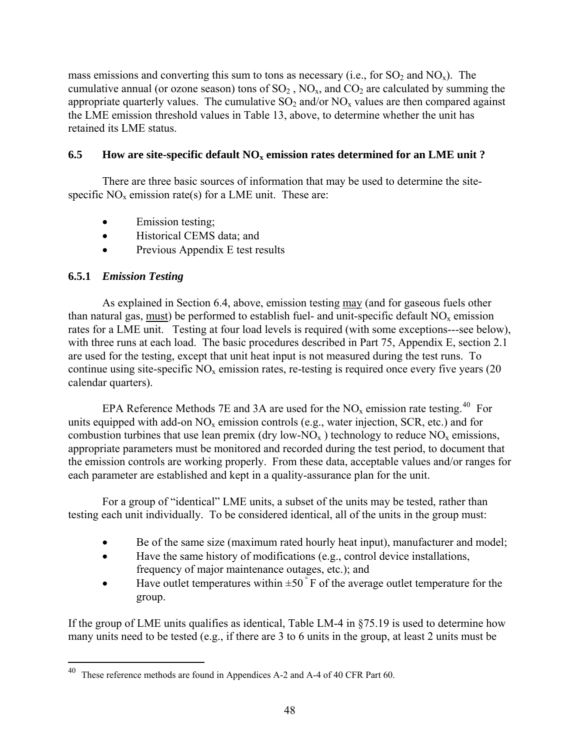mass emissions and converting this sum to tons as necessary (i.e., for  $SO_2$  and  $NO_x$ ). The cumulative annual (or ozone season) tons of  $SO_2$ ,  $NO_x$ , and  $CO_2$  are calculated by summing the appropriate quarterly values. The cumulative  $SO_2$  and/or  $NO_x$  values are then compared against the LME emission threshold values in Table 13, above, to determine whether the unit has retained its LME status.

# **6.5** How are site-specific default  $NO_x$  emission rates determined for an LME unit ?

There are three basic sources of information that may be used to determine the sitespecific  $NO<sub>x</sub>$  emission rate(s) for a LME unit. These are:

- Emission testing;
- Historical CEMS data; and
- Previous Appendix E test results

# **6.5.1** *Emission Testing*

 $\overline{a}$ 

As explained in Section 6.4, above, emission testing may (and for gaseous fuels other than natural gas, must) be performed to establish fuel- and unit-specific default  $NO<sub>x</sub>$  emission rates for a LME unit. Testing at four load levels is required (with some exceptions---see below), with three runs at each load. The basic procedures described in Part 75, Appendix E, section 2.1 are used for the testing, except that unit heat input is not measured during the test runs. To continue using site-specific  $NO<sub>x</sub>$  emission rates, re-testing is required once every five years (20) calendar quarters).

EPA Reference Methods 7E and 3A are used for the  $NO<sub>x</sub>$  emission rate testing.<sup>[40](#page-54-0)</sup> For units equipped with add-on  $NO<sub>x</sub>$  emission controls (e.g., water injection, SCR, etc.) and for combustion turbines that use lean premix (dry low-NO<sub>x</sub>) technology to reduce  $NO<sub>x</sub>$  emissions, appropriate parameters must be monitored and recorded during the test period, to document that the emission controls are working properly. From these data, acceptable values and/or ranges for each parameter are established and kept in a quality-assurance plan for the unit.

For a group of "identical" LME units, a subset of the units may be tested, rather than testing each unit individually. To be considered identical, all of the units in the group must:

- Be of the same size (maximum rated hourly heat input), manufacturer and model;
- Have the same history of modifications (e.g., control device installations, frequency of major maintenance outages, etc.); and
- Have outlet temperatures within  $\pm 50^\circ$  F of the average outlet temperature for the group.

If the group of LME units qualifies as identical, Table LM-4 in §75.19 is used to determine how many units need to be tested (e.g., if there are 3 to 6 units in the group, at least 2 units must be

<span id="page-54-0"></span><sup>40</sup> These reference methods are found in Appendices A-2 and A-4 of 40 CFR Part 60.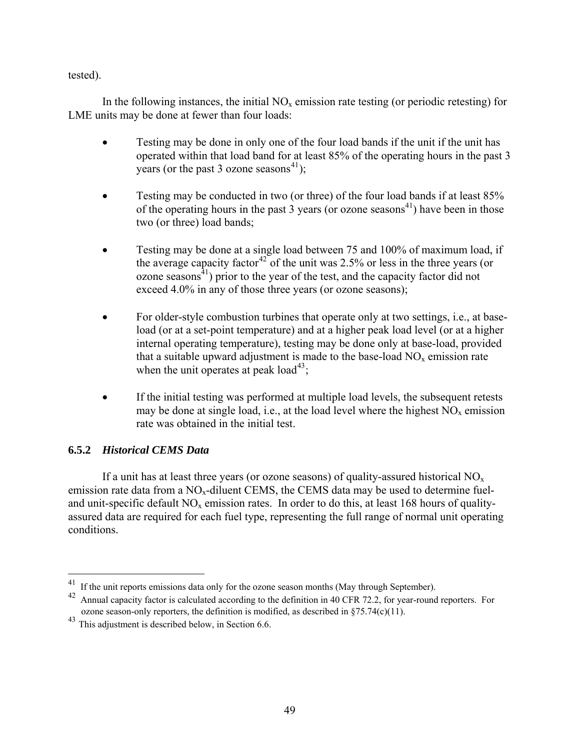tested).

In the following instances, the initial  $NO<sub>x</sub>$  emission rate testing (or periodic retesting) for LME units may be done at fewer than four loads:

- Testing may be done in only one of the four load bands if the unit if the unit has operated within that load band for at least 85% of the operating hours in the past 3 years (or the past 3 ozone seasons<sup>[41](#page-55-0)</sup>);
- Testing may be conducted in two (or three) of the four load bands if at least 85% of the operating hours in the past 3 years (or ozone seasons<sup>41</sup>) have been in those two (or three) load bands;
- Testing may be done at a single load between 75 and 100% of maximum load, if the average capacity factor<sup>[42](#page-55-1)</sup> of the unit was 2.5% or less in the three years (or ozone seasons $^{41}$ ) prior to the year of the test, and the capacity factor did not exceed 4.0% in any of those three years (or ozone seasons);
- For older-style combustion turbines that operate only at two settings, i.e., at baseload (or at a set-point temperature) and at a higher peak load level (or at a higher internal operating temperature), testing may be done only at base-load, provided that a suitable upward adjustment is made to the base-load  $NO<sub>x</sub>$  emission rate when the unit operates at peak load<sup>[43](#page-55-2)</sup>;
- If the initial testing was performed at multiple load levels, the subsequent retests may be done at single load, i.e., at the load level where the highest  $NO<sub>x</sub>$  emission rate was obtained in the initial test.

# **6.5.2** *Historical CEMS Data*

 $\overline{a}$ 

If a unit has at least three years (or ozone seasons) of quality-assured historical  $NO<sub>x</sub>$ emission rate data from a  $NO<sub>x</sub>$ -diluent CEMS, the CEMS data may be used to determine fueland unit-specific default NO<sub>x</sub> emission rates. In order to do this, at least 168 hours of qualityassured data are required for each fuel type, representing the full range of normal unit operating conditions.

<span id="page-55-0"></span><sup>41</sup> If the unit reports emissions data only for the ozone season months (May through September).

<span id="page-55-1"></span><sup>&</sup>lt;sup>42</sup> Annual capacity factor is calculated according to the definition in 40 CFR 72.2, for year-round reporters. For ozone season-only reporters, the definition is modified, as described in  $875.74(c)(11)$ .

<span id="page-55-2"></span><sup>43</sup> This adjustment is described below, in Section 6.6.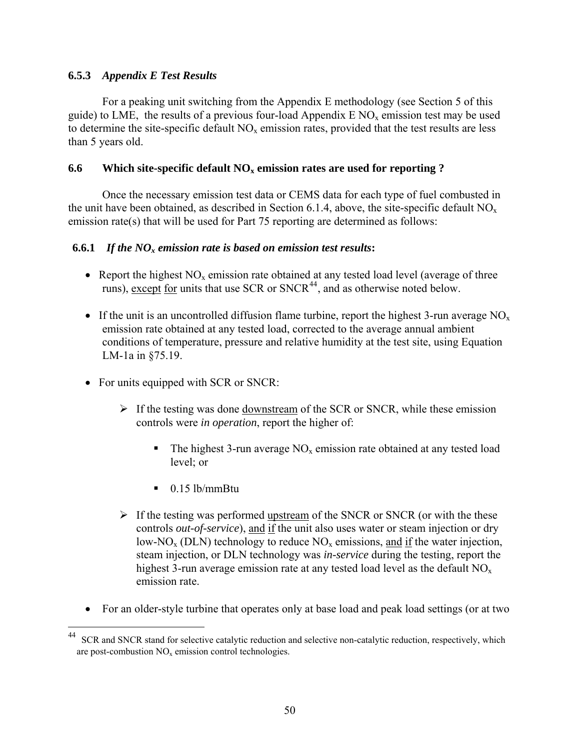# **6.5.3** *Appendix E Test Results*

For a peaking unit switching from the Appendix E methodology (see Section 5 of this guide) to LME, the results of a previous four-load Appendix  $E NO_x$  emission test may be used to determine the site-specific default  $NO<sub>x</sub>$  emission rates, provided that the test results are less than 5 years old.

### **6.6 Which site-specific default NOx emission rates are used for reporting ?**

Once the necessary emission test data or CEMS data for each type of fuel combusted in the unit have been obtained, as described in Section 6.1.4, above, the site-specific default  $NO<sub>x</sub>$ emission rate(s) that will be used for Part 75 reporting are determined as follows:

### **6.6.1** *If the NOx emission rate is based on emission test results***:**

- Report the highest  $NO<sub>x</sub>$  emission rate obtained at any tested load level (average of three runs), except for units that use SCR or  $SNCR<sup>44</sup>$  $SNCR<sup>44</sup>$  $SNCR<sup>44</sup>$ , and as otherwise noted below.
- If the unit is an uncontrolled diffusion flame turbine, report the highest 3-run average  $NO<sub>x</sub>$ emission rate obtained at any tested load, corrected to the average annual ambient conditions of temperature, pressure and relative humidity at the test site, using Equation LM-1a in §75.19.
- For units equipped with SCR or SNCR:
	- $\triangleright$  If the testing was done downstream of the SCR or SNCR, while these emission controls were *in operation*, report the higher of:
		- The highest 3-run average  $NO<sub>x</sub>$  emission rate obtained at any tested load level; or
		- $\blacksquare$  0.15 lb/mmBtu

- $\triangleright$  If the testing was performed upstream of the SNCR or SNCR (or with the these controls *out-of-service*), and if the unit also uses water or steam injection or dry low-NO<sub>x</sub> (DLN) technology to reduce  $NO<sub>x</sub>$  emissions, and if the water injection, steam injection, or DLN technology was *in-service* during the testing, report the highest 3-run average emission rate at any tested load level as the default  $NO<sub>x</sub>$ emission rate.
- For an older-style turbine that operates only at base load and peak load settings (or at two

<span id="page-56-0"></span>SCR and SNCR stand for selective catalytic reduction and selective non-catalytic reduction, respectively, which are post-combustion  $NO<sub>x</sub>$  emission control technologies.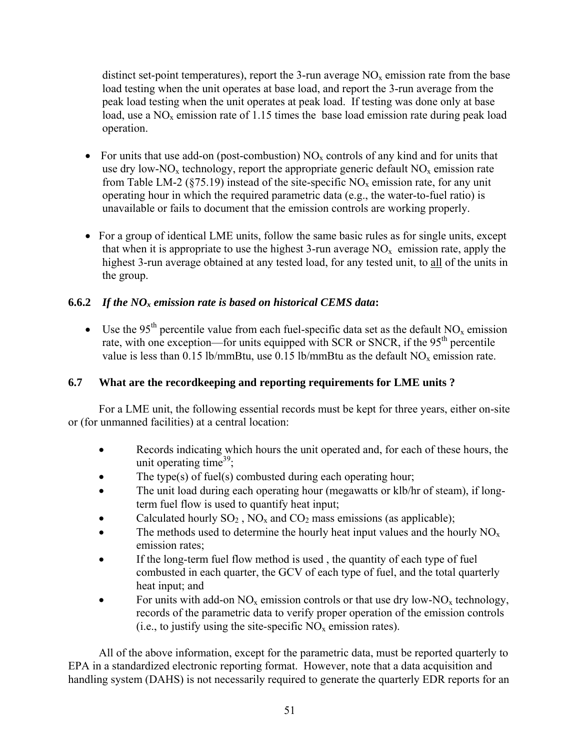distinct set-point temperatures), report the 3-run average  $NO<sub>x</sub>$  emission rate from the base load testing when the unit operates at base load, and report the 3-run average from the peak load testing when the unit operates at peak load. If testing was done only at base load, use a  $NO<sub>x</sub>$  emission rate of 1.15 times the base load emission rate during peak load operation.

- For units that use add-on (post-combustion)  $NO<sub>x</sub>$  controls of any kind and for units that use dry low-NO<sub>x</sub> technology, report the appropriate generic default  $NO<sub>x</sub>$  emission rate from Table LM-2 (§75.19) instead of the site-specific  $NO<sub>x</sub>$  emission rate, for any unit operating hour in which the required parametric data (e.g., the water-to-fuel ratio) is unavailable or fails to document that the emission controls are working properly.
- For a group of identical LME units, follow the same basic rules as for single units, except that when it is appropriate to use the highest 3-run average  $NO<sub>x</sub>$  emission rate, apply the highest 3-run average obtained at any tested load, for any tested unit, to all of the units in the group.

# **6.6.2** *If the NOx emission rate is based on historical CEMS data***:**

• Use the 95<sup>th</sup> percentile value from each fuel-specific data set as the default  $NO_x$  emission rate, with one exception—for units equipped with SCR or SNCR, if the  $95<sup>th</sup>$  percentile value is less than 0.15 lb/mmBtu, use 0.15 lb/mmBtu as the default  $NO<sub>x</sub>$  emission rate.

# **6.7 What are the recordkeeping and reporting requirements for LME units ?**

For a LME unit, the following essential records must be kept for three years, either on-site or (for unmanned facilities) at a central location:

- Records indicating which hours the unit operated and, for each of these hours, the unit operating time<sup>39</sup>;
- The type(s) of fuel(s) combusted during each operating hour;
- The unit load during each operating hour (megawatts or klb/hr of steam), if longterm fuel flow is used to quantify heat input;
- Calculated hourly  $SO_2$ ,  $NO_x$  and  $CO_2$  mass emissions (as applicable);
- The methods used to determine the hourly heat input values and the hourly NO<sub>x</sub> emission rates;
- If the long-term fuel flow method is used, the quantity of each type of fuel combusted in each quarter, the GCV of each type of fuel, and the total quarterly heat input; and
- For units with add-on  $NO_x$  emission controls or that use dry low- $NO_x$  technology, records of the parametric data to verify proper operation of the emission controls (i.e., to justify using the site-specific  $NO_x$  emission rates).

All of the above information, except for the parametric data, must be reported quarterly to EPA in a standardized electronic reporting format. However, note that a data acquisition and handling system (DAHS) is not necessarily required to generate the quarterly EDR reports for an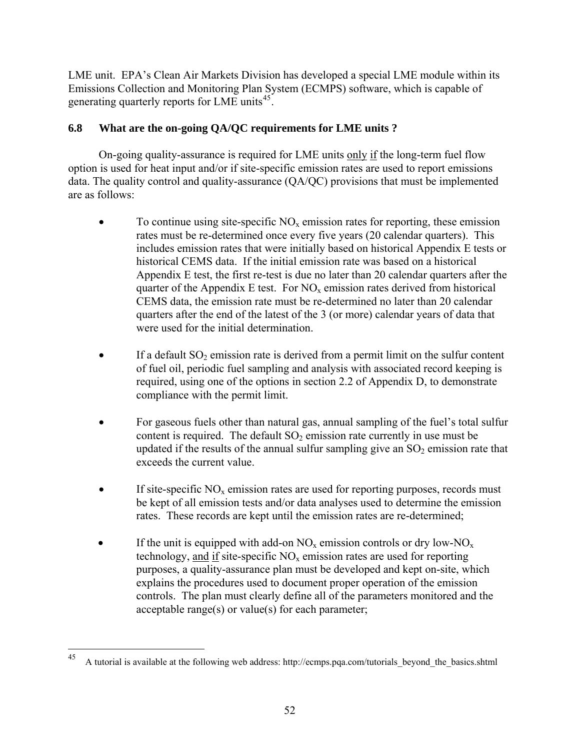LME unit. EPA's Clean Air Markets Division has developed a special LME module within its Emissions Collection and Monitoring Plan System (ECMPS) software, which is capable of generating quarterly reports for LME units<sup>[45](#page-58-0)</sup>.

# **6.8 What are the on-going QA/QC requirements for LME units ?**

On-going quality-assurance is required for LME units only if the long-term fuel flow option is used for heat input and/or if site-specific emission rates are used to report emissions data. The quality control and quality-assurance (QA/QC) provisions that must be implemented are as follows:

- To continue using site-specific  $NO<sub>x</sub>$  emission rates for reporting, these emission rates must be re-determined once every five years (20 calendar quarters). This includes emission rates that were initially based on historical Appendix E tests or historical CEMS data. If the initial emission rate was based on a historical Appendix E test, the first re-test is due no later than 20 calendar quarters after the quarter of the Appendix E test. For  $NO<sub>x</sub>$  emission rates derived from historical CEMS data, the emission rate must be re-determined no later than 20 calendar quarters after the end of the latest of the 3 (or more) calendar years of data that were used for the initial determination.
- If a default  $SO_2$  emission rate is derived from a permit limit on the sulfur content of fuel oil, periodic fuel sampling and analysis with associated record keeping is required, using one of the options in section 2.2 of Appendix D, to demonstrate compliance with the permit limit.
- For gaseous fuels other than natural gas, annual sampling of the fuel's total sulfur content is required. The default  $SO_2$  emission rate currently in use must be updated if the results of the annual sulfur sampling give an  $SO<sub>2</sub>$  emission rate that exceeds the current value.
- If site-specific  $NO<sub>x</sub>$  emission rates are used for reporting purposes, records must be kept of all emission tests and/or data analyses used to determine the emission rates. These records are kept until the emission rates are re-determined;
- If the unit is equipped with add-on  $NO_x$  emission controls or dry low- $NO_x$ technology, and if site-specific  $NO<sub>x</sub>$  emission rates are used for reporting purposes, a quality-assurance plan must be developed and kept on-site, which explains the procedures used to document proper operation of the emission controls. The plan must clearly define all of the parameters monitored and the acceptable range(s) or value(s) for each parameter;

<span id="page-58-0"></span><sup>45</sup> A tutorial is available at the following web address: http://ecmps.pqa.com/tutorials\_beyond\_the\_basics.shtml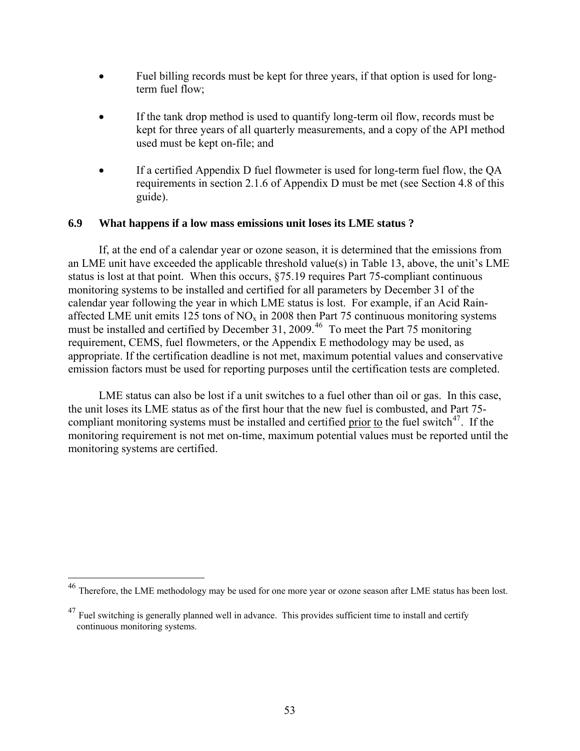- Fuel billing records must be kept for three years, if that option is used for longterm fuel flow;
- If the tank drop method is used to quantify long-term oil flow, records must be kept for three years of all quarterly measurements, and a copy of the API method used must be kept on-file; and
- If a certified Appendix D fuel flowmeter is used for long-term fuel flow, the QA requirements in section 2.1.6 of Appendix D must be met (see Section 4.8 of this guide).

### **6.9 What happens if a low mass emissions unit loses its LME status ?**

If, at the end of a calendar year or ozone season, it is determined that the emissions from an LME unit have exceeded the applicable threshold value(s) in Table 13, above, the unit's LME status is lost at that point. When this occurs, §75.19 requires Part 75-compliant continuous monitoring systems to be installed and certified for all parameters by December 31 of the calendar year following the year in which LME status is lost. For example, if an Acid Rainaffected LME unit emits 125 tons of  $NO<sub>x</sub>$  in 2008 then Part 75 continuous monitoring systems must be installed and certified by December 31, 2009.<sup>[46](#page-59-0)</sup> To meet the Part 75 monitoring requirement, CEMS, fuel flowmeters, or the Appendix E methodology may be used, as appropriate. If the certification deadline is not met, maximum potential values and conservative emission factors must be used for reporting purposes until the certification tests are completed.

LME status can also be lost if a unit switches to a fuel other than oil or gas. In this case, the unit loses its LME status as of the first hour that the new fuel is combusted, and Part 75 compliant monitoring systems must be installed and certified prior to the fuel switch $47$ . If the monitoring requirement is not met on-time, maximum potential values must be reported until the monitoring systems are certified.

<span id="page-59-0"></span><sup>46</sup> Therefore, the LME methodology may be used for one more year or ozone season after LME status has been lost.

<span id="page-59-1"></span><sup>&</sup>lt;sup>47</sup> Fuel switching is generally planned well in advance. This provides sufficient time to install and certify continuous monitoring systems.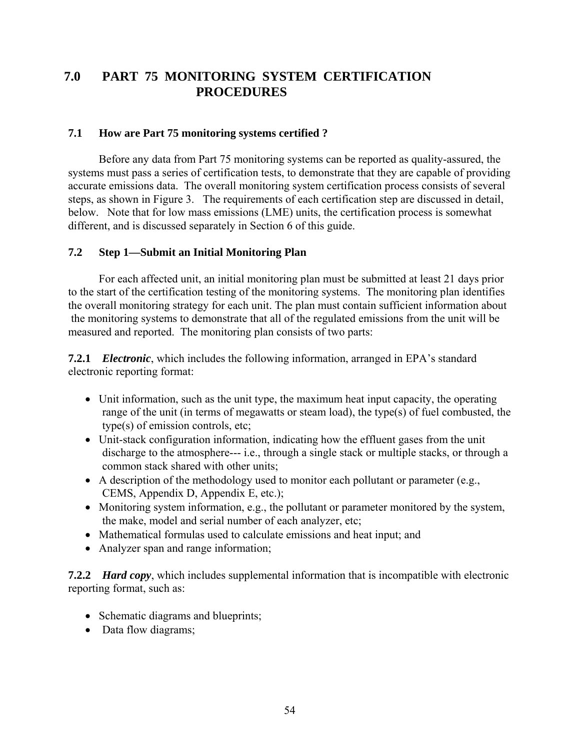# **7.0 PART 75 MONITORING SYSTEM CERTIFICATION PROCEDURES**

# **7.1 How are Part 75 monitoring systems certified ?**

Before any data from Part 75 monitoring systems can be reported as quality-assured, the systems must pass a series of certification tests, to demonstrate that they are capable of providing accurate emissions data. The overall monitoring system certification process consists of several steps, as shown in Figure 3. The requirements of each certification step are discussed in detail, below. Note that for low mass emissions (LME) units, the certification process is somewhat different, and is discussed separately in Section 6 of this guide.

### **7.2 Step 1—Submit an Initial Monitoring Plan**

For each affected unit, an initial monitoring plan must be submitted at least 21 days prior to the start of the certification testing of the monitoring systems. The monitoring plan identifies the overall monitoring strategy for each unit. The plan must contain sufficient information about the monitoring systems to demonstrate that all of the regulated emissions from the unit will be measured and reported. The monitoring plan consists of two parts:

**7.2.1** *Electronic*, which includes the following information, arranged in EPA's standard electronic reporting format:

- Unit information, such as the unit type, the maximum heat input capacity, the operating range of the unit (in terms of megawatts or steam load), the type(s) of fuel combusted, the type(s) of emission controls, etc;
- Unit-stack configuration information, indicating how the effluent gases from the unit discharge to the atmosphere--- i.e., through a single stack or multiple stacks, or through a common stack shared with other units;
- A description of the methodology used to monitor each pollutant or parameter (e.g., CEMS, Appendix D, Appendix E, etc.);
- Monitoring system information, e.g., the pollutant or parameter monitored by the system, the make, model and serial number of each analyzer, etc;
- Mathematical formulas used to calculate emissions and heat input; and
- Analyzer span and range information;

**7.2.2** *Hard copy*, which includes supplemental information that is incompatible with electronic reporting format, such as:

- Schematic diagrams and blueprints;
- Data flow diagrams;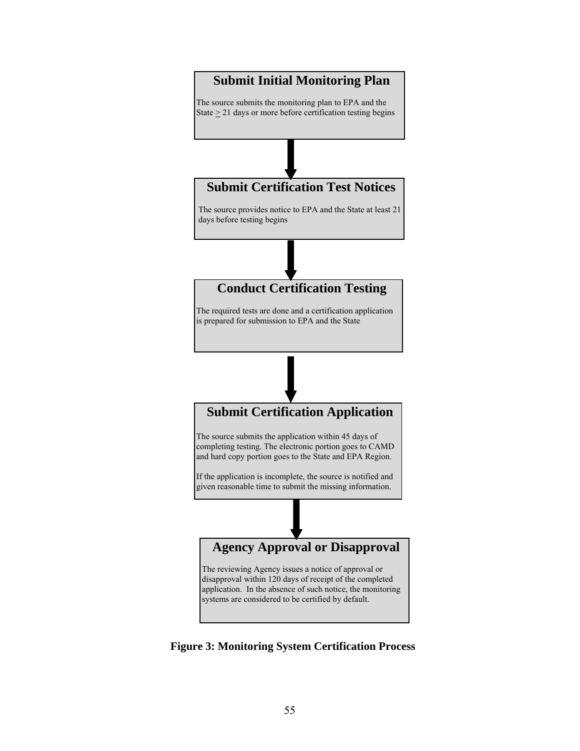

 **Figure 3: Monitoring System Certification Process**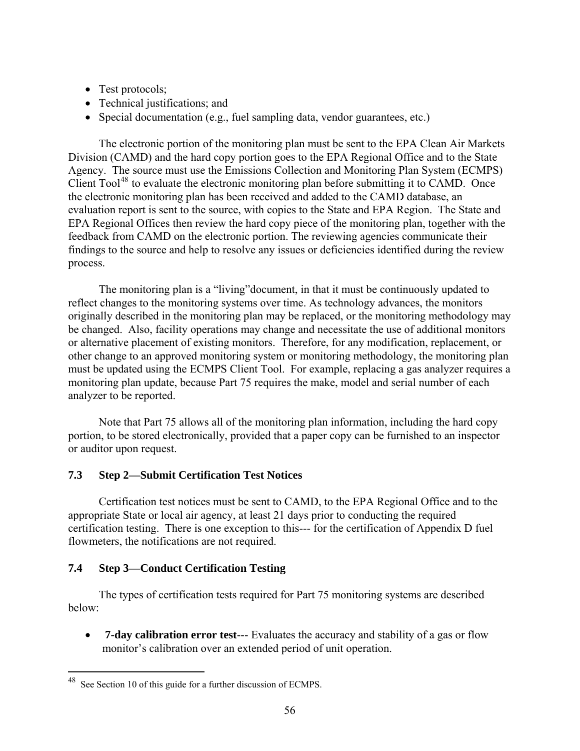- Test protocols;
- Technical justifications; and
- Special documentation (e.g., fuel sampling data, vendor guarantees, etc.)

The electronic portion of the monitoring plan must be sent to the EPA Clean Air Markets Division (CAMD) and the hard copy portion goes to the EPA Regional Office and to the State Agency. The source must use the Emissions Collection and Monitoring Plan System (ECMPS) Client Tool<sup>[48](#page-62-0)</sup> to evaluate the electronic monitoring plan before submitting it to CAMD. Once the electronic monitoring plan has been received and added to the CAMD database, an evaluation report is sent to the source, with copies to the State and EPA Region. The State and EPA Regional Offices then review the hard copy piece of the monitoring plan, together with the feedback from CAMD on the electronic portion. The reviewing agencies communicate their findings to the source and help to resolve any issues or deficiencies identified during the review process.

The monitoring plan is a "living"document, in that it must be continuously updated to reflect changes to the monitoring systems over time. As technology advances, the monitors originally described in the monitoring plan may be replaced, or the monitoring methodology may be changed. Also, facility operations may change and necessitate the use of additional monitors or alternative placement of existing monitors. Therefore, for any modification, replacement, or other change to an approved monitoring system or monitoring methodology, the monitoring plan must be updated using the ECMPS Client Tool. For example, replacing a gas analyzer requires a monitoring plan update, because Part 75 requires the make, model and serial number of each analyzer to be reported.

Note that Part 75 allows all of the monitoring plan information, including the hard copy portion, to be stored electronically, provided that a paper copy can be furnished to an inspector or auditor upon request.

# **7.3 Step 2—Submit Certification Test Notices**

Certification test notices must be sent to CAMD, to the EPA Regional Office and to the appropriate State or local air agency, at least 21 days prior to conducting the required certification testing. There is one exception to this--- for the certification of Appendix D fuel flowmeters, the notifications are not required.

# **7.4 Step 3—Conduct Certification Testing**

 $\overline{a}$ 

The types of certification tests required for Part 75 monitoring systems are described below:

• **7-day calibration error test**--- Evaluates the accuracy and stability of a gas or flow monitor's calibration over an extended period of unit operation.

<span id="page-62-0"></span> $48$  See Section 10 of this guide for a further discussion of ECMPS.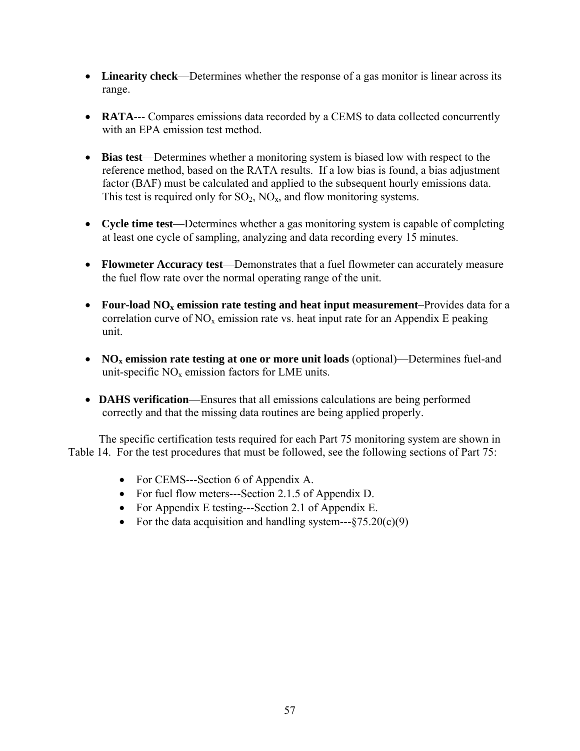- • **Linearity check**—Determines whether the response of a gas monitor is linear across its range.
- **RATA**--- Compares emissions data recorded by a CEMS to data collected concurrently with an EPA emission test method.
- • **Bias test**—Determines whether a monitoring system is biased low with respect to the reference method, based on the RATA results. If a low bias is found, a bias adjustment factor (BAF) must be calculated and applied to the subsequent hourly emissions data. This test is required only for  $SO_2$ ,  $NO_x$ , and flow monitoring systems.
- • **Cycle time test**—Determines whether a gas monitoring system is capable of completing at least one cycle of sampling, analyzing and data recording every 15 minutes.
- **Flowmeter Accuracy test—Demonstrates that a fuel flowmeter can accurately measure** the fuel flow rate over the normal operating range of the unit.
- **Four-load NO<sub>x</sub> emission rate testing and heat input measurement–Provides data for a** correlation curve of  $NO<sub>x</sub>$  emission rate vs. heat input rate for an Appendix E peaking unit.
- **NO<sub>x</sub> emission rate testing at one or more unit loads** (optional)—Determines fuel-and unit-specific  $NO<sub>x</sub>$  emission factors for LME units.
- **DAHS verification**—Ensures that all emissions calculations are being performed correctly and that the missing data routines are being applied properly.

The specific certification tests required for each Part 75 monitoring system are shown in Table 14. For the test procedures that must be followed, see the following sections of Part 75:

- For CEMS---Section 6 of Appendix A.
- For fuel flow meters---Section 2.1.5 of Appendix D.
- For Appendix E testing—-Section 2.1 of Appendix E.
- For the data acquisition and handling system— $-$ §75.20(c)(9)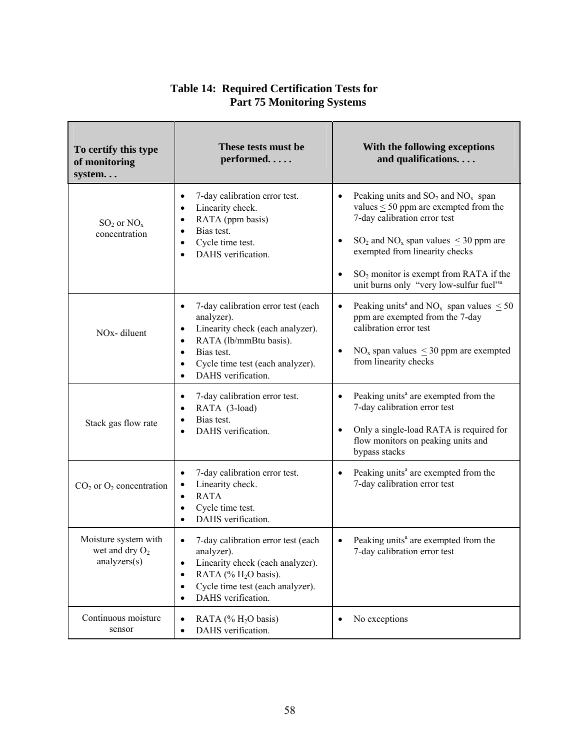| To certify this type<br>of monitoring<br>system          | These tests must be<br>performed                                                                                                                                                                                                                                     | With the following exceptions<br>and qualifications                                                                                                                                                                                                                                                                                   |  |
|----------------------------------------------------------|----------------------------------------------------------------------------------------------------------------------------------------------------------------------------------------------------------------------------------------------------------------------|---------------------------------------------------------------------------------------------------------------------------------------------------------------------------------------------------------------------------------------------------------------------------------------------------------------------------------------|--|
| $SO_2$ or $NO_x$<br>concentration                        | 7-day calibration error test.<br>Linearity check.<br>$\bullet$<br>RATA (ppm basis)<br>Bias test.<br>Cycle time test.<br>$\bullet$<br>DAHS verification.                                                                                                              | Peaking units and $SO_2$ and $NO_x$ span<br>values $\leq 50$ ppm are exempted from the<br>7-day calibration error test<br>$SO_2$ and $NO_x$ span values $\leq$ 30 ppm are<br>$\bullet$<br>exempted from linearity checks<br>SO <sub>2</sub> monitor is exempt from RATA if the<br>unit burns only "very low-sulfur fuel" <sup>a</sup> |  |
| NO <sub>x</sub> -diluent                                 | 7-day calibration error test (each<br>$\bullet$<br>analyzer).<br>Linearity check (each analyzer).<br>$\bullet$<br>RATA (lb/mmBtu basis).<br>$\bullet$<br>Bias test.<br>$\bullet$<br>Cycle time test (each analyzer).<br>$\bullet$<br>DAHS verification.<br>$\bullet$ | Peaking units <sup>a</sup> and NO <sub>x</sub> span values $\leq 50$<br>$\bullet$<br>ppm are exempted from the 7-day<br>calibration error test<br>$NOx$ span values $\leq$ 30 ppm are exempted<br>$\bullet$<br>from linearity checks                                                                                                  |  |
| Stack gas flow rate                                      | 7-day calibration error test.<br>$\bullet$<br>RATA (3-load)<br>$\bullet$<br>Bias test.<br>$\bullet$<br>DAHS verification.<br>$\bullet$                                                                                                                               | Peaking units <sup>a</sup> are exempted from the<br>$\bullet$<br>7-day calibration error test<br>Only a single-load RATA is required for<br>flow monitors on peaking units and<br>bypass stacks                                                                                                                                       |  |
| $CO2$ or $O2$ concentration                              | 7-day calibration error test.<br>$\bullet$<br>Linearity check.<br><b>RATA</b><br>$\bullet$<br>Cycle time test.<br>$\bullet$<br>DAHS verification.                                                                                                                    | Peaking units <sup>a</sup> are exempted from the<br>$\bullet$<br>7-day calibration error test                                                                                                                                                                                                                                         |  |
| Moisture system with<br>wet and dry $O_2$<br>analysis(s) | 7-day calibration error test (each<br>$\bullet$<br>analyzer).<br>Linearity check (each analyzer).<br>$\bullet$<br>RATA (% $H2O$ basis).<br>$\bullet$<br>Cycle time test (each analyzer).<br>$\bullet$<br>DAHS verification.<br>$\bullet$                             | Peaking units <sup>a</sup> are exempted from the<br>7-day calibration error test                                                                                                                                                                                                                                                      |  |
| Continuous moisture<br>sensor                            | RATA (% $H2O$ basis)<br>$\bullet$<br>DAHS verification.<br>$\bullet$                                                                                                                                                                                                 | No exceptions<br>$\bullet$                                                                                                                                                                                                                                                                                                            |  |

# **Table 14: Required Certification Tests for Part 75 Monitoring Systems**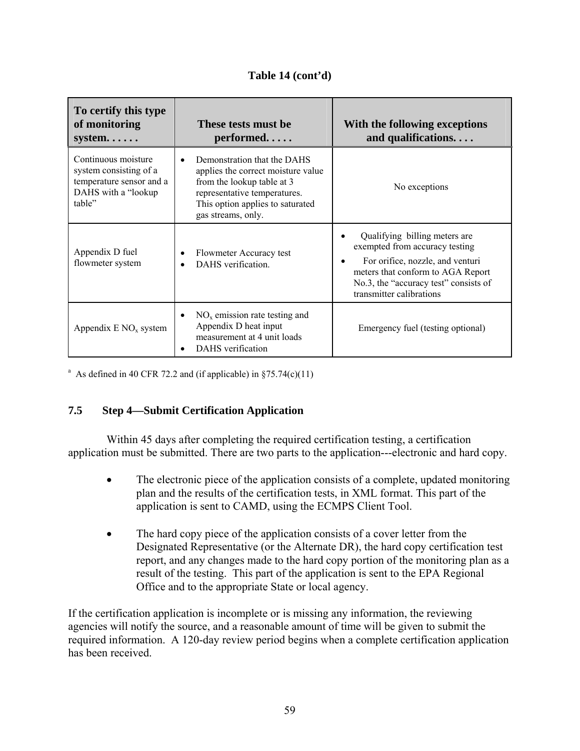# **Table 14 (cont'd)**

| To certify this type<br>of monitoring<br>$system. \ldots$ .                                                | These tests must be<br>$performed.\ldots$ .                                                                                                                                                            | With the following exceptions<br>and qualifications                                                                                                                                                                                     |  |
|------------------------------------------------------------------------------------------------------------|--------------------------------------------------------------------------------------------------------------------------------------------------------------------------------------------------------|-----------------------------------------------------------------------------------------------------------------------------------------------------------------------------------------------------------------------------------------|--|
| Continuous moisture<br>system consisting of a<br>temperature sensor and a<br>DAHS with a "lookup<br>table" | Demonstration that the DAHS<br>$\bullet$<br>applies the correct moisture value<br>from the lookup table at 3<br>representative temperatures.<br>This option applies to saturated<br>gas streams, only. | No exceptions                                                                                                                                                                                                                           |  |
| Appendix D fuel<br>flowmeter system                                                                        | Flowmeter Accuracy test<br>$\bullet$<br>DAHS verification.                                                                                                                                             | Qualifying billing meters are<br>$\bullet$<br>exempted from accuracy testing<br>For orifice, nozzle, and venturi<br>$\bullet$<br>meters that conform to AGA Report<br>No.3, the "accuracy test" consists of<br>transmitter calibrations |  |
| Appendix $E NO_x$ system                                                                                   | $NOx$ emission rate testing and<br>$\bullet$<br>Appendix D heat input<br>measurement at 4 unit loads<br>DAHS verification                                                                              | Emergency fuel (testing optional)                                                                                                                                                                                                       |  |

<sup>a</sup> As defined in 40 CFR 72.2 and (if applicable) in  $\S 75.74(c)(11)$ 

# **7.5 Step 4—Submit Certification Application**

Within 45 days after completing the required certification testing, a certification application must be submitted. There are two parts to the application---electronic and hard copy.

- The electronic piece of the application consists of a complete, updated monitoring plan and the results of the certification tests, in XML format. This part of the application is sent to CAMD, using the ECMPS Client Tool.
- The hard copy piece of the application consists of a cover letter from the Designated Representative (or the Alternate DR), the hard copy certification test report, and any changes made to the hard copy portion of the monitoring plan as a result of the testing. This part of the application is sent to the EPA Regional Office and to the appropriate State or local agency.

If the certification application is incomplete or is missing any information, the reviewing agencies will notify the source, and a reasonable amount of time will be given to submit the required information. A 120-day review period begins when a complete certification application has been received.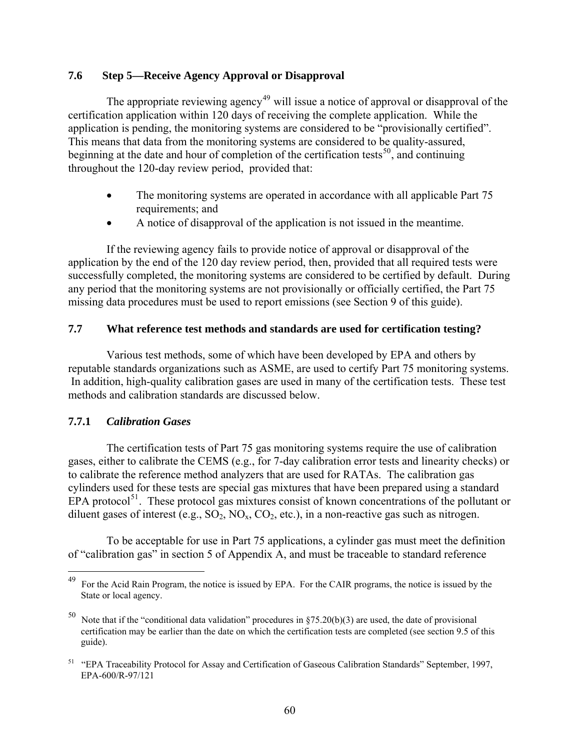# **7.6 Step 5—Receive Agency Approval or Disapproval**

The appropriate reviewing agency<sup>[49](#page-66-0)</sup> will issue a notice of approval or disapproval of the certification application within 120 days of receiving the complete application. While the application is pending, the monitoring systems are considered to be "provisionally certified". This means that data from the monitoring systems are considered to be quality-assured, beginning at the date and hour of completion of the certification tests<sup>[50](#page-66-1)</sup>, and continuing throughout the 120-day review period, provided that:

- The monitoring systems are operated in accordance with all applicable Part 75 requirements; and
- A notice of disapproval of the application is not issued in the meantime.

If the reviewing agency fails to provide notice of approval or disapproval of the application by the end of the 120 day review period, then, provided that all required tests were successfully completed, the monitoring systems are considered to be certified by default. During any period that the monitoring systems are not provisionally or officially certified, the Part 75 missing data procedures must be used to report emissions (see Section 9 of this guide).

# **7.7 What reference test methods and standards are used for certification testing?**

Various test methods, some of which have been developed by EPA and others by reputable standards organizations such as ASME, are used to certify Part 75 monitoring systems. In addition, high-quality calibration gases are used in many of the certification tests. These test methods and calibration standards are discussed below.

# **7.7.1** *Calibration Gases*

 $\overline{a}$ 

The certification tests of Part 75 gas monitoring systems require the use of calibration gases, either to calibrate the CEMS (e.g., for 7-day calibration error tests and linearity checks) or to calibrate the reference method analyzers that are used for RATAs. The calibration gas cylinders used for these tests are special gas mixtures that have been prepared using a standard EPA protocol<sup>[51](#page-66-2)</sup>. These protocol gas mixtures consist of known concentrations of the pollutant or diluent gases of interest (e.g.,  $SO_2$ ,  $NO_x$ ,  $CO_2$ , etc.), in a non-reactive gas such as nitrogen.

To be acceptable for use in Part 75 applications, a cylinder gas must meet the definition of "calibration gas" in section 5 of Appendix A, and must be traceable to standard reference

<span id="page-66-0"></span><sup>49</sup> For the Acid Rain Program, the notice is issued by EPA. For the CAIR programs, the notice is issued by the State or local agency.

<span id="page-66-1"></span>Note that if the "conditional data validation" procedures in  $$75.20(b)(3)$  are used, the date of provisional certification may be earlier than the date on which the certification tests are completed (see section 9.5 of this guide).

<span id="page-66-2"></span><sup>51 &</sup>quot;EPA Traceability Protocol for Assay and Certification of Gaseous Calibration Standards" September, 1997, EPA-600/R-97/121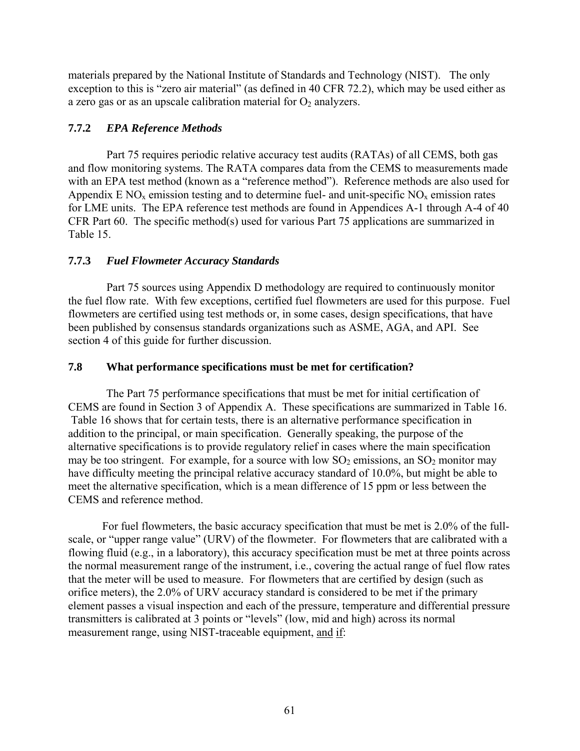materials prepared by the National Institute of Standards and Technology (NIST). The only exception to this is "zero air material" (as defined in 40 CFR 72.2), which may be used either as a zero gas or as an upscale calibration material for  $O_2$  analyzers.

# **7.7.2** *EPA Reference Methods*

Part 75 requires periodic relative accuracy test audits (RATAs) of all CEMS, both gas and flow monitoring systems. The RATA compares data from the CEMS to measurements made with an EPA test method (known as a "reference method"). Reference methods are also used for Appendix  $E NO_x$  emission testing and to determine fuel- and unit-specific  $NO_x$  emission rates for LME units. The EPA reference test methods are found in Appendices A-1 through A-4 of 40 CFR Part 60. The specific method(s) used for various Part 75 applications are summarized in Table 15.

# **7.7.3** *Fuel Flowmeter Accuracy Standards*

Part 75 sources using Appendix D methodology are required to continuously monitor the fuel flow rate. With few exceptions, certified fuel flowmeters are used for this purpose. Fuel flowmeters are certified using test methods or, in some cases, design specifications, that have been published by consensus standards organizations such as ASME, AGA, and API. See section 4 of this guide for further discussion.

# **7.8 What performance specifications must be met for certification?**

The Part 75 performance specifications that must be met for initial certification of CEMS are found in Section 3 of Appendix A. These specifications are summarized in Table 16. Table 16 shows that for certain tests, there is an alternative performance specification in addition to the principal, or main specification. Generally speaking, the purpose of the alternative specifications is to provide regulatory relief in cases where the main specification may be too stringent. For example, for a source with low  $SO_2$  emissions, an  $SO_2$  monitor may have difficulty meeting the principal relative accuracy standard of 10.0%, but might be able to meet the alternative specification, which is a mean difference of 15 ppm or less between the CEMS and reference method.

 For fuel flowmeters, the basic accuracy specification that must be met is 2.0% of the fullscale, or "upper range value" (URV) of the flowmeter. For flowmeters that are calibrated with a flowing fluid (e.g., in a laboratory), this accuracy specification must be met at three points across the normal measurement range of the instrument, i.e., covering the actual range of fuel flow rates that the meter will be used to measure. For flowmeters that are certified by design (such as orifice meters), the 2.0% of URV accuracy standard is considered to be met if the primary element passes a visual inspection and each of the pressure, temperature and differential pressure transmitters is calibrated at 3 points or "levels" (low, mid and high) across its normal measurement range, using NIST-traceable equipment, and if: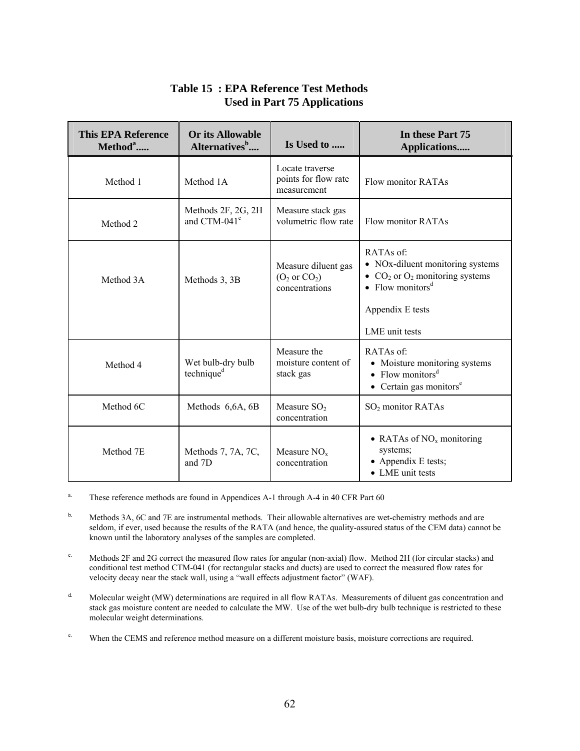| <b>This EPA Reference</b><br>Method <sup>a</sup> | <b>Or its Allowable</b><br>Alternatives <sup>b</sup> | In these Part 75<br>Is Used to<br>Applications                    |                                                                                                                                                           |  |
|--------------------------------------------------|------------------------------------------------------|-------------------------------------------------------------------|-----------------------------------------------------------------------------------------------------------------------------------------------------------|--|
| Method 1                                         | Method 1A                                            | Locate traverse<br>points for flow rate<br>measurement            | Flow monitor RATAs                                                                                                                                        |  |
| Method 2                                         | Methods 2F, 2G, 2H<br>and CTM-041 <sup>c</sup>       | Measure stack gas<br>volumetric flow rate                         | Flow monitor RATAs                                                                                                                                        |  |
| Method 3A                                        | Methods 3, 3B                                        | Measure diluent gas<br>$(O_2 \text{ or } CO_2)$<br>concentrations | RATAs of:<br>• NOx-diluent monitoring systems<br>• $CO2$ or $O2$ monitoring systems<br>• Flow monitors <sup>d</sup><br>Appendix E tests<br>LME unit tests |  |
| Method 4                                         | Wet bulb-dry bulb<br>technique <sup>d</sup>          | Measure the<br>moisture content of<br>stack gas                   | RATAs of:<br>• Moisture monitoring systems<br>• Flow monitors <sup>d</sup><br>$\bullet$ Certain gas monitors <sup>e</sup>                                 |  |
| Method 6C                                        | Methods 6,6A, 6B                                     | Measure $SO2$<br>concentration                                    | SO <sub>2</sub> monitor RATAs                                                                                                                             |  |
| Method 7E                                        | Methods 7, 7A, 7C,<br>and 7D                         | Measure $NOx$<br>concentration                                    | • RATAs of $NOx$ monitoring<br>systems;<br>• Appendix E tests;<br>• LME unit tests                                                                        |  |

# **Table 15 : EPA Reference Test Methods Used in Part 75 Applications**

<sup>a.</sup> These reference methods are found in Appendices A-1 through A-4 in 40 CFR Part 60

<sup>b.</sup> Methods 3A, 6C and 7E are instrumental methods. Their allowable alternatives are wet-chemistry methods and are seldom, if ever, used because the results of the RATA (and hence, the quality-assured status of the CEM data) cannot be known until the laboratory analyses of the samples are completed.

<sup>c.</sup> Methods 2F and 2G correct the measured flow rates for angular (non-axial) flow. Method 2H (for circular stacks) and conditional test method CTM-041 (for rectangular stacks and ducts) are used to correct the measured flow rates for velocity decay near the stack wall, using a "wall effects adjustment factor" (WAF).

<sup>d.</sup> Molecular weight (MW) determinations are required in all flow RATAs. Measurements of diluent gas concentration and stack gas moisture content are needed to calculate the MW. Use of the wet bulb-dry bulb technique is restricted to these molecular weight determinations.

e. When the CEMS and reference method measure on a different moisture basis, moisture corrections are required.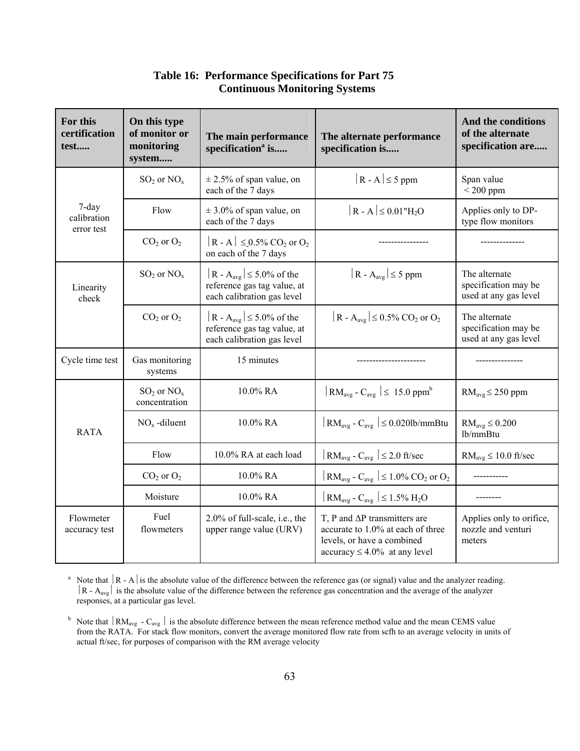| For this<br>certification<br>test  | On this type<br>of monitor or<br>monitoring<br>system | The main performance<br>specification <sup>a</sup> is                                                 | The alternate performance<br>specification is                                                                                                 | And the conditions<br>of the alternate<br>specification are    |
|------------------------------------|-------------------------------------------------------|-------------------------------------------------------------------------------------------------------|-----------------------------------------------------------------------------------------------------------------------------------------------|----------------------------------------------------------------|
|                                    | $SO_2$ or $NO_x$                                      | $\pm$ 2.5% of span value, on<br>each of the 7 days                                                    | $ R - A  \leq 5$ ppm                                                                                                                          | Span value<br>$<$ 200 ppm                                      |
| 7-day<br>calibration<br>error test | Flow                                                  | $\pm$ 3.0% of span value, on<br>each of the 7 days                                                    | $ R - A  \leq 0.01$ "H <sub>2</sub> O                                                                                                         | Applies only to DP-<br>type flow monitors                      |
|                                    | $CO2$ or $O2$                                         | $ R - A  \le 0.5\%$ CO <sub>2</sub> or O <sub>2</sub><br>on each of the 7 days                        |                                                                                                                                               |                                                                |
| Linearity<br>check                 | $SO_2$ or $NO_x$                                      | R - A <sub>avg</sub> $\leq 5.0\%$ of the<br>reference gas tag value, at<br>each calibration gas level | $ R - A_{avg}  \le 5$ ppm                                                                                                                     | The alternate<br>specification may be<br>used at any gas level |
|                                    | $CO2$ or $O2$                                         | $ R - A_{avg}  \le 5.0\%$ of the<br>reference gas tag value, at<br>each calibration gas level         | $ R - A_{avg}  \le 0.5\%$ CO <sub>2</sub> or O <sub>2</sub>                                                                                   | The alternate<br>specification may be<br>used at any gas level |
| Cycle time test                    | Gas monitoring<br>systems                             | 15 minutes                                                                                            |                                                                                                                                               |                                                                |
| <b>RATA</b>                        | $SO_2$ or $NO_x$<br>concentration                     | 10.0% RA                                                                                              | $\vert$ RM <sub>avg</sub> - C <sub>avg</sub> $\vert \leq 15.0$ ppm <sup>b</sup>                                                               | $RM_{avg}$ $\leq$ 250 ppm                                      |
|                                    | $NOx$ -diluent                                        | 10.0% RA                                                                                              | $ RM_{avg} - C_{avg}  \leq 0.020$ lb/mmBtu                                                                                                    | $RM_{avg} \leq 0.200$<br>lb/mmBtu                              |
|                                    | Flow                                                  | 10.0% RA at each load                                                                                 | $\vert$ RM <sub>avg</sub> - C <sub>avg</sub> $\vert \leq 2.0$ ft/sec                                                                          | $RM_{avg} \leq 10.0$ ft/sec                                    |
|                                    | $CO2$ or $O2$                                         | 10.0% RA                                                                                              | $\left  \text{RM}_{\text{avg}} \right $ - $\text{C}_{\text{avg}} \left  \leq 1.0\% \text{ CO}_2 \text{ or } \text{O}_2 \right $               |                                                                |
|                                    | Moisture                                              | 10.0% RA                                                                                              | $\vert$ RM <sub>avg</sub> - C <sub>avg</sub> $\vert \leq 1.5\%$ H <sub>2</sub> O                                                              |                                                                |
| Flowmeter<br>accuracy test         | Fuel<br>flowmeters                                    | 2.0% of full-scale, i.e., the<br>upper range value (URV)                                              | T, P and $\Delta P$ transmitters are<br>accurate to 1.0% at each of three<br>levels, or have a combined<br>$accuracy \leq 4.0\%$ at any level | Applies only to orifice,<br>nozzle and venturi<br>meters       |

**Table 16: Performance Specifications for Part 75 Continuous Monitoring Systems**

<sup>a</sup> Note that  $|R - A|$  is the absolute value of the difference between the reference gas (or signal) value and the analyzer reading.  $|R - A_{avg}|$  is the absolute value of the difference between the reference gas concentration and the average of the analyzer responses, at a particular gas level.

<sup>b</sup> Note that  $|RM_{avg} - C_{avg}|$  is the absolute difference between the mean reference method value and the mean CEMS value from the RATA. For stack flow monitors, convert the average monitored flow rate from scfh to an average velocity in units of actual ft/sec, for purposes of comparison with the RM average velocity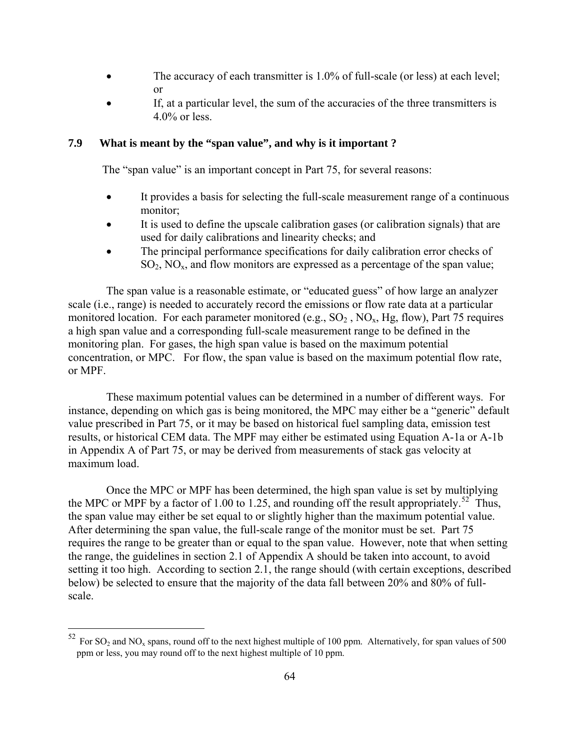- The accuracy of each transmitter is 1.0% of full-scale (or less) at each level; or
- If, at a particular level, the sum of the accuracies of the three transmitters is 4.0% or less.

#### **7.9 What is meant by the "span value", and why is it important ?**

The "span value" is an important concept in Part 75, for several reasons:

- It provides a basis for selecting the full-scale measurement range of a continuous monitor;
- It is used to define the upscale calibration gases (or calibration signals) that are used for daily calibrations and linearity checks; and
- The principal performance specifications for daily calibration error checks of  $SO_2$ ,  $NO_x$ , and flow monitors are expressed as a percentage of the span value;

The span value is a reasonable estimate, or "educated guess" of how large an analyzer scale (i.e., range) is needed to accurately record the emissions or flow rate data at a particular monitored location. For each parameter monitored (e.g.,  $SO_2$ ,  $NO_x$ ,  $Hg$ , flow), Part 75 requires a high span value and a corresponding full-scale measurement range to be defined in the monitoring plan. For gases, the high span value is based on the maximum potential concentration, or MPC. For flow, the span value is based on the maximum potential flow rate, or MPF.

These maximum potential values can be determined in a number of different ways. For instance, depending on which gas is being monitored, the MPC may either be a "generic" default value prescribed in Part 75, or it may be based on historical fuel sampling data, emission test results, or historical CEM data. The MPF may either be estimated using Equation A-1a or A-1b in Appendix A of Part 75, or may be derived from measurements of stack gas velocity at maximum load.

Once the MPC or MPF has been determined, the high span value is set by multiplying the MPC or MPF by a factor of 1.00 to 1.25, and rounding off the result appropriately.<sup>[52](#page-70-0)</sup> Thus, the span value may either be set equal to or slightly higher than the maximum potential value. After determining the span value, the full-scale range of the monitor must be set. Part 75 requires the range to be greater than or equal to the span value. However, note that when setting the range, the guidelines in section 2.1 of Appendix A should be taken into account, to avoid setting it too high. According to section 2.1, the range should (with certain exceptions, described below) be selected to ensure that the majority of the data fall between 20% and 80% of fullscale.

<span id="page-70-0"></span> $52$  For SO<sub>2</sub> and NO<sub>x</sub> spans, round off to the next highest multiple of 100 ppm. Alternatively, for span values of 500 ppm or less, you may round off to the next highest multiple of 10 ppm.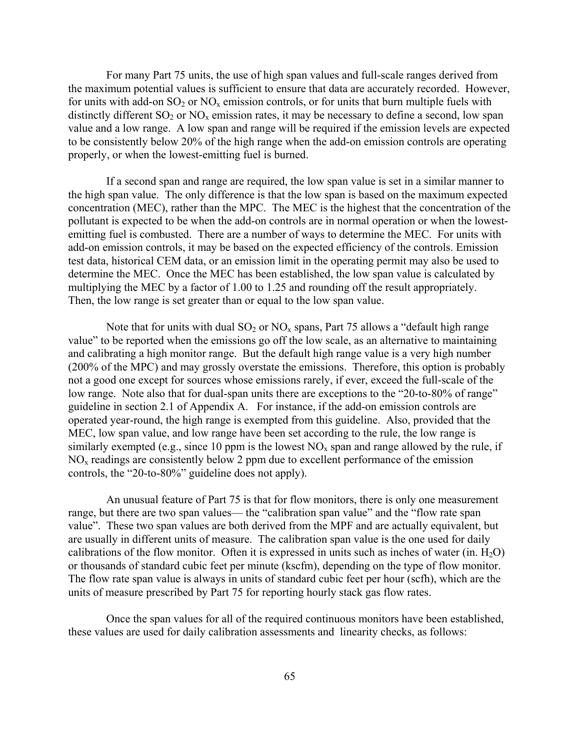For many Part 75 units, the use of high span values and full-scale ranges derived from the maximum potential values is sufficient to ensure that data are accurately recorded. However, for units with add-on  $SO_2$  or  $NO_x$  emission controls, or for units that burn multiple fuels with distinctly different  $SO_2$  or  $NO_x$  emission rates, it may be necessary to define a second, low span value and a low range. A low span and range will be required if the emission levels are expected to be consistently below 20% of the high range when the add-on emission controls are operating properly, or when the lowest-emitting fuel is burned.

If a second span and range are required, the low span value is set in a similar manner to the high span value. The only difference is that the low span is based on the maximum expected concentration (MEC), rather than the MPC. The MEC is the highest that the concentration of the pollutant is expected to be when the add-on controls are in normal operation or when the lowestemitting fuel is combusted. There are a number of ways to determine the MEC. For units with add-on emission controls, it may be based on the expected efficiency of the controls. Emission test data, historical CEM data, or an emission limit in the operating permit may also be used to determine the MEC. Once the MEC has been established, the low span value is calculated by multiplying the MEC by a factor of 1.00 to 1.25 and rounding off the result appropriately. Then, the low range is set greater than or equal to the low span value.

Note that for units with dual  $SO_2$  or  $NO_x$  spans, Part 75 allows a "default high range" value" to be reported when the emissions go off the low scale, as an alternative to maintaining and calibrating a high monitor range. But the default high range value is a very high number (200% of the MPC) and may grossly overstate the emissions. Therefore, this option is probably not a good one except for sources whose emissions rarely, if ever, exceed the full-scale of the low range. Note also that for dual-span units there are exceptions to the "20-to-80% of range" guideline in section 2.1 of Appendix A. For instance, if the add-on emission controls are operated year-round, the high range is exempted from this guideline. Also, provided that the MEC, low span value, and low range have been set according to the rule, the low range is similarly exempted (e.g., since 10 ppm is the lowest  $NO<sub>x</sub>$  span and range allowed by the rule, if NOx readings are consistently below 2 ppm due to excellent performance of the emission controls, the "20-to-80%" guideline does not apply).

An unusual feature of Part 75 is that for flow monitors, there is only one measurement range, but there are two span values— the "calibration span value" and the "flow rate span value". These two span values are both derived from the MPF and are actually equivalent, but are usually in different units of measure. The calibration span value is the one used for daily calibrations of the flow monitor. Often it is expressed in units such as inches of water (in.  $H_2O$ ) or thousands of standard cubic feet per minute (kscfm), depending on the type of flow monitor. The flow rate span value is always in units of standard cubic feet per hour (scfh), which are the units of measure prescribed by Part 75 for reporting hourly stack gas flow rates.

Once the span values for all of the required continuous monitors have been established, these values are used for daily calibration assessments and linearity checks, as follows: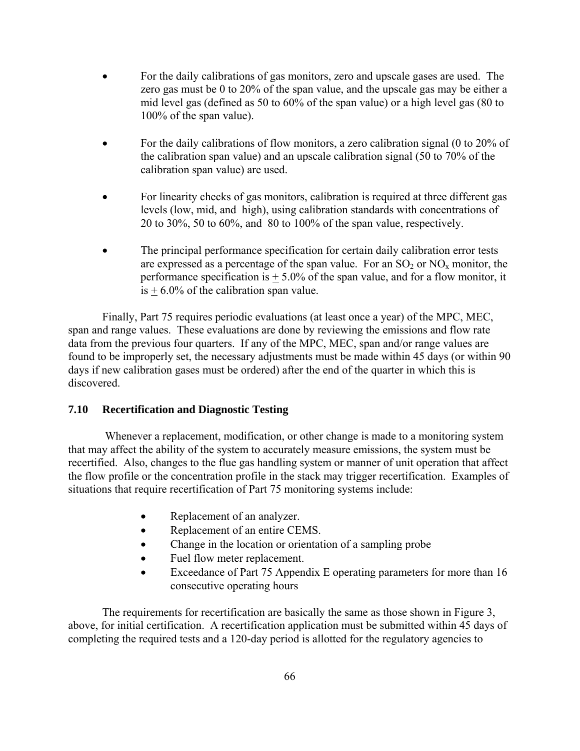- For the daily calibrations of gas monitors, zero and upscale gases are used. The zero gas must be 0 to 20% of the span value, and the upscale gas may be either a mid level gas (defined as 50 to 60% of the span value) or a high level gas (80 to 100% of the span value).
- For the daily calibrations of flow monitors, a zero calibration signal (0 to 20% of the calibration span value) and an upscale calibration signal (50 to 70% of the calibration span value) are used.
- For linearity checks of gas monitors, calibration is required at three different gas levels (low, mid, and high), using calibration standards with concentrations of 20 to 30%, 50 to 60%, and 80 to 100% of the span value, respectively.
- The principal performance specification for certain daily calibration error tests are expressed as a percentage of the span value. For an  $SO_2$  or  $NO_x$  monitor, the performance specification is  $+ 5.0\%$  of the span value, and for a flow monitor, it  $is + 6.0\%$  of the calibration span value.

Finally, Part 75 requires periodic evaluations (at least once a year) of the MPC, MEC, span and range values. These evaluations are done by reviewing the emissions and flow rate data from the previous four quarters. If any of the MPC, MEC, span and/or range values are found to be improperly set, the necessary adjustments must be made within 45 days (or within 90 days if new calibration gases must be ordered) after the end of the quarter in which this is discovered.

#### **7.10 Recertification and Diagnostic Testing**

 Whenever a replacement, modification, or other change is made to a monitoring system that may affect the ability of the system to accurately measure emissions, the system must be recertified. Also, changes to the flue gas handling system or manner of unit operation that affect the flow profile or the concentration profile in the stack may trigger recertification. Examples of situations that require recertification of Part 75 monitoring systems include:

- Replacement of an analyzer.
- Replacement of an entire CEMS.
- Change in the location or orientation of a sampling probe
- Fuel flow meter replacement.
- Exceedance of Part 75 Appendix E operating parameters for more than 16 consecutive operating hours

The requirements for recertification are basically the same as those shown in Figure 3, above, for initial certification. A recertification application must be submitted within 45 days of completing the required tests and a 120-day period is allotted for the regulatory agencies to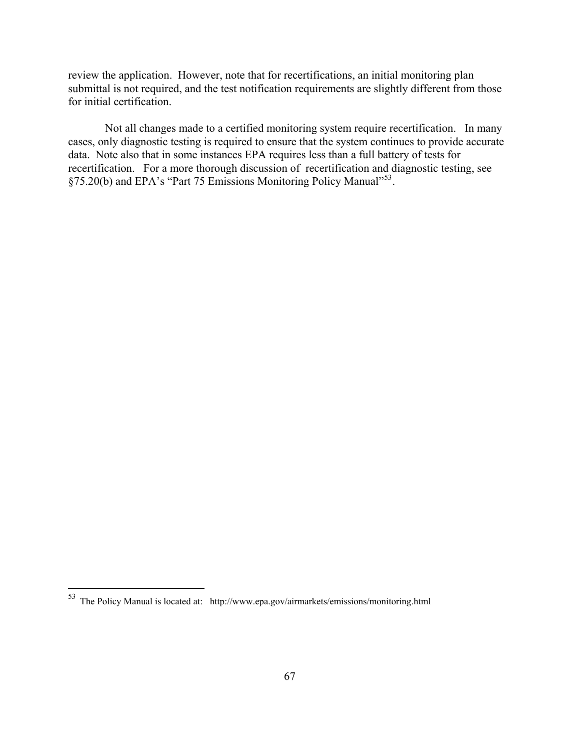review the application. However, note that for recertifications, an initial monitoring plan submittal is not required, and the test notification requirements are slightly different from those for initial certification.

 Not all changes made to a certified monitoring system require recertification. In many cases, only diagnostic testing is required to ensure that the system continues to provide accurate data. Note also that in some instances EPA requires less than a full battery of tests for recertification. For a more thorough discussion of recertification and diagnostic testing, see §75.20(b) and EPA's "Part 75 Emissions Monitoring Policy Manual"<sup>[53](#page-73-0)</sup>.

 $\overline{a}$ 

<span id="page-73-0"></span> $53$  The Policy Manual is located at: http://www.epa.gov/airmarkets/emissions/monitoring.html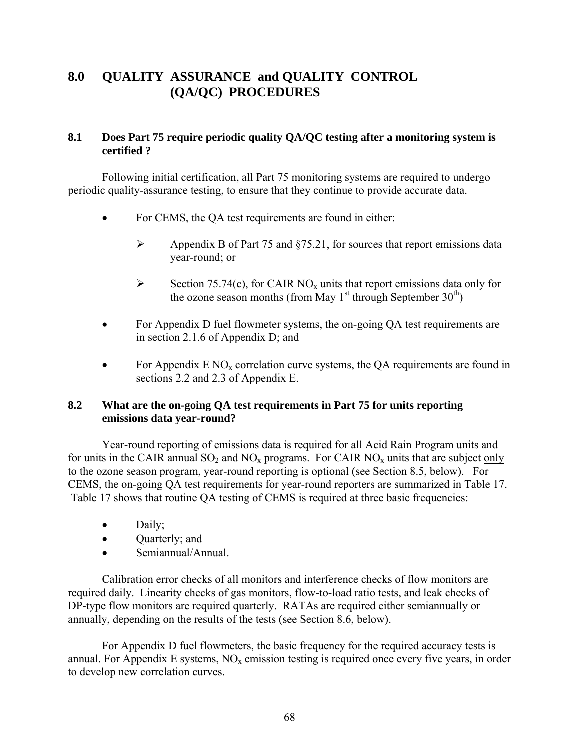## **8.0 QUALITY ASSURANCE and QUALITY CONTROL (QA/QC) PROCEDURES**

## **8.1 Does Part 75 require periodic quality QA/QC testing after a monitoring system is certified ?**

 Following initial certification, all Part 75 monitoring systems are required to undergo periodic quality-assurance testing, to ensure that they continue to provide accurate data.

- For CEMS, the OA test requirements are found in either:
	- $\triangleright$  Appendix B of Part 75 and §75.21, for sources that report emissions data year-round; or
	- Section 75.74(c), for CAIR NO<sub>x</sub> units that report emissions data only for the ozone season months (from May  $1<sup>st</sup>$  through September  $30<sup>th</sup>$ )
- For Appendix D fuel flowmeter systems, the on-going QA test requirements are in section 2.1.6 of Appendix D; and
- For Appendix E NO<sub>x</sub> correlation curve systems, the QA requirements are found in sections 2.2 and 2.3 of Appendix E.

## **8.2 What are the on-going QA test requirements in Part 75 for units reporting emissions data year-round?**

 Year-round reporting of emissions data is required for all Acid Rain Program units and for units in the CAIR annual  $SO_2$  and  $NO_x$  programs. For CAIR  $NO_x$  units that are subject only to the ozone season program, year-round reporting is optional (see Section 8.5, below). For CEMS, the on-going QA test requirements for year-round reporters are summarized in Table 17. Table 17 shows that routine QA testing of CEMS is required at three basic frequencies:

- Daily;
- **Quarterly**; and
- Semiannual/Annual.

Calibration error checks of all monitors and interference checks of flow monitors are required daily. Linearity checks of gas monitors, flow-to-load ratio tests, and leak checks of DP-type flow monitors are required quarterly. RATAs are required either semiannually or annually, depending on the results of the tests (see Section 8.6, below).

For Appendix D fuel flowmeters, the basic frequency for the required accuracy tests is annual. For Appendix E systems,  $NO<sub>x</sub>$  emission testing is required once every five years, in order to develop new correlation curves.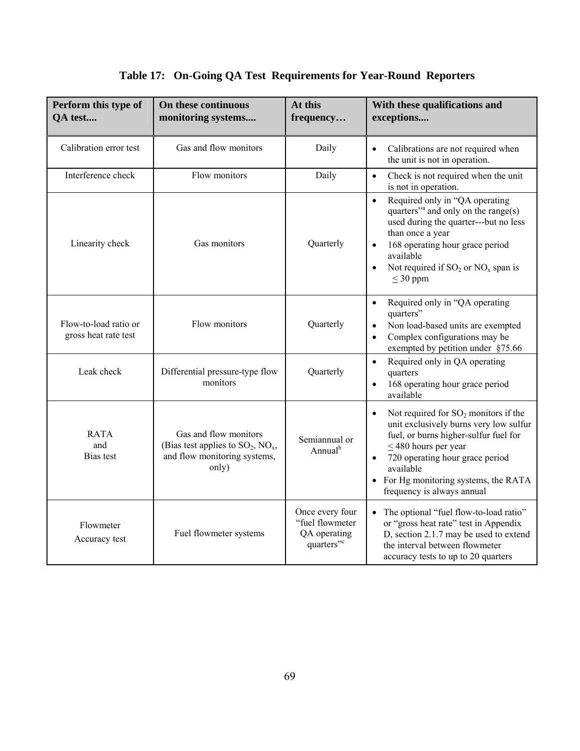|  | Table 17: On-Going QA Test Requirements for Year-Round Reporters |  |  |  |
|--|------------------------------------------------------------------|--|--|--|
|--|------------------------------------------------------------------|--|--|--|

| Perform this type of<br>QA test               | On these continuous<br>monitoring systems                                                                 | At this<br>frequency                                                         | With these qualifications and<br>exceptions                                                                                                                                                                                                                                                              |
|-----------------------------------------------|-----------------------------------------------------------------------------------------------------------|------------------------------------------------------------------------------|----------------------------------------------------------------------------------------------------------------------------------------------------------------------------------------------------------------------------------------------------------------------------------------------------------|
| Calibration error test                        | Gas and flow monitors                                                                                     | Daily                                                                        | Calibrations are not required when<br>$\bullet$<br>the unit is not in operation.                                                                                                                                                                                                                         |
| Interference check                            | Flow monitors                                                                                             | Daily                                                                        | Check is not required when the unit<br>$\bullet$<br>is not in operation.                                                                                                                                                                                                                                 |
| Linearity check                               | Gas monitors                                                                                              | Quarterly                                                                    | Required only in "QA operating<br>$\bullet$<br>quarters" <sup>a</sup> and only on the range(s)<br>used during the quarter---but no less<br>than once a year<br>168 operating hour grace period<br>available<br>Not required if $SO_2$ or $NO_x$ span is<br>$\leq$ 30 ppm                                 |
| Flow-to-load ratio or<br>gross heat rate test | Flow monitors                                                                                             | Quarterly                                                                    | Required only in "QA operating<br>$\bullet$<br>quarters"<br>Non load-based units are exempted<br>$\bullet$<br>Complex configurations may be<br>$\bullet$<br>exempted by petition under §75.66                                                                                                            |
| Leak check                                    | Differential pressure-type flow<br>monitors                                                               | Quarterly                                                                    | Required only in QA operating<br>$\bullet$<br>quarters<br>168 operating hour grace period<br>available                                                                                                                                                                                                   |
| <b>RATA</b><br>and<br><b>Bias</b> test        | Gas and flow monitors<br>(Bias test applies to $SO_2$ , $NO_x$ ,<br>and flow monitoring systems,<br>only) | Semiannual or<br>Annual <sup>b</sup>                                         | Not required for $SO_2$ monitors if the<br>$\bullet$<br>unit exclusively burns very low sulfur<br>fuel, or burns higher-sulfur fuel for<br>$\leq$ 480 hours per year<br>720 operating hour grace period<br>$\bullet$<br>available<br>• For Hg monitoring systems, the RATA<br>frequency is always annual |
| Flowmeter<br>Accuracy test                    | Fuel flowmeter systems                                                                                    | Once every four<br>"fuel flowmeter<br>QA operating<br>quarters" <sup>c</sup> | • The optional "fuel flow-to-load ratio"<br>or "gross heat rate" test in Appendix<br>D, section 2.1.7 may be used to extend<br>the interval between flowmeter<br>accuracy tests to up to 20 quarters                                                                                                     |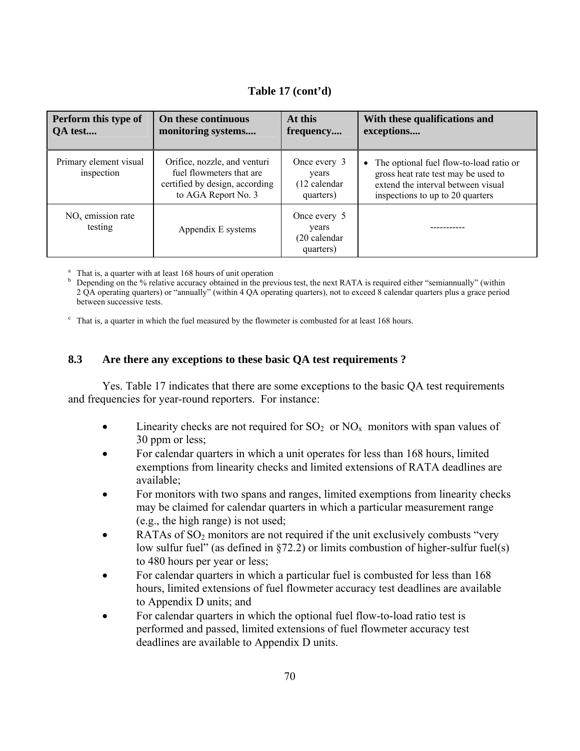| Perform this type of<br>QA test      | On these continuous<br>monitoring systems                                                                         | At this<br>frequency                                | With these qualifications and<br>exceptions                                                                                                                           |
|--------------------------------------|-------------------------------------------------------------------------------------------------------------------|-----------------------------------------------------|-----------------------------------------------------------------------------------------------------------------------------------------------------------------------|
| Primary element visual<br>inspection | Orifice, nozzle, and venturi<br>fuel flowmeters that are<br>certified by design, according<br>to AGA Report No. 3 | Once every 3<br>years<br>(12 calendar<br>quarters)  | The optional fuel flow-to-load ratio or<br>$\bullet$<br>gross heat rate test may be used to<br>extend the interval between visual<br>inspections to up to 20 quarters |
| $NOx$ emission rate<br>testing       | Appendix E systems                                                                                                | Once every 5<br>years<br>(20 calendar)<br>quarters) |                                                                                                                                                                       |

<sup>a</sup> That is, a quarter with at least 168 hours of unit operation

b Depending on the % relative accuracy obtained in the previous test, the next RATA is required either "semiannually" (within 2 QA operating quarters) or "annually" (within 4 QA operating quarters), not to exceed 8 calendar quarters plus a grace period between successive tests.

 $\degree$  That is, a quarter in which the fuel measured by the flowmeter is combusted for at least 168 hours.

#### **8.3 Are there any exceptions to these basic QA test requirements ?**

Yes. Table 17 indicates that there are some exceptions to the basic QA test requirements and frequencies for year-round reporters. For instance:

- Linearity checks are not required for  $SO_2$  or  $NO_x$  monitors with span values of 30 ppm or less;
- For calendar quarters in which a unit operates for less than 168 hours, limited exemptions from linearity checks and limited extensions of RATA deadlines are available;
- For monitors with two spans and ranges, limited exemptions from linearity checks may be claimed for calendar quarters in which a particular measurement range (e.g., the high range) is not used;
- RATAs of  $SO_2$  monitors are not required if the unit exclusively combusts "very" low sulfur fuel" (as defined in §72.2) or limits combustion of higher-sulfur fuel(s) to 480 hours per year or less;
- For calendar quarters in which a particular fuel is combusted for less than 168 hours, limited extensions of fuel flowmeter accuracy test deadlines are available to Appendix D units; and
- For calendar quarters in which the optional fuel flow-to-load ratio test is performed and passed, limited extensions of fuel flowmeter accuracy test deadlines are available to Appendix D units.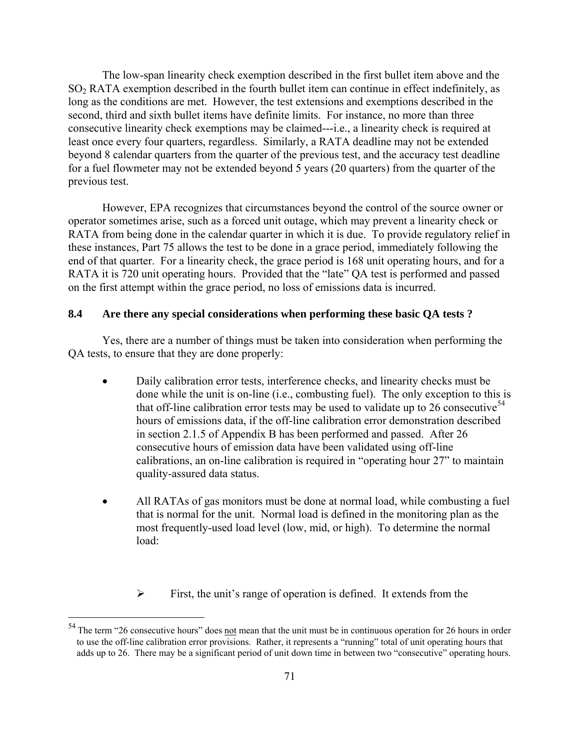The low-span linearity check exemption described in the first bullet item above and the SO2 RATA exemption described in the fourth bullet item can continue in effect indefinitely, as long as the conditions are met. However, the test extensions and exemptions described in the second, third and sixth bullet items have definite limits. For instance, no more than three consecutive linearity check exemptions may be claimed---i.e., a linearity check is required at least once every four quarters, regardless. Similarly, a RATA deadline may not be extended beyond 8 calendar quarters from the quarter of the previous test, and the accuracy test deadline for a fuel flowmeter may not be extended beyond 5 years (20 quarters) from the quarter of the previous test.

However, EPA recognizes that circumstances beyond the control of the source owner or operator sometimes arise, such as a forced unit outage, which may prevent a linearity check or RATA from being done in the calendar quarter in which it is due. To provide regulatory relief in these instances, Part 75 allows the test to be done in a grace period, immediately following the end of that quarter. For a linearity check, the grace period is 168 unit operating hours, and for a RATA it is 720 unit operating hours. Provided that the "late" QA test is performed and passed on the first attempt within the grace period, no loss of emissions data is incurred.

#### **8.4 Are there any special considerations when performing these basic QA tests ?**

Yes, there are a number of things must be taken into consideration when performing the QA tests, to ensure that they are done properly:

- Daily calibration error tests, interference checks, and linearity checks must be done while the unit is on-line (i.e., combusting fuel). The only exception to this is that off-line calibration error tests may be used to validate up to 26 consecutive<sup>[54](#page-77-0)</sup> hours of emissions data, if the off-line calibration error demonstration described in section 2.1.5 of Appendix B has been performed and passed. After 26 consecutive hours of emission data have been validated using off-line calibrations, an on-line calibration is required in "operating hour 27" to maintain quality-assured data status.
- All RATAs of gas monitors must be done at normal load, while combusting a fuel that is normal for the unit. Normal load is defined in the monitoring plan as the most frequently-used load level (low, mid, or high). To determine the normal load:
	- $\triangleright$  First, the unit's range of operation is defined. It extends from the

 $\overline{a}$ 

<span id="page-77-0"></span> $54$  The term "26 consecutive hours" does not mean that the unit must be in continuous operation for 26 hours in order to use the off-line calibration error provisions. Rather, it represents a "running" total of unit operating hours that adds up to 26. There may be a significant period of unit down time in between two "consecutive" operating hours.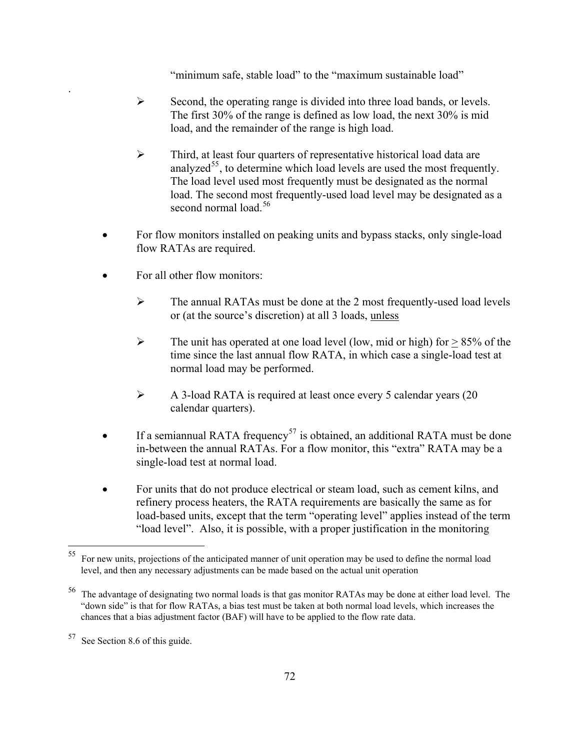"minimum safe, stable load" to the "maximum sustainable load"

- $\triangleright$  Second, the operating range is divided into three load bands, or levels. The first 30% of the range is defined as low load, the next 30% is mid load, and the remainder of the range is high load.
- ¾ Third, at least four quarters of representative historical load data are analyzed<sup>[55](#page-78-0)</sup>, to determine which load levels are used the most frequently. The load level used most frequently must be designated as the normal load. The second most frequently-used load level may be designated as a second normal load.<sup>[56](#page-78-1)</sup>
- For flow monitors installed on peaking units and bypass stacks, only single-load flow RATAs are required.
- For all other flow monitors:

.

- $\triangleright$  The annual RATAs must be done at the 2 most frequently-used load levels or (at the source's discretion) at all 3 loads, unless
- $\triangleright$  The unit has operated at one load level (low, mid or high) for  $> 85\%$  of the time since the last annual flow RATA, in which case a single-load test at normal load may be performed.
- ¾ A 3-load RATA is required at least once every 5 calendar years (20 calendar quarters).
- If a semiannual RATA frequency<sup>[57](#page-78-2)</sup> is obtained, an additional RATA must be done in-between the annual RATAs. For a flow monitor, this "extra" RATA may be a single-load test at normal load.
- For units that do not produce electrical or steam load, such as cement kilns, and refinery process heaters, the RATA requirements are basically the same as for load-based units, except that the term "operating level" applies instead of the term "load level". Also, it is possible, with a proper justification in the monitoring

 $\overline{a}$ 

<span id="page-78-0"></span><sup>&</sup>lt;sup>55</sup> For new units, projections of the anticipated manner of unit operation may be used to define the normal load level, and then any necessary adjustments can be made based on the actual unit operation

<span id="page-78-1"></span><sup>56</sup> The advantage of designating two normal loads is that gas monitor RATAs may be done at either load level. The "down side" is that for flow RATAs, a bias test must be taken at both normal load levels, which increases the chances that a bias adjustment factor (BAF) will have to be applied to the flow rate data.

<span id="page-78-2"></span><sup>57</sup> See Section 8.6 of this guide.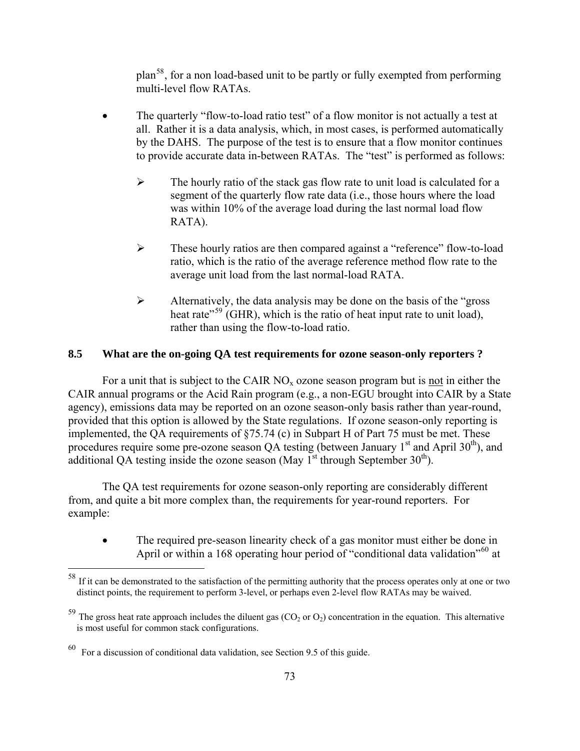plan[58](#page-79-0), for a non load-based unit to be partly or fully exempted from performing multi-level flow RATAs.

- The quarterly "flow-to-load ratio test" of a flow monitor is not actually a test at all. Rather it is a data analysis, which, in most cases, is performed automatically by the DAHS. The purpose of the test is to ensure that a flow monitor continues to provide accurate data in-between RATAs. The "test" is performed as follows:
	- $\triangleright$  The hourly ratio of the stack gas flow rate to unit load is calculated for a segment of the quarterly flow rate data (i.e., those hours where the load was within 10% of the average load during the last normal load flow RATA).
	- ¾ These hourly ratios are then compared against a "reference" flow-to-load ratio, which is the ratio of the average reference method flow rate to the average unit load from the last normal-load RATA.
	- $\triangleright$  Alternatively, the data analysis may be done on the basis of the "gross" heat rate<sup> $59$ </sup> (GHR), which is the ratio of heat input rate to unit load), rather than using the flow-to-load ratio.

#### **8.5 What are the on-going QA test requirements for ozone season-only reporters ?**

For a unit that is subject to the CAIR  $NO<sub>x</sub>$  ozone season program but is not in either the CAIR annual programs or the Acid Rain program (e.g., a non-EGU brought into CAIR by a State agency), emissions data may be reported on an ozone season-only basis rather than year-round, provided that this option is allowed by the State regulations. If ozone season-only reporting is implemented, the QA requirements of §75.74 (c) in Subpart H of Part 75 must be met. These procedures require some pre-ozone season QA testing (between January  $1<sup>st</sup>$  and April 30<sup>th</sup>), and additional OA testing inside the ozone season (May  $1<sup>st</sup>$  through September 30<sup>th</sup>).

The QA test requirements for ozone season-only reporting are considerably different from, and quite a bit more complex than, the requirements for year-round reporters. For example:

• The required pre-season linearity check of a gas monitor must either be done in April or within a 168 operating hour period of "conditional data validation"<sup>[60](#page-79-2)</sup> at

<u>.</u>

<span id="page-79-0"></span><sup>&</sup>lt;sup>58</sup> If it can be demonstrated to the satisfaction of the permitting authority that the process operates only at one or two distinct points, the requirement to perform 3-level, or perhaps even 2-level flow RATAs may be waived.

<span id="page-79-1"></span> $59$  The gross heat rate approach includes the diluent gas (CO<sub>2</sub> or O<sub>2</sub>) concentration in the equation. This alternative is most useful for common stack configurations.

<span id="page-79-2"></span> $60$  For a discussion of conditional data validation, see Section 9.5 of this guide.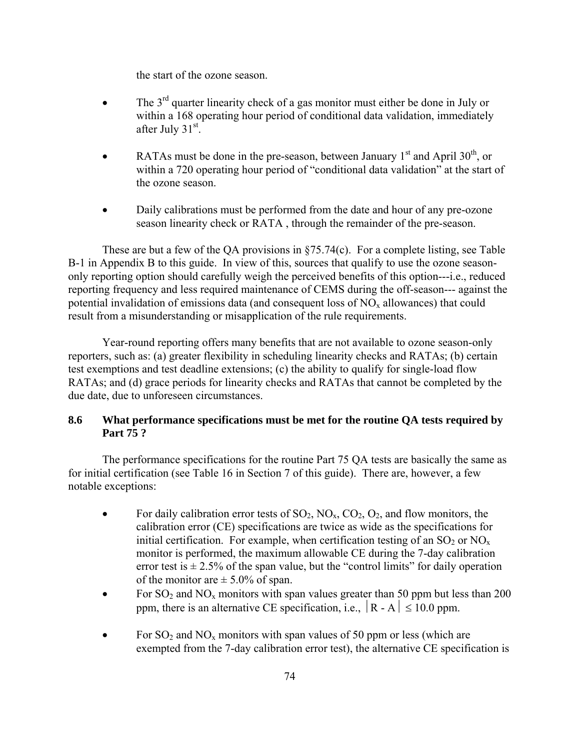the start of the ozone season.

- The  $3<sup>rd</sup>$  quarter linearity check of a gas monitor must either be done in July or within a 168 operating hour period of conditional data validation, immediately after July  $31<sup>st</sup>$ .
- RATAs must be done in the pre-season, between January  $1<sup>st</sup>$  and April 30<sup>th</sup>, or within a 720 operating hour period of "conditional data validation" at the start of the ozone season.
- Daily calibrations must be performed from the date and hour of any pre-ozone season linearity check or RATA , through the remainder of the pre-season.

 These are but a few of the QA provisions in §75.74(c). For a complete listing, see Table B-1 in Appendix B to this guide. In view of this, sources that qualify to use the ozone seasononly reporting option should carefully weigh the perceived benefits of this option---i.e., reduced reporting frequency and less required maintenance of CEMS during the off-season--- against the potential invalidation of emissions data (and consequent loss of  $NO<sub>x</sub>$  allowances) that could result from a misunderstanding or misapplication of the rule requirements.

 Year-round reporting offers many benefits that are not available to ozone season-only reporters, such as: (a) greater flexibility in scheduling linearity checks and RATAs; (b) certain test exemptions and test deadline extensions; (c) the ability to qualify for single-load flow RATAs; and (d) grace periods for linearity checks and RATAs that cannot be completed by the due date, due to unforeseen circumstances.

#### **8.6 What performance specifications must be met for the routine QA tests required by Part 75 ?**

The performance specifications for the routine Part 75 QA tests are basically the same as for initial certification (see Table 16 in Section 7 of this guide). There are, however, a few notable exceptions:

- For daily calibration error tests of  $SO_2$ ,  $NO_x$ ,  $CO_2$ ,  $O_2$ , and flow monitors, the calibration error (CE) specifications are twice as wide as the specifications for initial certification. For example, when certification testing of an  $SO_2$  or  $NO_x$ monitor is performed, the maximum allowable CE during the 7-day calibration error test is  $\pm$  2.5% of the span value, but the "control limits" for daily operation of the monitor are  $\pm$  5.0% of span.
- For  $SO_2$  and  $NO_x$  monitors with span values greater than 50 ppm but less than 200 ppm, there is an alternative CE specification, i.e.,  $|R - A| \le 10.0$  ppm.
- For  $SO_2$  and  $NO_x$  monitors with span values of 50 ppm or less (which are exempted from the 7-day calibration error test), the alternative CE specification is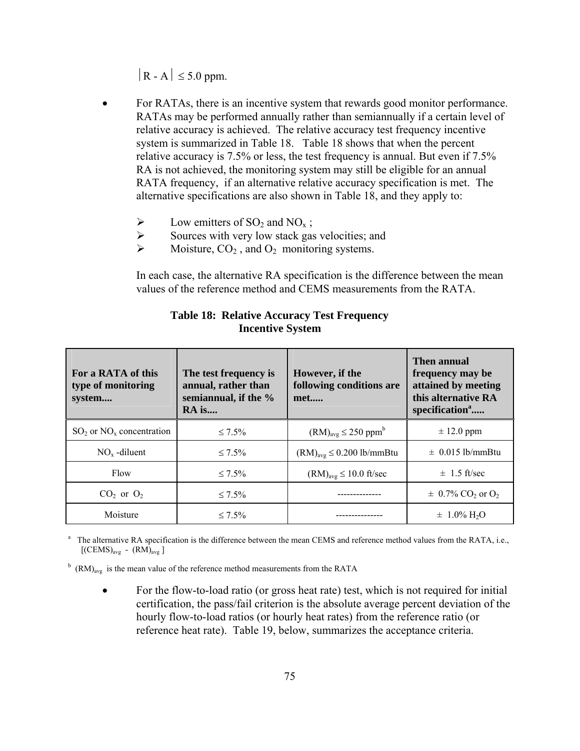$|R - A| \leq 5.0$  ppm.

- For RATAs, there is an incentive system that rewards good monitor performance. RATAs may be performed annually rather than semiannually if a certain level of relative accuracy is achieved. The relative accuracy test frequency incentive system is summarized in Table 18. Table 18 shows that when the percent relative accuracy is 7.5% or less, the test frequency is annual. But even if 7.5% RA is not achieved, the monitoring system may still be eligible for an annual RATA frequency, if an alternative relative accuracy specification is met. The alternative specifications are also shown in Table 18, and they apply to:
	- $\triangleright$  Low emitters of SO<sub>2</sub> and NO<sub>x</sub>;
	- $\triangleright$  Sources with very low stack gas velocities; and
	- $\triangleright$  Moisture,  $CO_2$ , and  $O_2$  monitoring systems.

In each case, the alternative RA specification is the difference between the mean values of the reference method and CEMS measurements from the RATA.

| For a RATA of this<br>type of monitoring<br>system | The test frequency is<br>annual, rather than<br>semiannual, if the %<br>RA is | However, if the<br>following conditions are<br>met | <b>Then annual</b><br>frequency may be<br>attained by meeting<br>this alternative RA<br>specification <sup>a</sup> |
|----------------------------------------------------|-------------------------------------------------------------------------------|----------------------------------------------------|--------------------------------------------------------------------------------------------------------------------|
| $SO2$ or $NOx$ concentration                       | $\leq 7.5\%$                                                                  | $(RM)_{avg} \leq 250$ ppm <sup>b</sup>             | $\pm$ 12.0 ppm                                                                                                     |
| $NOx$ -diluent                                     | $\leq 7.5\%$                                                                  | $(RM)_{avg} \leq 0.200$ lb/mmBtu                   | $\pm$ 0.015 lb/mmBtu                                                                                               |
| Flow                                               | $\leq 7.5\%$                                                                  | $(RM)_{avg} \le 10.0$ ft/sec                       | $\pm$ 1.5 ft/sec                                                                                                   |
| $CO2$ or $O2$                                      | $\leq 7.5\%$                                                                  |                                                    | $\pm 0.7\%$ CO <sub>2</sub> or O <sub>2</sub>                                                                      |
| Moisture                                           | $\leq 7.5\%$                                                                  |                                                    | $\pm 1.0\%$ H <sub>2</sub> O                                                                                       |

#### **Table 18: Relative Accuracy Test Frequency Incentive System**

<sup>a</sup> The alternative RA specification is the difference between the mean CEMS and reference method values from the RATA, i.e.,  $[(\text{CEMS})_{\text{avg}} - (\text{RM})_{\text{avg}}]$ 

<sup>b</sup> (RM)<sub>avg</sub> is the mean value of the reference method measurements from the RATA

• For the flow-to-load ratio (or gross heat rate) test, which is not required for initial certification, the pass/fail criterion is the absolute average percent deviation of the hourly flow-to-load ratios (or hourly heat rates) from the reference ratio (or reference heat rate). Table 19, below, summarizes the acceptance criteria.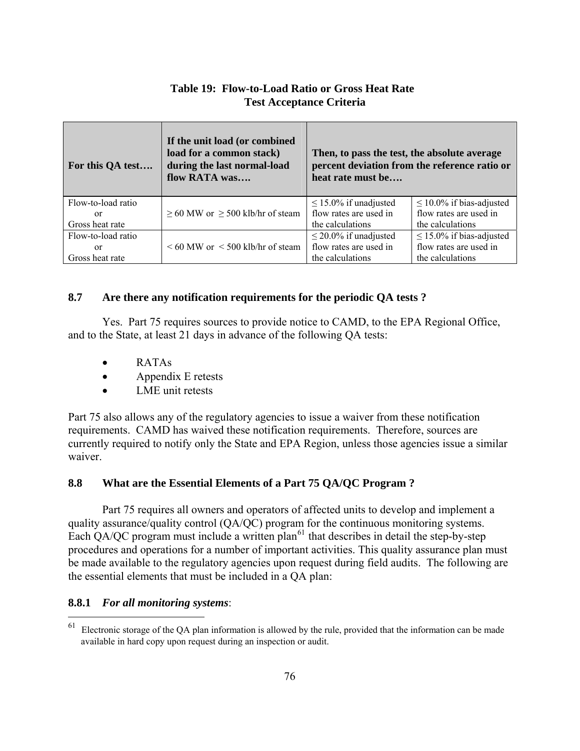## **Table 19: Flow-to-Load Ratio or Gross Heat Rate Test Acceptance Criteria**

| For this QA test      | If the unit load (or combined<br>load for a common stack)<br>during the last normal-load<br>flow RATA was | Then, to pass the test, the absolute average<br>percent deviation from the reference ratio or<br>heat rate must be |                                                         |
|-----------------------|-----------------------------------------------------------------------------------------------------------|--------------------------------------------------------------------------------------------------------------------|---------------------------------------------------------|
| Flow-to-load ratio    |                                                                                                           | $\leq$ 15.0% if unadjusted<br>flow rates are used in                                                               | $\leq$ 10.0% if bias-adjusted<br>flow rates are used in |
| or<br>Gross heat rate | $\geq$ 60 MW or $\geq$ 500 klb/hr of steam                                                                | the calculations                                                                                                   | the calculations                                        |
| Flow-to-load ratio    |                                                                                                           | $\leq$ 20.0% if unadjusted                                                                                         | $\leq$ 15.0% if bias-adjusted                           |
| or                    | $\leq 60$ MW or $\leq 500$ klb/hr of steam                                                                | flow rates are used in                                                                                             | flow rates are used in                                  |
| Gross heat rate       |                                                                                                           | the calculations                                                                                                   | the calculations                                        |

## **8.7 Are there any notification requirements for the periodic QA tests ?**

Yes. Part 75 requires sources to provide notice to CAMD, to the EPA Regional Office, and to the State, at least 21 days in advance of the following QA tests:

- RATAs
- Appendix E retests
- LME unit retests

Part 75 also allows any of the regulatory agencies to issue a waiver from these notification requirements. CAMD has waived these notification requirements. Therefore, sources are currently required to notify only the State and EPA Region, unless those agencies issue a similar waiver.

## **8.8 What are the Essential Elements of a Part 75 QA/QC Program ?**

Part 75 requires all owners and operators of affected units to develop and implement a quality assurance/quality control (QA/QC) program for the continuous monitoring systems. Each QA/QC program must include a written plan<sup>[61](#page-82-0)</sup> that describes in detail the step-by-step procedures and operations for a number of important activities. This quality assurance plan must be made available to the regulatory agencies upon request during field audits. The following are the essential elements that must be included in a QA plan:

## **8.8.1** *For all monitoring systems*:

<span id="page-82-0"></span><sup>61</sup> Electronic storage of the QA plan information is allowed by the rule, provided that the information can be made available in hard copy upon request during an inspection or audit.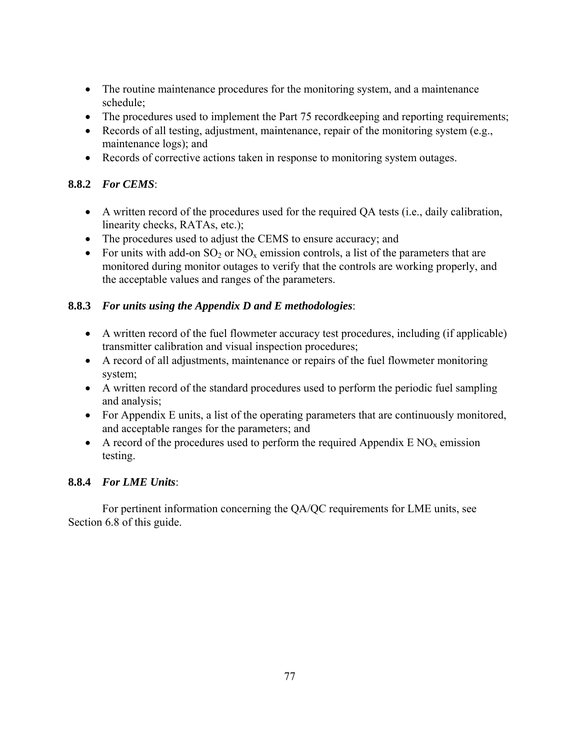- The routine maintenance procedures for the monitoring system, and a maintenance schedule;
- The procedures used to implement the Part 75 record keeping and reporting requirements;
- Records of all testing, adjustment, maintenance, repair of the monitoring system (e.g., maintenance logs); and
- Records of corrective actions taken in response to monitoring system outages.

## **8.8.2** *For CEMS*:

- A written record of the procedures used for the required QA tests (i.e., daily calibration, linearity checks, RATAs, etc.);
- The procedures used to adjust the CEMS to ensure accuracy; and
- For units with add-on  $SO_2$  or  $NO_x$  emission controls, a list of the parameters that are monitored during monitor outages to verify that the controls are working properly, and the acceptable values and ranges of the parameters.

## **8.8.3** *For units using the Appendix D and E methodologies*:

- A written record of the fuel flowmeter accuracy test procedures, including (if applicable) transmitter calibration and visual inspection procedures;
- A record of all adjustments, maintenance or repairs of the fuel flowmeter monitoring system;
- A written record of the standard procedures used to perform the periodic fuel sampling and analysis;
- For Appendix E units, a list of the operating parameters that are continuously monitored, and acceptable ranges for the parameters; and
- A record of the procedures used to perform the required Appendix  $E NO_x$  emission testing.

## **8.8.4** *For LME Units*:

For pertinent information concerning the QA/QC requirements for LME units, see Section 6.8 of this guide.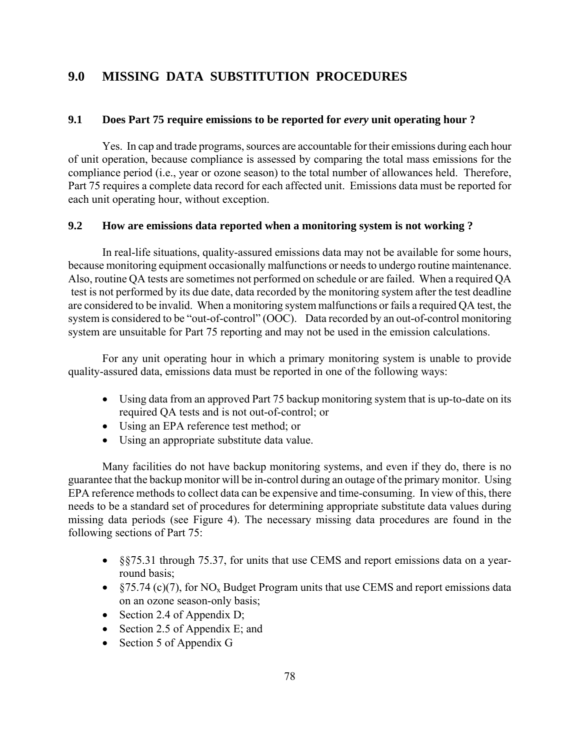## **9.0 MISSING DATA SUBSTITUTION PROCEDURES**

#### **9.1 Does Part 75 require emissions to be reported for** *every* **unit operating hour ?**

Yes. In cap and trade programs, sources are accountable for their emissions during each hour of unit operation, because compliance is assessed by comparing the total mass emissions for the compliance period (i.e., year or ozone season) to the total number of allowances held. Therefore, Part 75 requires a complete data record for each affected unit. Emissions data must be reported for each unit operating hour, without exception.

#### **9.2 How are emissions data reported when a monitoring system is not working ?**

In real-life situations, quality-assured emissions data may not be available for some hours, because monitoring equipment occasionally malfunctions or needs to undergo routine maintenance. Also, routine QA tests are sometimes not performed on schedule or are failed. When a required QA test is not performed by its due date, data recorded by the monitoring system after the test deadline are considered to be invalid. When a monitoring system malfunctions or fails a required QA test, the system is considered to be "out-of-control" (OOC). Data recorded by an out-of-control monitoring system are unsuitable for Part 75 reporting and may not be used in the emission calculations.

For any unit operating hour in which a primary monitoring system is unable to provide quality-assured data, emissions data must be reported in one of the following ways:

- Using data from an approved Part 75 backup monitoring system that is up-to-date on its required QA tests and is not out-of-control; or
- Using an EPA reference test method; or
- Using an appropriate substitute data value.

Many facilities do not have backup monitoring systems, and even if they do, there is no guarantee that the backup monitor will be in-control during an outage of the primary monitor. Using EPA reference methods to collect data can be expensive and time-consuming. In view of this, there needs to be a standard set of procedures for determining appropriate substitute data values during missing data periods (see Figure 4). The necessary missing data procedures are found in the following sections of Part 75:

- §§75.31 through 75.37, for units that use CEMS and report emissions data on a yearround basis;
- $\S$ 75.74 (c)(7), for NO<sub>x</sub> Budget Program units that use CEMS and report emissions data on an ozone season-only basis;
- Section 2.4 of Appendix D;
- Section 2.5 of Appendix E; and
- Section 5 of Appendix G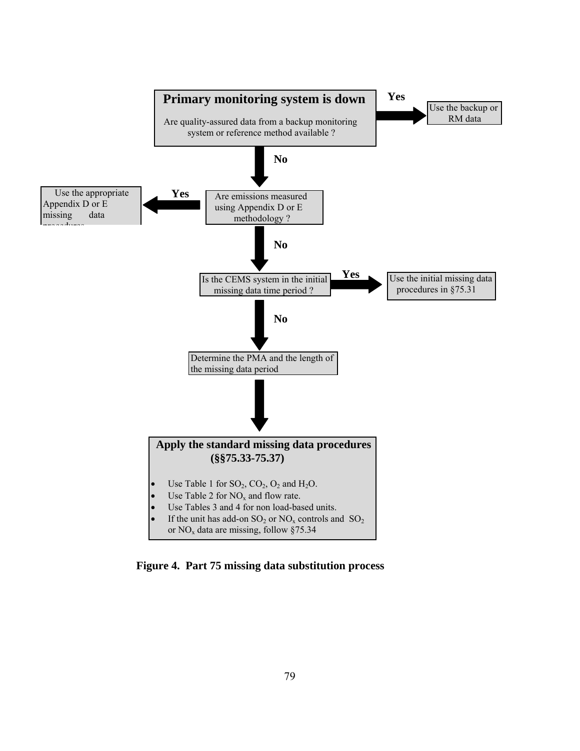

**Figure 4. Part 75 missing data substitution process**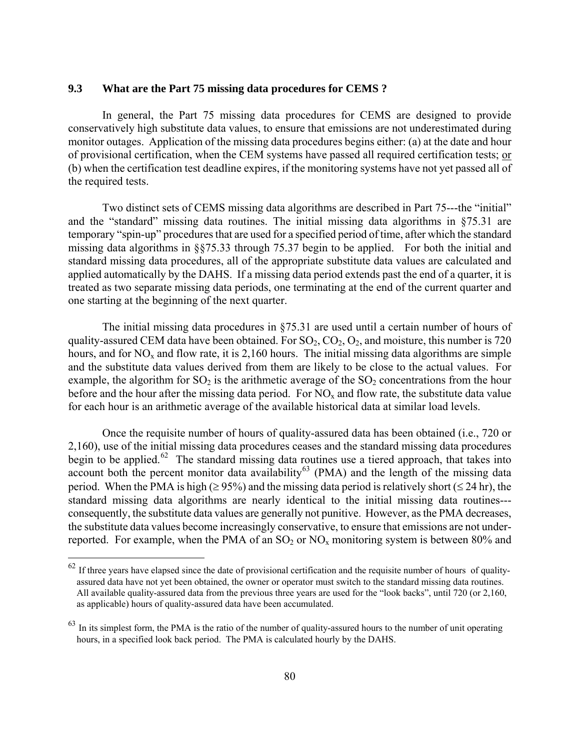#### **9.3 What are the Part 75 missing data procedures for CEMS ?**

In general, the Part 75 missing data procedures for CEMS are designed to provide conservatively high substitute data values, to ensure that emissions are not underestimated during monitor outages. Application of the missing data procedures begins either: (a) at the date and hour of provisional certification, when the CEM systems have passed all required certification tests; or (b) when the certification test deadline expires, if the monitoring systems have not yet passed all of the required tests.

Two distinct sets of CEMS missing data algorithms are described in Part 75---the "initial" and the "standard" missing data routines. The initial missing data algorithms in §75.31 are temporary "spin-up" procedures that are used for a specified period of time, after which the standard missing data algorithms in §§75.33 through 75.37 begin to be applied. For both the initial and standard missing data procedures, all of the appropriate substitute data values are calculated and applied automatically by the DAHS. If a missing data period extends past the end of a quarter, it is treated as two separate missing data periods, one terminating at the end of the current quarter and one starting at the beginning of the next quarter.

The initial missing data procedures in §75.31 are used until a certain number of hours of quality-assured CEM data have been obtained. For  $SO_2, CO_2, O_2$ , and moisture, this number is 720 hours, and for  $NO<sub>x</sub>$  and flow rate, it is 2,160 hours. The initial missing data algorithms are simple and the substitute data values derived from them are likely to be close to the actual values. For example, the algorithm for  $SO_2$  is the arithmetic average of the  $SO_2$  concentrations from the hour before and the hour after the missing data period. For  $NO<sub>x</sub>$  and flow rate, the substitute data value for each hour is an arithmetic average of the available historical data at similar load levels.

Once the requisite number of hours of quality-assured data has been obtained (i.e., 720 or 2,160), use of the initial missing data procedures ceases and the standard missing data procedures begin to be applied.<sup>[62](#page-86-0)</sup> The standard missing data routines use a tiered approach, that takes into account both the percent monitor data availability<sup>[63](#page-86-1)</sup> (PMA) and the length of the missing data period. When the PMA is high ( $\geq$  95%) and the missing data period is relatively short ( $\leq$  24 hr), the standard missing data algorithms are nearly identical to the initial missing data routines-- consequently, the substitute data values are generally not punitive. However, as the PMA decreases, the substitute data values become increasingly conservative, to ensure that emissions are not underreported. For example, when the PMA of an  $SO_2$  or  $NO_x$  monitoring system is between 80% and

 $\overline{a}$ 

<span id="page-86-0"></span> $62$  If three years have elapsed since the date of provisional certification and the requisite number of hours of qualityassured data have not yet been obtained, the owner or operator must switch to the standard missing data routines. All available quality-assured data from the previous three years are used for the "look backs", until 720 (or 2,160, as applicable) hours of quality-assured data have been accumulated.

<span id="page-86-1"></span> $63$  In its simplest form, the PMA is the ratio of the number of quality-assured hours to the number of unit operating hours, in a specified look back period. The PMA is calculated hourly by the DAHS.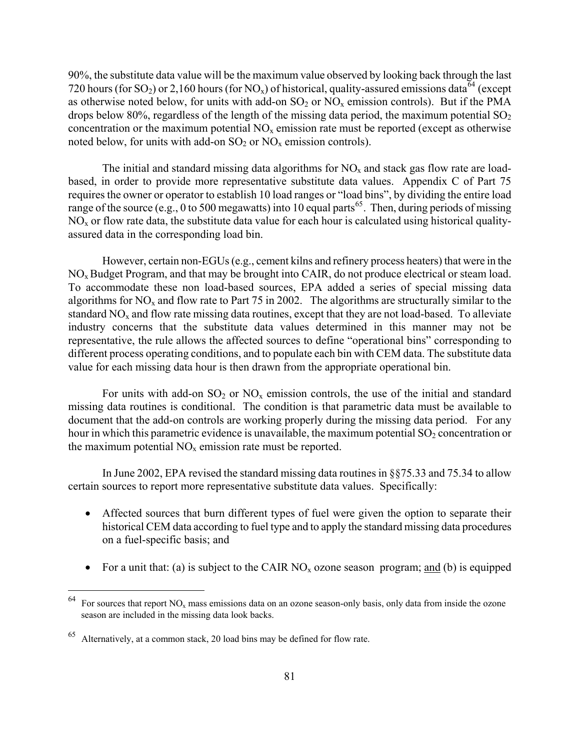90%, the substitute data value will be the maximum value observed by looking back through the last 720 hours (for SO<sub>2</sub>) or 2,160 hours (for NO<sub>x</sub>) of historical, quality-assured emissions data<sup>[64](#page-87-0)</sup> (except as otherwise noted below, for units with add-on  $SO<sub>2</sub>$  or  $NO<sub>x</sub>$  emission controls). But if the PMA drops below 80%, regardless of the length of the missing data period, the maximum potential  $SO<sub>2</sub>$ concentration or the maximum potential  $NO<sub>x</sub>$  emission rate must be reported (except as otherwise noted below, for units with add-on  $SO_2$  or  $NO_x$  emission controls).

The initial and standard missing data algorithms for  $NO<sub>x</sub>$  and stack gas flow rate are loadbased, in order to provide more representative substitute data values. Appendix C of Part 75 requires the owner or operator to establish 10 load ranges or "load bins", by dividing the entire load range of the source (e.g., 0 to 500 megawatts) into 10 equal parts<sup>[65](#page-87-1)</sup>. Then, during periods of missing  $NO<sub>x</sub>$  or flow rate data, the substitute data value for each hour is calculated using historical qualityassured data in the corresponding load bin.

However, certain non-EGUs (e.g., cement kilns and refinery process heaters) that were in the  $NO<sub>x</sub>$  Budget Program, and that may be brought into CAIR, do not produce electrical or steam load. To accommodate these non load-based sources, EPA added a series of special missing data algorithms for  $NO<sub>x</sub>$  and flow rate to Part 75 in 2002. The algorithms are structurally similar to the standard  $NO<sub>x</sub>$  and flow rate missing data routines, except that they are not load-based. To alleviate industry concerns that the substitute data values determined in this manner may not be representative, the rule allows the affected sources to define "operational bins" corresponding to different process operating conditions, and to populate each bin with CEM data. The substitute data value for each missing data hour is then drawn from the appropriate operational bin.

For units with add-on  $SO_2$  or  $NO_x$  emission controls, the use of the initial and standard missing data routines is conditional. The condition is that parametric data must be available to document that the add-on controls are working properly during the missing data period. For any hour in which this parametric evidence is unavailable, the maximum potential  $SO<sub>2</sub>$  concentration or the maximum potential  $NO<sub>x</sub>$  emission rate must be reported.

In June 2002, EPA revised the standard missing data routines in §§75.33 and 75.34 to allow certain sources to report more representative substitute data values. Specifically:

- Affected sources that burn different types of fuel were given the option to separate their historical CEM data according to fuel type and to apply the standard missing data procedures on a fuel-specific basis; and
- For a unit that: (a) is subject to the CAIR  $NO<sub>x</sub>$  ozone season program; <u>and</u> (b) is equipped

 $\overline{a}$ 

<span id="page-87-0"></span> $64$  For sources that report NO<sub>x</sub> mass emissions data on an ozone season-only basis, only data from inside the ozone season are included in the missing data look backs.

<span id="page-87-1"></span><sup>65</sup> Alternatively, at a common stack, 20 load bins may be defined for flow rate.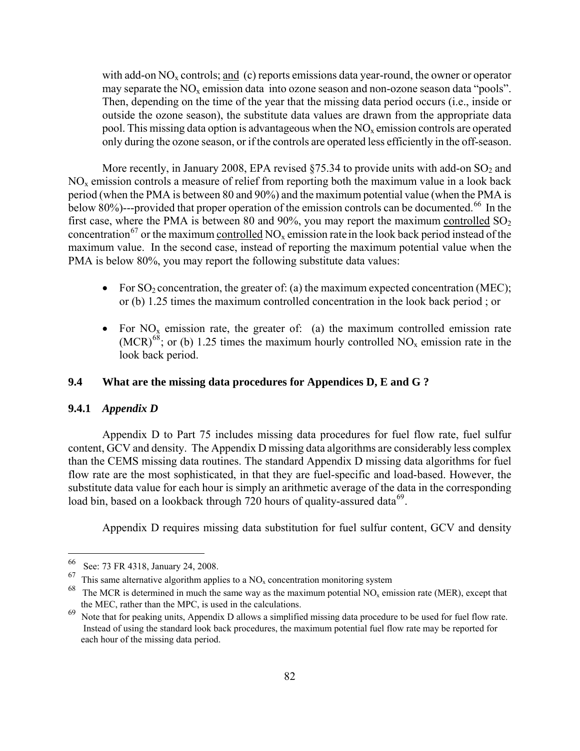with add-on  $NO<sub>x</sub>$  controls; and (c) reports emissions data year-round, the owner or operator may separate the  $NO<sub>x</sub>$  emission data into ozone season and non-ozone season data "pools". Then, depending on the time of the year that the missing data period occurs (i.e., inside or outside the ozone season), the substitute data values are drawn from the appropriate data pool. This missing data option is advantageous when the  $NO<sub>x</sub>$  emission controls are operated only during the ozone season, or if the controls are operated less efficiently in the off-season.

More recently, in January 2008, EPA revised  $\S75.34$  to provide units with add-on SO<sub>2</sub> and  $NO<sub>x</sub>$  emission controls a measure of relief from reporting both the maximum value in a look back period (when the PMA is between 80 and 90%) and the maximum potential value (when the PMA is below 80%)---provided that proper operation of the emission controls can be documented.<sup>[66](#page-88-0)</sup> In the first case, where the PMA is between 80 and 90%, you may report the maximum controlled  $SO_2$ concentration<sup>[67](#page-88-1)</sup> or the maximum controlled  $NO_x$  emission rate in the look back period instead of the maximum value. In the second case, instead of reporting the maximum potential value when the PMA is below 80%, you may report the following substitute data values:

- For  $SO_2$  concentration, the greater of: (a) the maximum expected concentration (MEC); or (b) 1.25 times the maximum controlled concentration in the look back period ; or
- For  $NO_x$  emission rate, the greater of: (a) the maximum controlled emission rate  $(MCR)^{68}$  $(MCR)^{68}$  $(MCR)^{68}$ ; or (b) 1.25 times the maximum hourly controlled NO<sub>x</sub> emission rate in the look back period.

#### **9.4 What are the missing data procedures for Appendices D, E and G ?**

#### **9.4.1** *Appendix D*

 $\overline{a}$ 

Appendix D to Part 75 includes missing data procedures for fuel flow rate, fuel sulfur content, GCV and density. The Appendix D missing data algorithms are considerably less complex than the CEMS missing data routines. The standard Appendix D missing data algorithms for fuel flow rate are the most sophisticated, in that they are fuel-specific and load-based. However, the substitute data value for each hour is simply an arithmetic average of the data in the corresponding load bin, based on a lookback through 720 hours of quality-assured data<sup>[69](#page-88-3)</sup>.

Appendix D requires missing data substitution for fuel sulfur content, GCV and density

<span id="page-88-1"></span><span id="page-88-0"></span> $^{66}$  See: 73 FR 4318, January 24, 2008.

This same alternative algorithm applies to a  $NO<sub>x</sub>$  concentration monitoring system

<span id="page-88-2"></span> $68$  The MCR is determined in much the same way as the maximum potential NO<sub>x</sub> emission rate (MER), except that the MEC, rather than the MPC, is used in the calculations.

<span id="page-88-3"></span> $69$  Note that for peaking units, Appendix D allows a simplified missing data procedure to be used for fuel flow rate. Instead of using the standard look back procedures, the maximum potential fuel flow rate may be reported for each hour of the missing data period.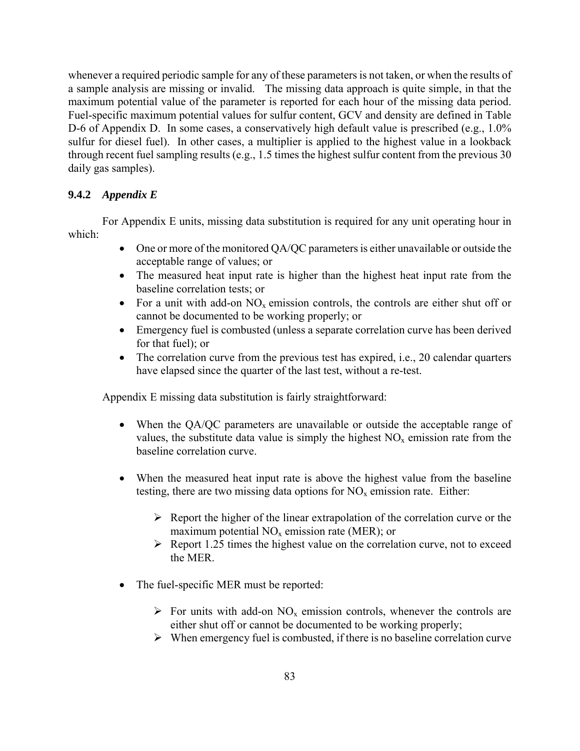whenever a required periodic sample for any of these parameters is not taken, or when the results of a sample analysis are missing or invalid. The missing data approach is quite simple, in that the maximum potential value of the parameter is reported for each hour of the missing data period. Fuel-specific maximum potential values for sulfur content, GCV and density are defined in Table D-6 of Appendix D. In some cases, a conservatively high default value is prescribed (e.g., 1.0%) sulfur for diesel fuel). In other cases, a multiplier is applied to the highest value in a lookback through recent fuel sampling results (e.g., 1.5 times the highest sulfur content from the previous 30 daily gas samples).

#### **9.4.2** *Appendix E*

For Appendix E units, missing data substitution is required for any unit operating hour in which:

- One or more of the monitored QA/QC parameters is either unavailable or outside the acceptable range of values; or
- The measured heat input rate is higher than the highest heat input rate from the baseline correlation tests; or
- For a unit with add-on  $NO_x$  emission controls, the controls are either shut off or cannot be documented to be working properly; or
- Emergency fuel is combusted (unless a separate correlation curve has been derived for that fuel); or
- The correlation curve from the previous test has expired, i.e., 20 calendar quarters have elapsed since the quarter of the last test, without a re-test.

Appendix E missing data substitution is fairly straightforward:

- When the QA/QC parameters are unavailable or outside the acceptable range of values, the substitute data value is simply the highest  $NO<sub>x</sub>$  emission rate from the baseline correlation curve.
- When the measured heat input rate is above the highest value from the baseline testing, there are two missing data options for  $NO<sub>x</sub>$  emission rate. Either:
	- $\triangleright$  Report the higher of the linear extrapolation of the correlation curve or the maximum potential  $NO<sub>x</sub>$  emission rate (MER); or
	- $\triangleright$  Report 1.25 times the highest value on the correlation curve, not to exceed the MER.
- The fuel-specific MER must be reported:
	- $\triangleright$  For units with add-on NO<sub>x</sub> emission controls, whenever the controls are either shut off or cannot be documented to be working properly;
	- $\triangleright$  When emergency fuel is combusted, if there is no baseline correlation curve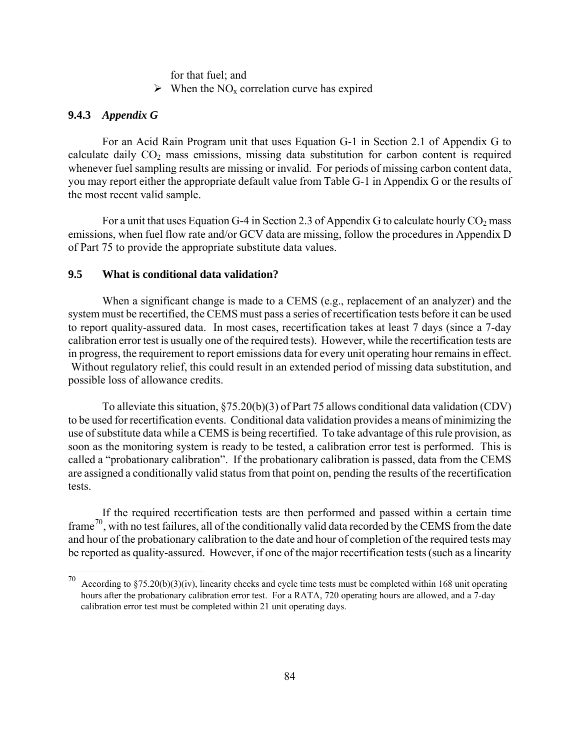for that fuel; and

 $\triangleright$  When the NO<sub>x</sub> correlation curve has expired

#### **9.4.3** *Appendix G*

 $\overline{a}$ 

For an Acid Rain Program unit that uses Equation G-1 in Section 2.1 of Appendix G to calculate daily  $CO<sub>2</sub>$  mass emissions, missing data substitution for carbon content is required whenever fuel sampling results are missing or invalid. For periods of missing carbon content data, you may report either the appropriate default value from Table G-1 in Appendix G or the results of the most recent valid sample.

For a unit that uses Equation G-4 in Section 2.3 of Appendix G to calculate hourly  $CO_2$  mass emissions, when fuel flow rate and/or GCV data are missing, follow the procedures in Appendix D of Part 75 to provide the appropriate substitute data values.

#### **9.5 What is conditional data validation?**

When a significant change is made to a CEMS (e.g., replacement of an analyzer) and the system must be recertified, the CEMS must pass a series of recertification tests before it can be used to report quality-assured data. In most cases, recertification takes at least 7 days (since a 7-day calibration error test is usually one of the required tests). However, while the recertification tests are in progress, the requirement to report emissions data for every unit operating hour remains in effect. Without regulatory relief, this could result in an extended period of missing data substitution, and possible loss of allowance credits.

To alleviate this situation, §75.20(b)(3) of Part 75 allows conditional data validation (CDV) to be used for recertification events. Conditional data validation provides a means of minimizing the use of substitute data while a CEMS is being recertified. To take advantage of this rule provision, as soon as the monitoring system is ready to be tested, a calibration error test is performed. This is called a "probationary calibration". If the probationary calibration is passed, data from the CEMS are assigned a conditionally valid status from that point on, pending the results of the recertification tests.

If the required recertification tests are then performed and passed within a certain time frame<sup>[70](#page-90-0)</sup>, with no test failures, all of the conditionally valid data recorded by the CEMS from the date and hour of the probationary calibration to the date and hour of completion of the required tests may be reported as quality-assured. However, if one of the major recertification tests (such as a linearity

<span id="page-90-0"></span><sup>70</sup> According to §75.20(b)(3)(iv), linearity checks and cycle time tests must be completed within 168 unit operating hours after the probationary calibration error test. For a RATA, 720 operating hours are allowed, and a 7-day calibration error test must be completed within 21 unit operating days.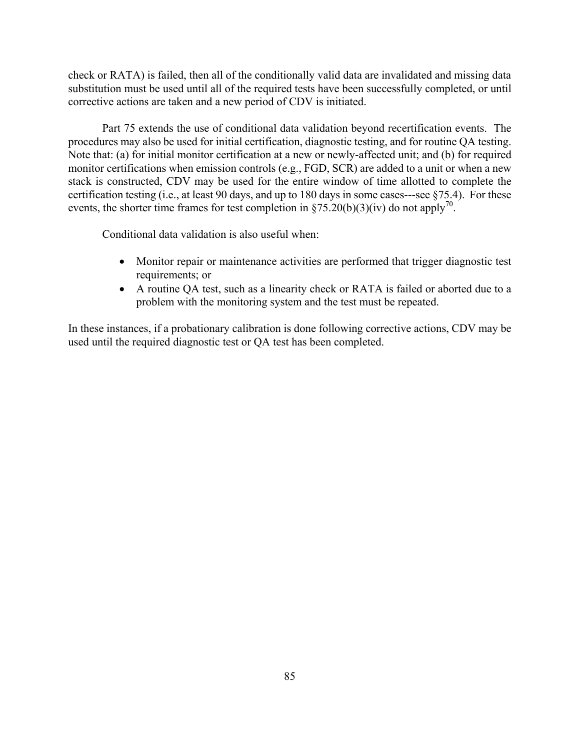check or RATA) is failed, then all of the conditionally valid data are invalidated and missing data substitution must be used until all of the required tests have been successfully completed, or until corrective actions are taken and a new period of CDV is initiated.

Part 75 extends the use of conditional data validation beyond recertification events. The procedures may also be used for initial certification, diagnostic testing, and for routine QA testing. Note that: (a) for initial monitor certification at a new or newly-affected unit; and (b) for required monitor certifications when emission controls (e.g., FGD, SCR) are added to a unit or when a new stack is constructed, CDV may be used for the entire window of time allotted to complete the certification testing (i.e., at least 90 days, and up to 180 days in some cases---see §75.4). For these events, the shorter time frames for test completion in §75.20(b)(3)(iv) do not apply<sup>70</sup>.

Conditional data validation is also useful when:

- Monitor repair or maintenance activities are performed that trigger diagnostic test requirements; or
- A routine QA test, such as a linearity check or RATA is failed or aborted due to a problem with the monitoring system and the test must be repeated.

In these instances, if a probationary calibration is done following corrective actions, CDV may be used until the required diagnostic test or QA test has been completed.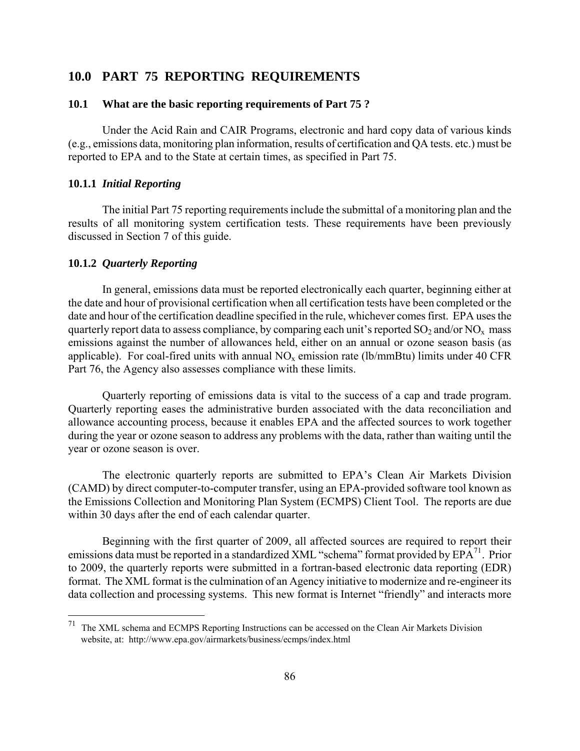#### **10.0 PART 75 REPORTING REQUIREMENTS**

#### **10.1 What are the basic reporting requirements of Part 75 ?**

Under the Acid Rain and CAIR Programs, electronic and hard copy data of various kinds (e.g., emissions data, monitoring plan information, results of certification and QA tests. etc.) must be reported to EPA and to the State at certain times, as specified in Part 75.

#### **10.1.1** *Initial Reporting*

The initial Part 75 reporting requirements include the submittal of a monitoring plan and the results of all monitoring system certification tests. These requirements have been previously discussed in Section 7 of this guide.

#### **10.1.2** *Quarterly Reporting*

In general, emissions data must be reported electronically each quarter, beginning either at the date and hour of provisional certification when all certification tests have been completed or the date and hour of the certification deadline specified in the rule, whichever comes first. EPA uses the quarterly report data to assess compliance, by comparing each unit's reported  $SO_2$  and/or  $NO_x$  mass emissions against the number of allowances held, either on an annual or ozone season basis (as applicable). For coal-fired units with annual  $NO<sub>x</sub>$  emission rate (lb/mmBtu) limits under 40 CFR Part 76, the Agency also assesses compliance with these limits.

Quarterly reporting of emissions data is vital to the success of a cap and trade program. Quarterly reporting eases the administrative burden associated with the data reconciliation and allowance accounting process, because it enables EPA and the affected sources to work together during the year or ozone season to address any problems with the data, rather than waiting until the year or ozone season is over.

The electronic quarterly reports are submitted to EPA's Clean Air Markets Division (CAMD) by direct computer-to-computer transfer, using an EPA-provided software tool known as the Emissions Collection and Monitoring Plan System (ECMPS) Client Tool. The reports are due within 30 days after the end of each calendar quarter.

Beginning with the first quarter of 2009, all affected sources are required to report their emissions data must be reported in a standardized XML "schema" format provided by  $EPA<sup>71</sup>$  $EPA<sup>71</sup>$  $EPA<sup>71</sup>$ . Prior to 2009, the quarterly reports were submitted in a fortran-based electronic data reporting (EDR) format. The XML format is the culmination of an Agency initiative to modernize and re-engineer its data collection and processing systems. This new format is Internet "friendly" and interacts more

<span id="page-92-0"></span><sup>71</sup> The XML schema and ECMPS Reporting Instructions can be accessed on the Clean Air Markets Division website, at: http://www.epa.gov/airmarkets/business/ecmps/index.html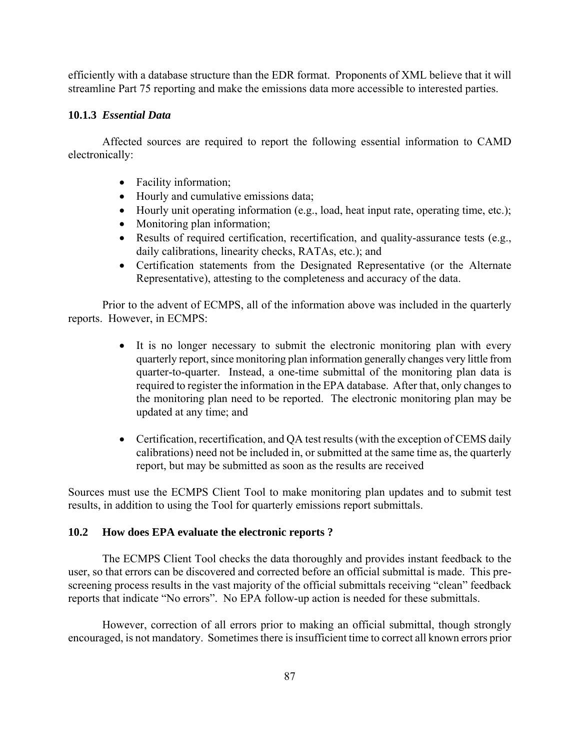efficiently with a database structure than the EDR format. Proponents of XML believe that it will streamline Part 75 reporting and make the emissions data more accessible to interested parties.

#### **10.1.3** *Essential Data*

Affected sources are required to report the following essential information to CAMD electronically:

- Facility information;
- Hourly and cumulative emissions data;
- Hourly unit operating information (e.g., load, heat input rate, operating time, etc.);
- Monitoring plan information;
- Results of required certification, recertification, and quality-assurance tests (e.g., daily calibrations, linearity checks, RATAs, etc.); and
- Certification statements from the Designated Representative (or the Alternate Representative), attesting to the completeness and accuracy of the data.

Prior to the advent of ECMPS, all of the information above was included in the quarterly reports. However, in ECMPS:

- It is no longer necessary to submit the electronic monitoring plan with every quarterly report, since monitoring plan information generally changes very little from quarter-to-quarter. Instead, a one-time submittal of the monitoring plan data is required to register the information in the EPA database. After that, only changes to the monitoring plan need to be reported. The electronic monitoring plan may be updated at any time; and
- Certification, recertification, and QA test results (with the exception of CEMS daily calibrations) need not be included in, or submitted at the same time as, the quarterly report, but may be submitted as soon as the results are received

Sources must use the ECMPS Client Tool to make monitoring plan updates and to submit test results, in addition to using the Tool for quarterly emissions report submittals.

## **10.2 How does EPA evaluate the electronic reports ?**

 The ECMPS Client Tool checks the data thoroughly and provides instant feedback to the user, so that errors can be discovered and corrected before an official submittal is made. This prescreening process results in the vast majority of the official submittals receiving "clean" feedback reports that indicate "No errors". No EPA follow-up action is needed for these submittals.

 However, correction of all errors prior to making an official submittal, though strongly encouraged, is not mandatory. Sometimes there is insufficient time to correct all known errors prior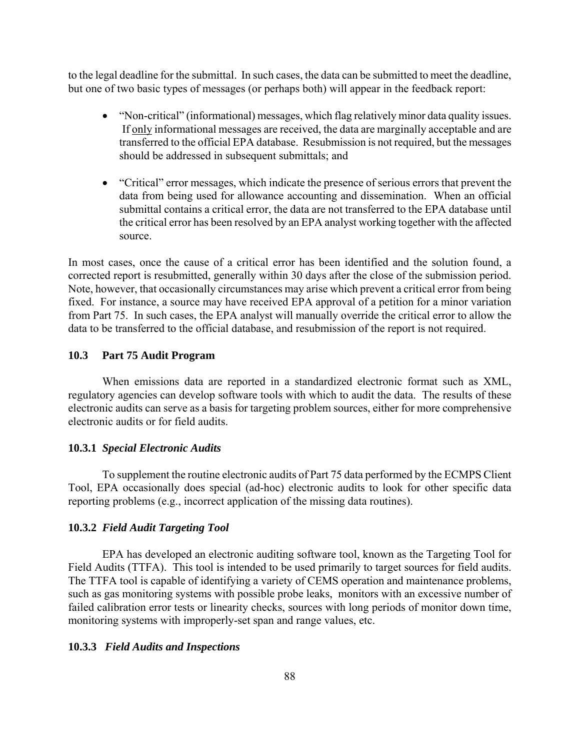to the legal deadline for the submittal. In such cases, the data can be submitted to meet the deadline, but one of two basic types of messages (or perhaps both) will appear in the feedback report:

- "Non-critical" (informational) messages, which flag relatively minor data quality issues. If only informational messages are received, the data are marginally acceptable and are transferred to the official EPA database. Resubmission is not required, but the messages should be addressed in subsequent submittals; and
- "Critical" error messages, which indicate the presence of serious errors that prevent the data from being used for allowance accounting and dissemination. When an official submittal contains a critical error, the data are not transferred to the EPA database until the critical error has been resolved by an EPA analyst working together with the affected source.

In most cases, once the cause of a critical error has been identified and the solution found, a corrected report is resubmitted, generally within 30 days after the close of the submission period. Note, however, that occasionally circumstances may arise which prevent a critical error from being fixed. For instance, a source may have received EPA approval of a petition for a minor variation from Part 75. In such cases, the EPA analyst will manually override the critical error to allow the data to be transferred to the official database, and resubmission of the report is not required.

#### **10.3 Part 75 Audit Program**

When emissions data are reported in a standardized electronic format such as XML, regulatory agencies can develop software tools with which to audit the data. The results of these electronic audits can serve as a basis for targeting problem sources, either for more comprehensive electronic audits or for field audits.

#### **10.3.1** *Special Electronic Audits*

To supplement the routine electronic audits of Part 75 data performed by the ECMPS Client Tool, EPA occasionally does special (ad-hoc) electronic audits to look for other specific data reporting problems (e.g., incorrect application of the missing data routines).

#### **10.3.2** *Field Audit Targeting Tool*

 EPA has developed an electronic auditing software tool, known as the Targeting Tool for Field Audits (TTFA). This tool is intended to be used primarily to target sources for field audits. The TTFA tool is capable of identifying a variety of CEMS operation and maintenance problems, such as gas monitoring systems with possible probe leaks, monitors with an excessive number of failed calibration error tests or linearity checks, sources with long periods of monitor down time, monitoring systems with improperly-set span and range values, etc.

#### **10.3.3** *Field Audits and Inspections*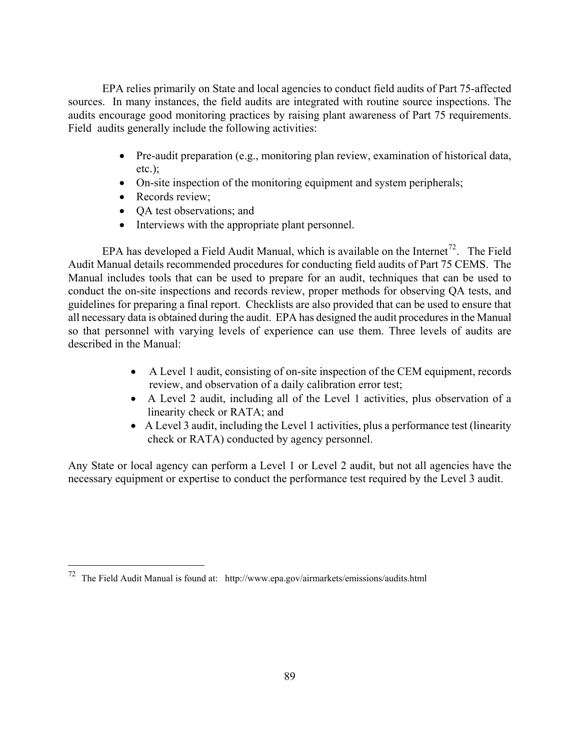EPA relies primarily on State and local agencies to conduct field audits of Part 75-affected sources. In many instances, the field audits are integrated with routine source inspections. The audits encourage good monitoring practices by raising plant awareness of Part 75 requirements. Field audits generally include the following activities:

- Pre-audit preparation (e.g., monitoring plan review, examination of historical data, etc.);
- On-site inspection of the monitoring equipment and system peripherals;
- Records review;

 $\overline{a}$ 

- QA test observations; and
- Interviews with the appropriate plant personnel.

EPA has developed a Field Audit Manual, which is available on the Internet<sup>[72](#page-95-0)</sup>. The Field Audit Manual details recommended procedures for conducting field audits of Part 75 CEMS. The Manual includes tools that can be used to prepare for an audit, techniques that can be used to conduct the on-site inspections and records review, proper methods for observing QA tests, and guidelines for preparing a final report. Checklists are also provided that can be used to ensure that all necessary data is obtained during the audit. EPA has designed the audit procedures in the Manual so that personnel with varying levels of experience can use them. Three levels of audits are described in the Manual:

- A Level 1 audit, consisting of on-site inspection of the CEM equipment, records review, and observation of a daily calibration error test;
- A Level 2 audit, including all of the Level 1 activities, plus observation of a linearity check or RATA; and
- A Level 3 audit, including the Level 1 activities, plus a performance test (linearity check or RATA) conducted by agency personnel.

Any State or local agency can perform a Level 1 or Level 2 audit, but not all agencies have the necessary equipment or expertise to conduct the performance test required by the Level 3 audit.

<span id="page-95-0"></span> $72$  The Field Audit Manual is found at: http://www.epa.gov/airmarkets/emissions/audits.html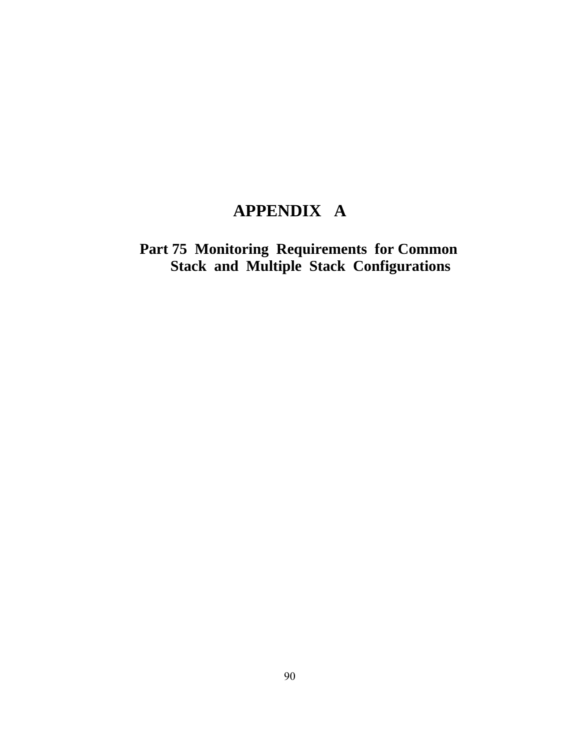# **APPENDIX A**

**Part 75 Monitoring Requirements for Common Stack and Multiple Stack Configurations**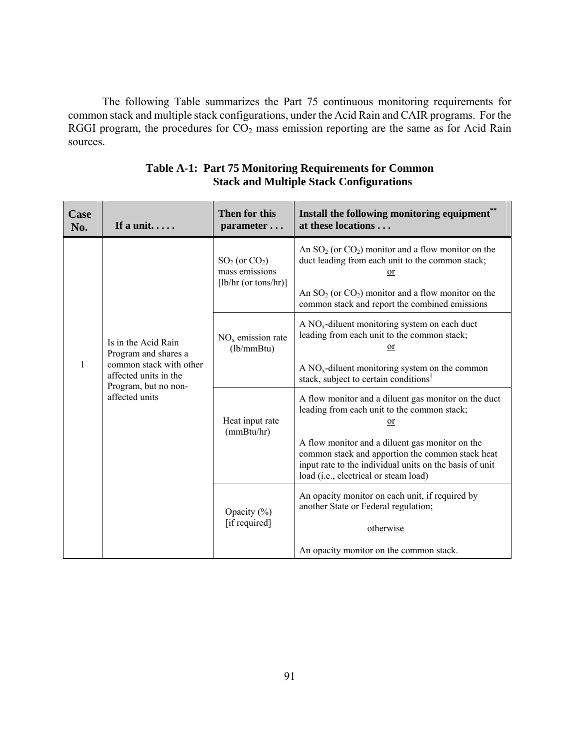The following Table summarizes the Part 75 continuous monitoring requirements for common stack and multiple stack configurations, under the Acid Rain and CAIR programs. For the RGGI program, the procedures for  $CO<sub>2</sub>$  mass emission reporting are the same as for Acid Rain sources.

| Case<br>No. | If a unit                                                                                                                                      | Then for this<br>parameter                                  | Install the following monitoring equipment**<br>at these locations                                                                                                                                                                                                                                                   |
|-------------|------------------------------------------------------------------------------------------------------------------------------------------------|-------------------------------------------------------------|----------------------------------------------------------------------------------------------------------------------------------------------------------------------------------------------------------------------------------------------------------------------------------------------------------------------|
|             | Is in the Acid Rain<br>Program and shares a<br>common stack with other<br>1<br>affected units in the<br>Program, but no non-<br>affected units | $SO2$ (or $CO2$ )<br>mass emissions<br>[lb/hr (or tons/hr)] | An $SO_2$ (or $CO_2$ ) monitor and a flow monitor on the<br>duct leading from each unit to the common stack;<br>or<br>An $SO_2$ (or $CO_2$ ) monitor and a flow monitor on the<br>common stack and report the combined emissions                                                                                     |
|             |                                                                                                                                                | $NOx$ emission rate<br>(lb/mm Btu)                          | A $NOx$ -diluent monitoring system on each duct<br>leading from each unit to the common stack;<br>or<br>A $NOx$ -diluent monitoring system on the common<br>stack, subject to certain conditions <sup>1</sup>                                                                                                        |
|             |                                                                                                                                                | Heat input rate<br>(mmBtu/hr)                               | A flow monitor and a diluent gas monitor on the duct<br>leading from each unit to the common stack;<br>or<br>A flow monitor and a diluent gas monitor on the<br>common stack and apportion the common stack heat<br>input rate to the individual units on the basis of unit<br>load (i.e., electrical or steam load) |
|             |                                                                                                                                                | Opacity $(\% )$<br>[if required]                            | An opacity monitor on each unit, if required by<br>another State or Federal regulation;<br>otherwise<br>An opacity monitor on the common stack.                                                                                                                                                                      |

## **Table A-1: Part 75 Monitoring Requirements for Common Stack and Multiple Stack Configurations**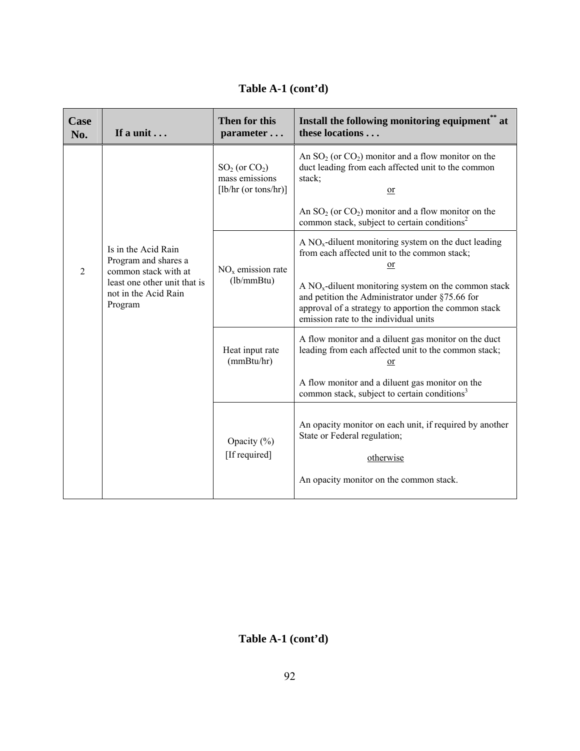| Case<br>No.    | If a unit                                                                                                                              | Then for this<br>parameter                                             | Install the following monitoring equipment <sup>**</sup> at<br>these locations                                                                                                                             |
|----------------|----------------------------------------------------------------------------------------------------------------------------------------|------------------------------------------------------------------------|------------------------------------------------------------------------------------------------------------------------------------------------------------------------------------------------------------|
|                |                                                                                                                                        | $SO_2$ (or $CO_2$ )<br>mass emissions<br>$[\text{lb/hr} (or tons/hr)]$ | An $SO_2$ (or $CO_2$ ) monitor and a flow monitor on the<br>duct leading from each affected unit to the common<br>stack;<br>$or$<br>An $SO_2$ (or $CO_2$ ) monitor and a flow monitor on the               |
|                |                                                                                                                                        |                                                                        | common stack, subject to certain conditions <sup>2</sup>                                                                                                                                                   |
| $\overline{2}$ | Is in the Acid Rain<br>Program and shares a<br>common stack with at<br>least one other unit that is<br>not in the Acid Rain<br>Program | $NOx$ emission rate                                                    | A $NOx$ -diluent monitoring system on the duct leading<br>from each affected unit to the common stack;<br>or                                                                                               |
|                |                                                                                                                                        | (lb/mm Btu)                                                            | A $NOx$ -diluent monitoring system on the common stack<br>and petition the Administrator under §75.66 for<br>approval of a strategy to apportion the common stack<br>emission rate to the individual units |
|                |                                                                                                                                        | Heat input rate<br>(mmBtu/hr)                                          | A flow monitor and a diluent gas monitor on the duct<br>leading from each affected unit to the common stack;<br>or                                                                                         |
|                |                                                                                                                                        |                                                                        | A flow monitor and a diluent gas monitor on the<br>common stack, subject to certain conditions <sup>3</sup>                                                                                                |
|                |                                                                                                                                        | Opacity (%)<br>[If required]                                           | An opacity monitor on each unit, if required by another<br>State or Federal regulation;<br>otherwise                                                                                                       |
|                |                                                                                                                                        |                                                                        | An opacity monitor on the common stack.                                                                                                                                                                    |

**Table A-1 (cont'd)**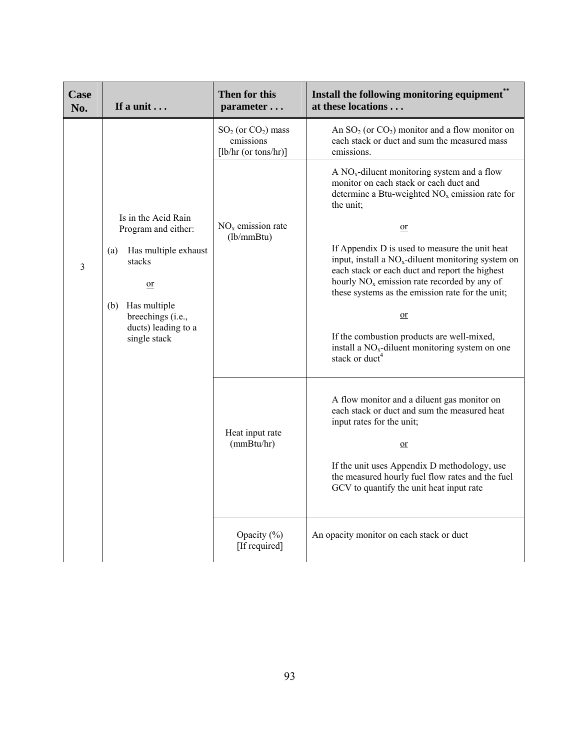| Case<br>No. | If a unit                                                                       | Then for this<br>parameter                                  | Install the following monitoring equipment"<br>at these locations                                                                                                                                                                                                       |
|-------------|---------------------------------------------------------------------------------|-------------------------------------------------------------|-------------------------------------------------------------------------------------------------------------------------------------------------------------------------------------------------------------------------------------------------------------------------|
|             |                                                                                 | $SO2$ (or $CO2$ ) mass<br>emissions<br>[lb/hr (or tons/hr)] | An $SO_2$ (or $CO_2$ ) monitor and a flow monitor on<br>each stack or duct and sum the measured mass<br>emissions.                                                                                                                                                      |
|             |                                                                                 |                                                             | A $NOx$ -diluent monitoring system and a flow<br>monitor on each stack or each duct and<br>determine a Btu-weighted $NOx$ emission rate for<br>the unit;                                                                                                                |
|             | Is in the Acid Rain<br>Program and either:                                      | $NOx$ emission rate<br>(lb/mm Btu)                          | $\overline{or}$                                                                                                                                                                                                                                                         |
| 3           | Has multiple exhaust<br>(a)<br>stacks<br>$or$                                   |                                                             | If Appendix D is used to measure the unit heat<br>input, install a NO <sub>x</sub> -diluent monitoring system on<br>each stack or each duct and report the highest<br>hourly $NOx$ emission rate recorded by any of<br>these systems as the emission rate for the unit; |
|             | Has multiple<br>(b)<br>breechings (i.e.,<br>ducts) leading to a<br>single stack |                                                             | $or$<br>If the combustion products are well-mixed,<br>install a $NOx$ -diluent monitoring system on one<br>stack or duct <sup>4</sup>                                                                                                                                   |
|             |                                                                                 | Heat input rate                                             | A flow monitor and a diluent gas monitor on<br>each stack or duct and sum the measured heat<br>input rates for the unit;                                                                                                                                                |
|             |                                                                                 | (mmBtu/hr)                                                  | $\Omega$ <sub>r</sub>                                                                                                                                                                                                                                                   |
|             |                                                                                 |                                                             | If the unit uses Appendix D methodology, use<br>the measured hourly fuel flow rates and the fuel<br>GCV to quantify the unit heat input rate                                                                                                                            |
|             |                                                                                 | Opacity $(\% )$<br>[If required]                            | An opacity monitor on each stack or duct                                                                                                                                                                                                                                |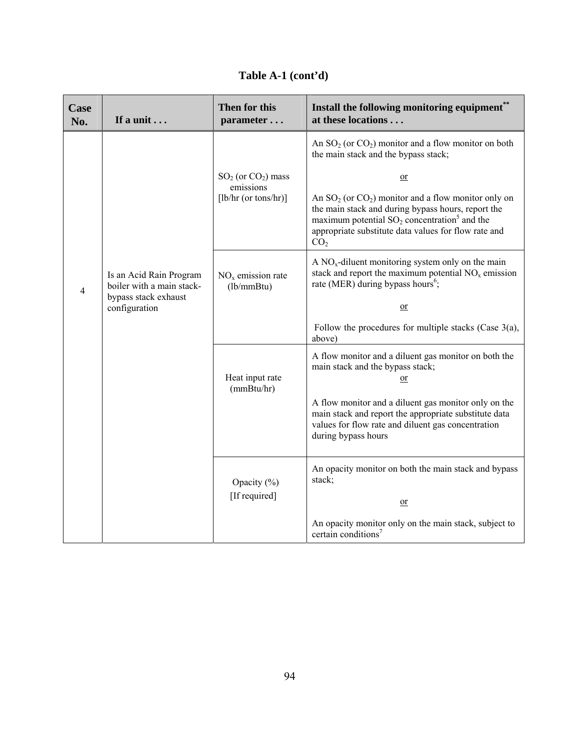| Case<br>No.    | If a unit                                                                                     | Then for this<br>parameter                                  | Install the following monitoring equipment**<br>at these locations                                                                                                                                                                                                |
|----------------|-----------------------------------------------------------------------------------------------|-------------------------------------------------------------|-------------------------------------------------------------------------------------------------------------------------------------------------------------------------------------------------------------------------------------------------------------------|
|                |                                                                                               |                                                             | An $SO_2$ (or $CO_2$ ) monitor and a flow monitor on both<br>the main stack and the bypass stack;                                                                                                                                                                 |
|                |                                                                                               | $SO2$ (or $CO2$ ) mass<br>emissions<br>[lb/hr (or tons/hr)] | $or$<br>An $SO_2$ (or $CO_2$ ) monitor and a flow monitor only on<br>the main stack and during bypass hours, report the<br>maximum potential $SO_2$ concentration <sup>5</sup> and the<br>appropriate substitute data values for flow rate and<br>CO <sub>2</sub> |
| $\overline{4}$ | Is an Acid Rain Program<br>boiler with a main stack-<br>bypass stack exhaust<br>configuration | $NOx$ emission rate<br>(lb/mm Btu)                          | A $NOx$ -diluent monitoring system only on the main<br>stack and report the maximum potential $NOx$ emission<br>rate (MER) during bypass hours <sup>6</sup> ;<br>or                                                                                               |
|                |                                                                                               |                                                             | Follow the procedures for multiple stacks (Case $3(a)$ ,<br>above)                                                                                                                                                                                                |
|                |                                                                                               | Heat input rate<br>(mmBtu/hr)                               | A flow monitor and a diluent gas monitor on both the<br>main stack and the bypass stack;<br>$\overline{\text{or}}$<br>A flow monitor and a diluent gas monitor only on the<br>main stack and report the appropriate substitute data                               |
|                |                                                                                               |                                                             | values for flow rate and diluent gas concentration<br>during bypass hours                                                                                                                                                                                         |
|                |                                                                                               | Opacity (%)<br>[If required]                                | An opacity monitor on both the main stack and bypass<br>stack;                                                                                                                                                                                                    |
|                |                                                                                               |                                                             | <sub>or</sub><br>An opacity monitor only on the main stack, subject to<br>certain conditions <sup>7</sup>                                                                                                                                                         |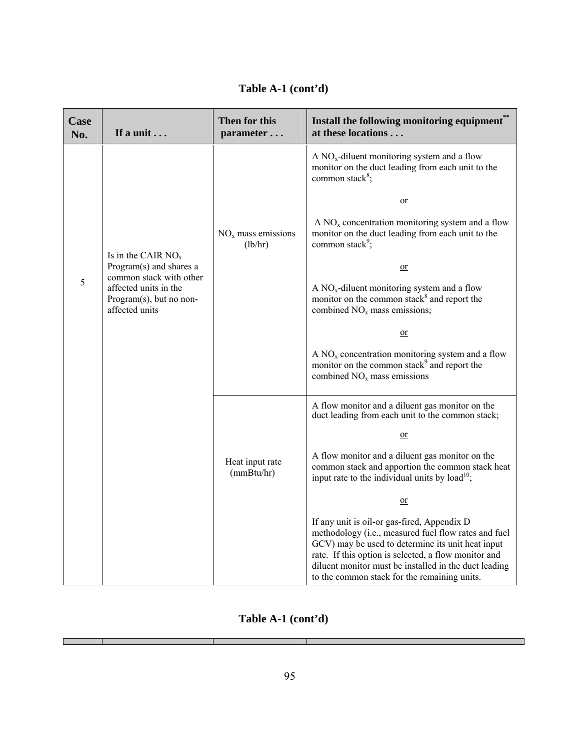| <b>Case</b><br>No. | If a unit                                                                                     | Then for this<br>parameter      | Install the following monitoring equipment**<br>at these locations                                                                                                                                                                                                                                                        |
|--------------------|-----------------------------------------------------------------------------------------------|---------------------------------|---------------------------------------------------------------------------------------------------------------------------------------------------------------------------------------------------------------------------------------------------------------------------------------------------------------------------|
|                    |                                                                                               |                                 | A $NOx$ -diluent monitoring system and a flow<br>monitor on the duct leading from each unit to the<br>common stack <sup>8</sup> ;                                                                                                                                                                                         |
|                    |                                                                                               |                                 | $\overline{\text{or}}$                                                                                                                                                                                                                                                                                                    |
|                    |                                                                                               | $NOx$ mass emissions<br>(lb/hr) | $A NOx$ concentration monitoring system and a flow<br>monitor on the duct leading from each unit to the<br>common stack <sup>9</sup> ;                                                                                                                                                                                    |
|                    | Is in the CAIR $NOx$<br>Program(s) and shares a                                               |                                 | $\Omega$ r                                                                                                                                                                                                                                                                                                                |
| 5                  | common stack with other<br>affected units in the<br>Program(s), but no non-<br>affected units |                                 | A $NOx$ -diluent monitoring system and a flow<br>monitor on the common stack <sup>8</sup> and report the<br>combined NO <sub>x</sub> mass emissions;                                                                                                                                                                      |
|                    |                                                                                               |                                 | $or$                                                                                                                                                                                                                                                                                                                      |
|                    |                                                                                               |                                 | $A NOx$ concentration monitoring system and a flow<br>monitor on the common stack <sup>9</sup> and report the<br>combined $NOx$ mass emissions                                                                                                                                                                            |
|                    |                                                                                               |                                 | A flow monitor and a diluent gas monitor on the<br>duct leading from each unit to the common stack;                                                                                                                                                                                                                       |
|                    |                                                                                               |                                 | $\alpha$                                                                                                                                                                                                                                                                                                                  |
|                    |                                                                                               | Heat input rate<br>(mmBtu/hr)   | A flow monitor and a diluent gas monitor on the<br>common stack and apportion the common stack heat<br>input rate to the individual units by load <sup>10</sup> ;                                                                                                                                                         |
|                    |                                                                                               |                                 | $or$                                                                                                                                                                                                                                                                                                                      |
|                    |                                                                                               |                                 | If any unit is oil-or gas-fired, Appendix D<br>methodology (i.e., measured fuel flow rates and fuel<br>GCV) may be used to determine its unit heat input<br>rate. If this option is selected, a flow monitor and<br>diluent monitor must be installed in the duct leading<br>to the common stack for the remaining units. |

## **Table A-1 (cont'd)**

Г

- 1

٦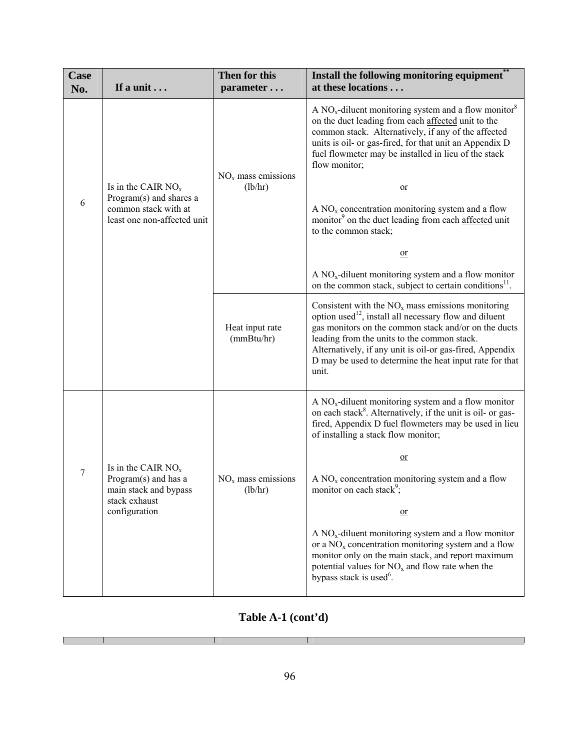| Case<br>No. | If a unit                                                                                               | Then for this<br>parameter      | Install the following monitoring equipment**<br>at these locations                                                                                                                                                                                                                                                                                                                                                                                                                                                                                                                                                                                   |
|-------------|---------------------------------------------------------------------------------------------------------|---------------------------------|------------------------------------------------------------------------------------------------------------------------------------------------------------------------------------------------------------------------------------------------------------------------------------------------------------------------------------------------------------------------------------------------------------------------------------------------------------------------------------------------------------------------------------------------------------------------------------------------------------------------------------------------------|
| 6           | Is in the CAIR $NOx$<br>Program(s) and shares a<br>common stack with at<br>least one non-affected unit  | $NOx$ mass emissions<br>(lb/hr) | A $NOx$ -diluent monitoring system and a flow monitor <sup>8</sup><br>on the duct leading from each affected unit to the<br>common stack. Alternatively, if any of the affected<br>units is oil- or gas-fired, for that unit an Appendix D<br>fuel flowmeter may be installed in lieu of the stack<br>flow monitor;<br>$or$<br>$A NOx$ concentration monitoring system and a flow<br>monitor <sup>9</sup> on the duct leading from each affected unit<br>to the common stack;<br>or<br>A $NOx$ -diluent monitoring system and a flow monitor<br>on the common stack, subject to certain conditions <sup>11</sup> .                                   |
|             |                                                                                                         | Heat input rate<br>(mmBtu/hr)   | Consistent with the $NOx$ mass emissions monitoring<br>option used <sup>12</sup> , install all necessary flow and diluent<br>gas monitors on the common stack and/or on the ducts<br>leading from the units to the common stack.<br>Alternatively, if any unit is oil-or gas-fired, Appendix<br>D may be used to determine the heat input rate for that<br>unit.                                                                                                                                                                                                                                                                                     |
| 7           | Is in the CAIR $NOx$<br>Program(s) and has a<br>main stack and bypass<br>stack exhaust<br>configuration | $NOx$ mass emissions<br>(lb/hr) | A $NOx$ -diluent monitoring system and a flow monitor<br>on each stack <sup>8</sup> . Alternatively, if the unit is oil- or gas-<br>fired, Appendix D fuel flowmeters may be used in lieu<br>of installing a stack flow monitor;<br>$\alpha$<br>$A NOx$ concentration monitoring system and a flow<br>monitor on each stack <sup>9</sup> ;<br>$\overline{\text{or}}$<br>A $NOx$ -diluent monitoring system and a flow monitor<br>$or$ a NO <sub>x</sub> concentration monitoring system and a flow<br>monitor only on the main stack, and report maximum<br>potential values for $NOx$ and flow rate when the<br>bypass stack is used <sup>6</sup> . |

Т

Г

т

٦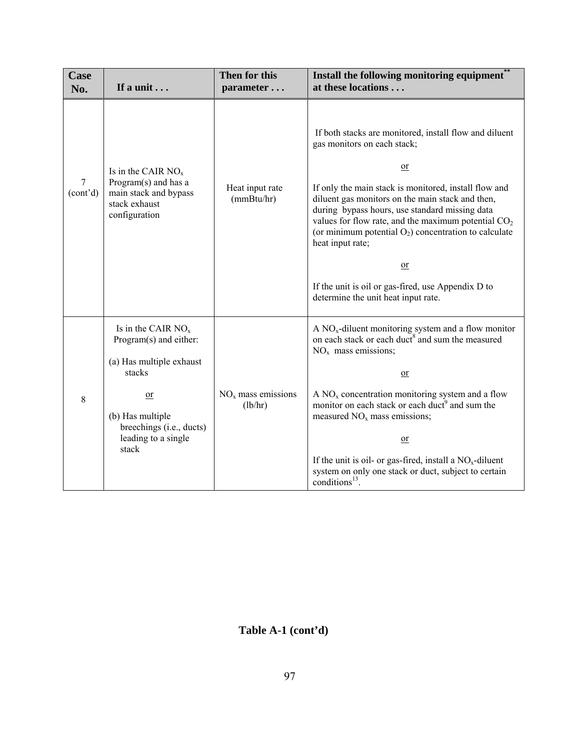| Case<br>No.                | If a unit                                                                                                                                                                    | Then for this<br>parameter      | Install the following monitoring equipment**<br>at these locations                                                                                                                                                                                                                                                                                                                                                                                                                                                               |
|----------------------------|------------------------------------------------------------------------------------------------------------------------------------------------------------------------------|---------------------------------|----------------------------------------------------------------------------------------------------------------------------------------------------------------------------------------------------------------------------------------------------------------------------------------------------------------------------------------------------------------------------------------------------------------------------------------------------------------------------------------------------------------------------------|
| 7<br>(cont <sup>2</sup> d) | Is in the CAIR $NOx$<br>Program(s) and has a<br>main stack and bypass<br>stack exhaust<br>configuration                                                                      | Heat input rate<br>(mmBtu/hr)   | If both stacks are monitored, install flow and diluent<br>gas monitors on each stack;<br>$\overline{or}$<br>If only the main stack is monitored, install flow and<br>diluent gas monitors on the main stack and then,<br>during bypass hours, use standard missing data<br>values for flow rate, and the maximum potential $CO2$<br>(or minimum potential $O_2$ ) concentration to calculate<br>heat input rate;<br>$\overline{or}$<br>If the unit is oil or gas-fired, use Appendix D to<br>determine the unit heat input rate. |
| 8                          | Is in the CAIR $NOx$<br>Program(s) and either:<br>(a) Has multiple exhaust<br>stacks<br>$or$<br>(b) Has multiple<br>breechings (i.e., ducts)<br>leading to a single<br>stack | $NOx$ mass emissions<br>(lb/hr) | A $NOx$ -diluent monitoring system and a flow monitor<br>on each stack or each duct <sup>8</sup> and sum the measured<br>$NOx$ mass emissions;<br>$\overline{\text{or}}$<br>A $NOx$ concentration monitoring system and a flow<br>monitor on each stack or each duct <sup>9</sup> and sum the<br>measured $NOx$ mass emissions;<br>$or$<br>If the unit is oil- or gas-fired, install a $NOx$ -diluent<br>system on only one stack or duct, subject to certain<br>conditions <sup>13</sup> .                                      |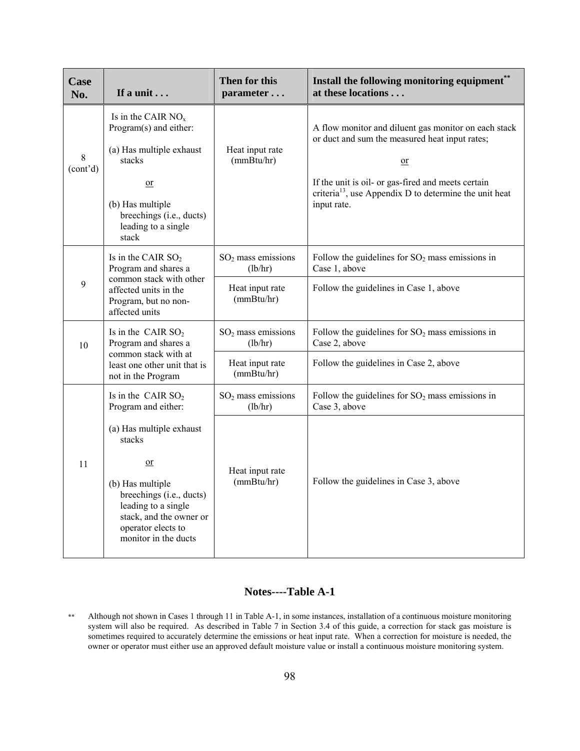| Case<br>No.                | If a unit $\ldots$                                                                                                                                                                                                                                          | Then for this<br>parameter                                       | Install the following monitoring equipment**<br>at these locations                                                                                                                                                                                                          |
|----------------------------|-------------------------------------------------------------------------------------------------------------------------------------------------------------------------------------------------------------------------------------------------------------|------------------------------------------------------------------|-----------------------------------------------------------------------------------------------------------------------------------------------------------------------------------------------------------------------------------------------------------------------------|
| 8<br>(cont <sup>2</sup> d) | Is in the CAIR $NOx$<br>Program(s) and either:<br>(a) Has multiple exhaust<br>stacks<br>$\overline{\text{or}}$<br>(b) Has multiple<br>breechings (i.e., ducts)<br>leading to a single<br>stack                                                              | Heat input rate<br>(mmBtu/hr)                                    | A flow monitor and diluent gas monitor on each stack<br>or duct and sum the measured heat input rates;<br>$\overline{\text{or}}$<br>If the unit is oil- or gas-fired and meets certain<br>criteria <sup>13</sup> , use Appendix D to determine the unit heat<br>input rate. |
| 9                          | Is in the CAIR $SO2$<br>Program and shares a<br>common stack with other<br>affected units in the<br>Program, but no non-<br>affected units                                                                                                                  | $SO2$ mass emissions<br>(lb/hr)<br>Heat input rate<br>(mmBtu/hr) | Follow the guidelines for $SO_2$ mass emissions in<br>Case 1, above<br>Follow the guidelines in Case 1, above                                                                                                                                                               |
| 10                         | Is in the CAIR $SO2$<br>Program and shares a<br>common stack with at<br>least one other unit that is<br>not in the Program                                                                                                                                  | $SO2$ mass emissions<br>(lb/hr)<br>Heat input rate<br>(mmBtu/hr) | Follow the guidelines for $SO_2$ mass emissions in<br>Case 2, above<br>Follow the guidelines in Case 2, above                                                                                                                                                               |
| 11                         | Is in the CAIR $SO2$<br>Program and either:<br>(a) Has multiple exhaust<br>stacks<br>$\overline{\text{or}}$<br>(b) Has multiple<br>breechings (i.e., ducts)<br>leading to a single<br>stack, and the owner or<br>operator elects to<br>monitor in the ducts | $SO2$ mass emissions<br>(lb/hr)<br>Heat input rate<br>(mmBtu/hr) | Follow the guidelines for $SO_2$ mass emissions in<br>Case 3, above<br>Follow the guidelines in Case 3, above                                                                                                                                                               |

## **Notes----Table A-1**

\*\* Although not shown in Cases 1 through 11 in Table A-1, in some instances, installation of a continuous moisture monitoring system will also be required. As described in Table 7 in Section 3.4 of this guide, a correction for stack gas moisture is sometimes required to accurately determine the emissions or heat input rate. When a correction for moisture is needed, the owner or operator must either use an approved default moisture value or install a continuous moisture monitoring system.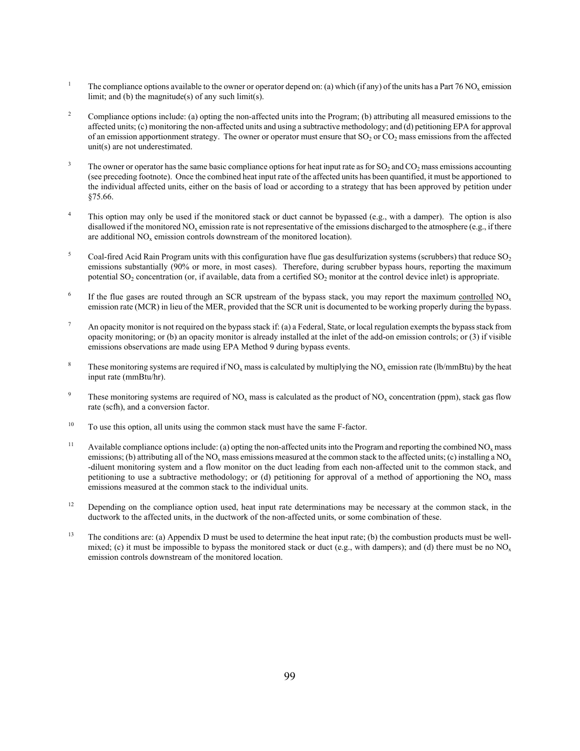- 1 The compliance options available to the owner or operator depend on: (a) which (if any) of the units has a Part 76 NO<sub>x</sub> emission limit; and (b) the magnitude(s) of any such limit(s).
- 2 Compliance options include: (a) opting the non-affected units into the Program; (b) attributing all measured emissions to the affected units; (c) monitoring the non-affected units and using a subtractive methodology; and (d) petitioning EPA for approval of an emission apportionment strategy. The owner or operator must ensure that  $SO_2$  or  $CO_2$  mass emissions from the affected unit(s) are not underestimated.
- 3 The owner or operator has the same basic compliance options for heat input rate as for  $SO_2$  and  $CO_2$  mass emissions accounting (see preceding footnote). Once the combined heat input rate of the affected units has been quantified, it must be apportioned to the individual affected units, either on the basis of load or according to a strategy that has been approved by petition under §75.66.
- 4 This option may only be used if the monitored stack or duct cannot be bypassed (e.g., with a damper). The option is also disallowed if the monitored NO<sub>x</sub> emission rate is not representative of the emissions discharged to the atmosphere (e.g., if there are additional  $NO<sub>x</sub>$  emission controls downstream of the monitored location).
- 5 Coal-fired Acid Rain Program units with this configuration have flue gas desulfurization systems (scrubbers) that reduce  $SO<sub>2</sub>$ emissions substantially (90% or more, in most cases). Therefore, during scrubber bypass hours, reporting the maximum potential  $SO_2$  concentration (or, if available, data from a certified  $SO_2$  monitor at the control device inlet) is appropriate.
- 6 If the flue gases are routed through an SCR upstream of the bypass stack, you may report the maximum controlled  $NO<sub>x</sub>$ emission rate (MCR) in lieu of the MER, provided that the SCR unit is documented to be working properly during the bypass.
- 7 An opacity monitor is not required on the bypass stack if: (a) a Federal, State, or local regulation exempts the bypass stack from opacity monitoring; or (b) an opacity monitor is already installed at the inlet of the add-on emission controls; or (3) if visible emissions observations are made using EPA Method 9 during bypass events.
- 8 These monitoring systems are required if  $NO_x$  mass is calculated by multiplying the  $NO_x$  emission rate (lb/mmBtu) by the heat input rate (mmBtu/hr).
- 9 These monitoring systems are required of NO<sub>x</sub> mass is calculated as the product of NO<sub>x</sub> concentration (ppm), stack gas flow rate (scfh), and a conversion factor.
- <sup>10</sup> To use this option, all units using the common stack must have the same F-factor.
- <sup>11</sup> Available compliance options include: (a) opting the non-affected units into the Program and reporting the combined  $NO<sub>x</sub>$  mass emissions; (b) attributing all of the NO<sub>x</sub> mass emissions measured at the common stack to the affected units; (c) installing a NO<sub>x</sub> -diluent monitoring system and a flow monitor on the duct leading from each non-affected unit to the common stack, and petitioning to use a subtractive methodology; or (d) petitioning for approval of a method of apportioning the  $NO<sub>x</sub>$  mass emissions measured at the common stack to the individual units.
- <sup>12</sup> Depending on the compliance option used, heat input rate determinations may be necessary at the common stack, in the ductwork to the affected units, in the ductwork of the non-affected units, or some combination of these.
- <sup>13</sup> The conditions are: (a) Appendix D must be used to determine the heat input rate; (b) the combustion products must be wellmixed; (c) it must be impossible to bypass the monitored stack or duct (e.g., with dampers); and (d) there must be no  $NO<sub>x</sub>$ emission controls downstream of the monitored location.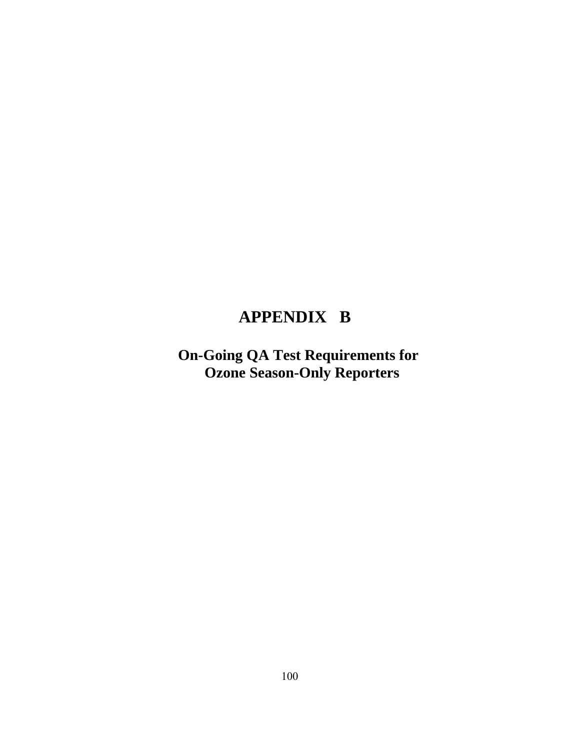# **APPENDIX B**

 **On-Going QA Test Requirements for Ozone Season-Only Reporters**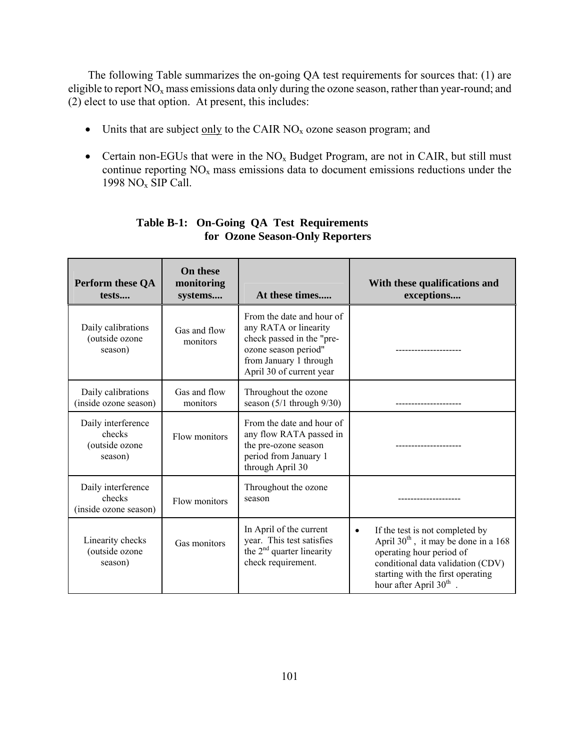The following Table summarizes the on-going QA test requirements for sources that: (1) are eligible to report  $\overline{NO_x}$  mass emissions data only during the ozone season, rather than year-round; and (2) elect to use that option. At present, this includes:

- Units that are subject only to the CAIR  $NO<sub>x</sub>$  ozone season program; and
- Certain non-EGUs that were in the  $NO<sub>x</sub>$  Budget Program, are not in CAIR, but still must continue reporting  $NO<sub>x</sub>$  mass emissions data to document emissions reductions under the 1998  $NO<sub>x</sub>$  SIP Call.

| Perform these QA<br>tests                                 | <b>On these</b><br>monitoring<br>systems | At these times                                                                                                                                                | With these qualifications and<br>exceptions                                                                                                                                                                                         |
|-----------------------------------------------------------|------------------------------------------|---------------------------------------------------------------------------------------------------------------------------------------------------------------|-------------------------------------------------------------------------------------------------------------------------------------------------------------------------------------------------------------------------------------|
| Daily calibrations<br>(outside ozone<br>season)           | Gas and flow<br>monitors                 | From the date and hour of<br>any RATA or linearity<br>check passed in the "pre-<br>ozone season period"<br>from January 1 through<br>April 30 of current year |                                                                                                                                                                                                                                     |
| Daily calibrations<br>(inside ozone season)               | Gas and flow<br>monitors                 | Throughout the ozone<br>season $(5/1$ through $9/30$ )                                                                                                        |                                                                                                                                                                                                                                     |
| Daily interference<br>checks<br>(outside ozone<br>season) | Flow monitors                            | From the date and hour of<br>any flow RATA passed in<br>the pre-ozone season<br>period from January 1<br>through April 30                                     | -------------                                                                                                                                                                                                                       |
| Daily interference<br>checks<br>(inside ozone season)     | Flow monitors                            | Throughout the ozone<br>season                                                                                                                                |                                                                                                                                                                                                                                     |
| Linearity checks<br>(outside ozone<br>season)             | Gas monitors                             | In April of the current<br>year. This test satisfies<br>the $2nd$ quarter linearity<br>check requirement.                                                     | If the test is not completed by<br>$\bullet$<br>April $30th$ , it may be done in a 168<br>operating hour period of<br>conditional data validation (CDV)<br>starting with the first operating<br>hour after April 30 <sup>th</sup> . |

#### **Table B-1: On-Going QA Test Requirements for Ozone Season-Only Reporters**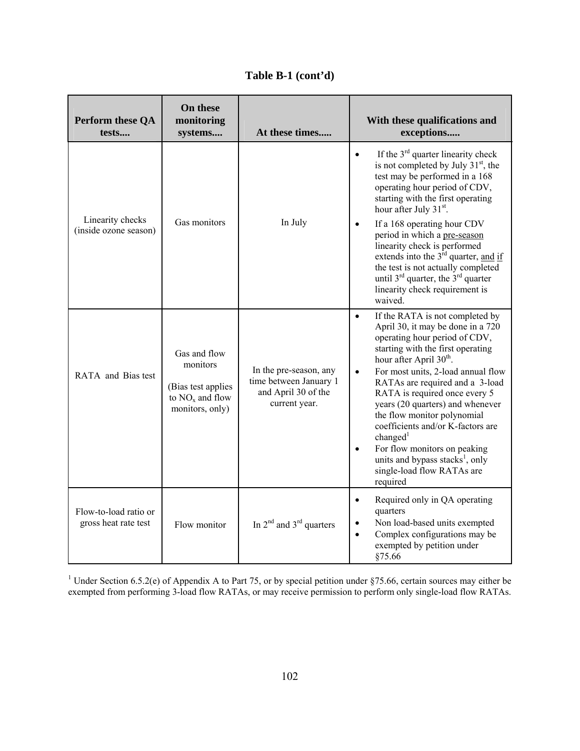**Table B-1 (cont'd)**

| Perform these QA<br>tests                     | On these<br>monitoring<br>systems                                                      | At these times                                                                           | With these qualifications and<br>exceptions                                                                                                                                                                                                                                                                                                                                                                                                                                                                                                                                                 |
|-----------------------------------------------|----------------------------------------------------------------------------------------|------------------------------------------------------------------------------------------|---------------------------------------------------------------------------------------------------------------------------------------------------------------------------------------------------------------------------------------------------------------------------------------------------------------------------------------------------------------------------------------------------------------------------------------------------------------------------------------------------------------------------------------------------------------------------------------------|
| Linearity checks<br>(inside ozone season)     | Gas monitors                                                                           | In July                                                                                  | If the $3rd$ quarter linearity check<br>$\bullet$<br>is not completed by July 31 <sup>st</sup> , the<br>test may be performed in a 168<br>operating hour period of CDV,<br>starting with the first operating<br>hour after July 31 <sup>st</sup> .<br>If a 168 operating hour CDV<br>$\bullet$<br>period in which a pre-season<br>linearity check is performed<br>extends into the $3rd$ quarter, and if<br>the test is not actually completed<br>until $3^{rd}$ quarter, the $3^{rd}$ quarter<br>linearity check requirement is<br>waived.                                                 |
| RATA and Bias test                            | Gas and flow<br>monitors<br>(Bias test applies<br>to $NOx$ and flow<br>monitors, only) | In the pre-season, any<br>time between January 1<br>and April 30 of the<br>current year. | If the RATA is not completed by<br>$\bullet$<br>April 30, it may be done in a 720<br>operating hour period of CDV,<br>starting with the first operating<br>hour after April 30 <sup>th</sup> .<br>For most units, 2-load annual flow<br>$\bullet$<br>RATAs are required and a 3-load<br>RATA is required once every 5<br>years (20 quarters) and whenever<br>the flow monitor polynomial<br>coefficients and/or K-factors are<br>changed <sup>1</sup><br>For flow monitors on peaking<br>$\bullet$<br>units and bypass stacks <sup>1</sup> , only<br>single-load flow RATAs are<br>required |
| Flow-to-load ratio or<br>gross heat rate test | Flow monitor                                                                           | In $2^{nd}$ and $3^{rd}$ quarters                                                        | Required only in QA operating<br>$\bullet$<br>quarters<br>Non load-based units exempted<br>$\bullet$<br>Complex configurations may be<br>$\bullet$<br>exempted by petition under<br>§75.66                                                                                                                                                                                                                                                                                                                                                                                                  |

<sup>1</sup> Under Section 6.5.2(e) of Appendix A to Part 75, or by special petition under §75.66, certain sources may either be exempted from performing 3-load flow RATAs, or may receive permission to perform only single-load flow RATAs.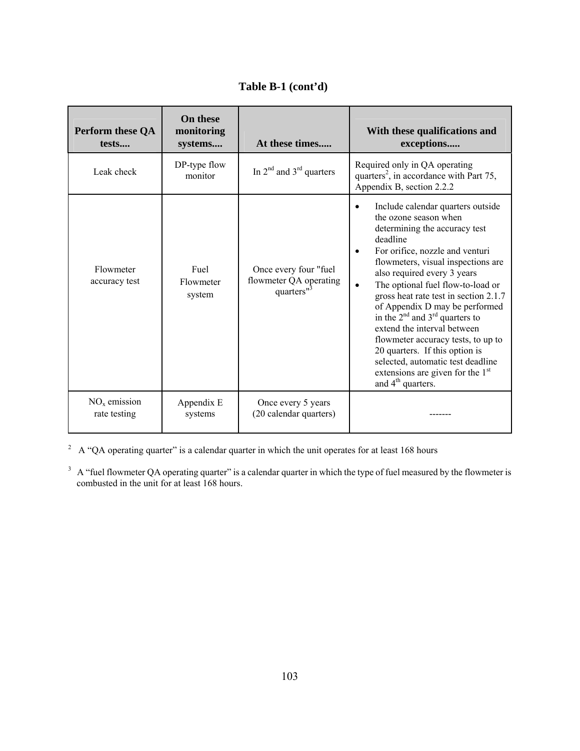**Table B-1 (cont'd)**

| Perform these QA<br>tests      | <b>On these</b><br>monitoring<br>systems | At these times                                                            | With these qualifications and<br>exceptions                                                                                                                                                                                                                                                                                                                                                                                                                                                                                                                                                                                     |
|--------------------------------|------------------------------------------|---------------------------------------------------------------------------|---------------------------------------------------------------------------------------------------------------------------------------------------------------------------------------------------------------------------------------------------------------------------------------------------------------------------------------------------------------------------------------------------------------------------------------------------------------------------------------------------------------------------------------------------------------------------------------------------------------------------------|
| Leak check                     | DP-type flow<br>monitor                  | In $2^{nd}$ and $3^{rd}$ quarters                                         | Required only in QA operating<br>quarters <sup>2</sup> , in accordance with Part 75,<br>Appendix B, section 2.2.2                                                                                                                                                                                                                                                                                                                                                                                                                                                                                                               |
| Flowmeter<br>accuracy test     | Fuel<br>Flowmeter<br>system              | Once every four "fuel<br>flowmeter QA operating<br>quarters" <sup>3</sup> | Include calendar quarters outside<br>$\bullet$<br>the ozone season when<br>determining the accuracy test<br>deadline<br>For orifice, nozzle and venturi<br>$\bullet$<br>flowmeters, visual inspections are<br>also required every 3 years<br>The optional fuel flow-to-load or<br>$\bullet$<br>gross heat rate test in section 2.1.7<br>of Appendix D may be performed<br>in the $2nd$ and $3rd$ quarters to<br>extend the interval between<br>flowmeter accuracy tests, to up to<br>20 quarters. If this option is<br>selected, automatic test deadline<br>extensions are given for the $1st$<br>and 4 <sup>th</sup> quarters. |
| $NOx$ emission<br>rate testing | Appendix E<br>systems                    | Once every 5 years<br>(20 calendar quarters)                              |                                                                                                                                                                                                                                                                                                                                                                                                                                                                                                                                                                                                                                 |

<sup>2</sup> A "QA operating quarter" is a calendar quarter in which the unit operates for at least 168 hours

 $3 \text{ A}$  "fuel flowmeter QA operating quarter" is a calendar quarter in which the type of fuel measured by the flowmeter is combusted in the unit for at least 168 hours.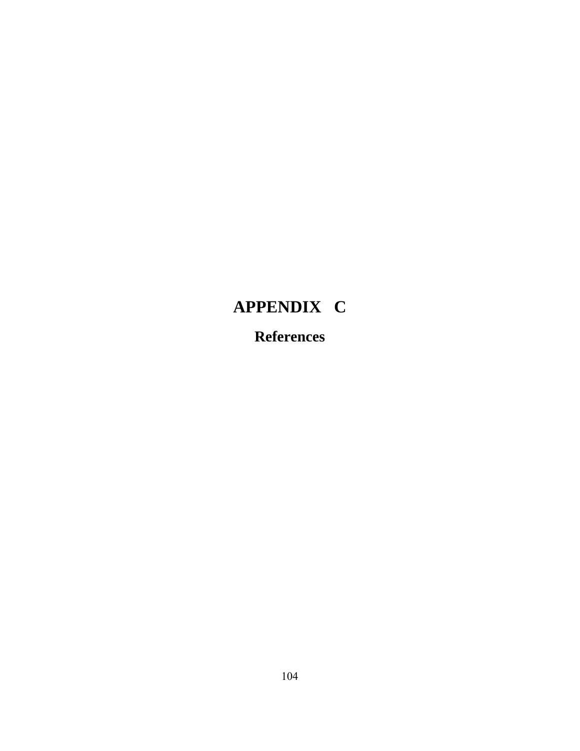# **APPENDIX C References**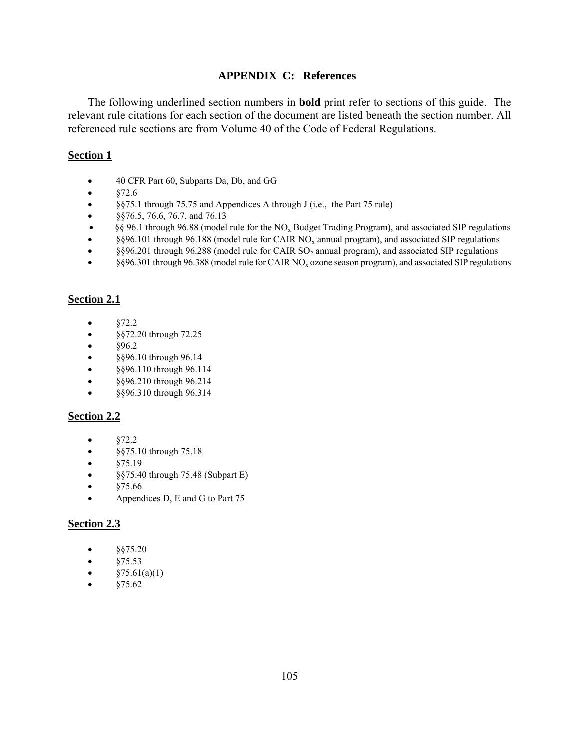#### **APPENDIX C: References**

The following underlined section numbers in **bold** print refer to sections of this guide. The relevant rule citations for each section of the document are listed beneath the section number. All referenced rule sections are from Volume 40 of the Code of Federal Regulations.

#### **Section 1**

- 40 CFR Part 60, Subparts Da, Db, and GG
- $\bullet$   $\& 72.6$
- §§75.1 through 75.75 and Appendices A through J (i.e., the Part 75 rule)
- §§76.5, 76.6, 76.7, and 76.13
- §§ 96.1 through 96.88 (model rule for the NOx Budget Trading Program), and associated SIP regulations
- §§96.101 through 96.188 (model rule for CAIR  $NO<sub>x</sub>$  annual program), and associated SIP regulations
- §§96.201 through 96.288 (model rule for CAIR  $SO_2$  annual program), and associated SIP regulations
- §§96.301 through 96.388 (model rule for CAIR NO<sub>x</sub> ozone season program), and associated SIP regulations

#### **Section 2.1**

- §72.2
- §§72.20 through 72.25
- $§96.2$
- §§96.10 through 96.14
- §§96.110 through 96.114
- §§96.210 through 96.214
- §§96.310 through 96.314

#### **Section 2.2**

- $§72.2$
- §§75.10 through 75.18
- $§75.19$
- §§75.40 through 75.48 (Subpart E)
- $•$   $$75.66$
- Appendices D, E and G to Part 75

#### **Section 2.3**

- $§$ §75.20
- $§75.53$
- $§75.61(a)(1)$
- §75.62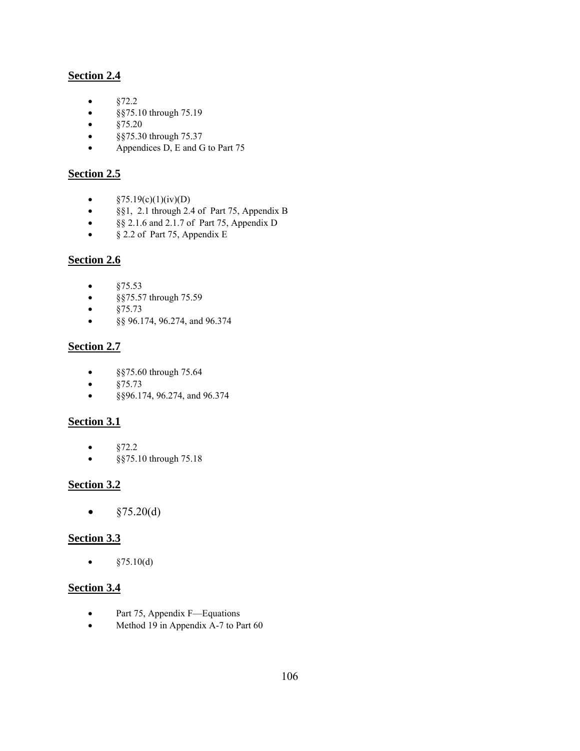# **Section 2.4**

- $§72.2$
- §§75.10 through 75.19
- $§75.20$
- §§75.30 through 75.37
- Appendices D, E and G to Part 75

#### **Section 2.5**

- $\S 75.19(c)(1)(iv)(D)$
- §§1, 2.1 through 2.4 of Part 75, Appendix B
- §§ 2.1.6 and 2.1.7 of Part 75, Appendix D
- § 2.2 of Part 75, Appendix E

#### **Section 2.6**

- §75.53
- §§75.57 through 75.59
- $§75.73$
- §§ 96.174, 96.274, and 96.374

#### **Section 2.7**

- §§75.60 through 75.64
- $§75.73$
- §§96.174, 96.274, and 96.374

#### **Section 3.1**

- $§72.2$
- §§75.10 through 75.18

#### **Section 3.2**

•  $§75.20(d)$ 

#### **Section 3.3**

•  $§75.10(d)$ 

#### **Section 3.4**

- Part 75, Appendix F—Equations
- Method 19 in Appendix A-7 to Part 60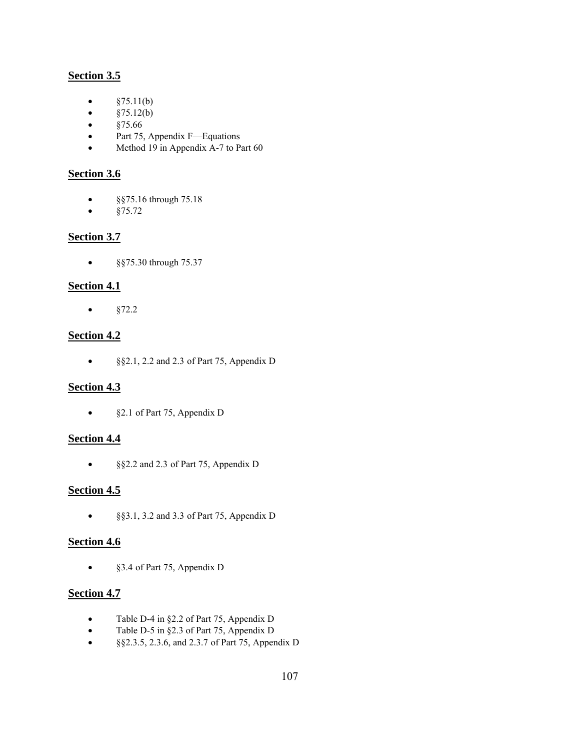# **Section 3.5**

- $§75.11(b)$
- $§75.12(b)$
- $§75.66$
- Part 75, Appendix F—Equations
- Method 19 in Appendix A-7 to Part 60

#### **Section 3.6**

- §§75.16 through 75.18
- $§75.72$

#### **Section 3.7**

• §§75.30 through 75.37

# **Section 4.1**

•  $§72.2$ 

# **Section 4.2**

• §§2.1, 2.2 and 2.3 of Part 75, Appendix D

# **Section 4.3**

• §2.1 of Part 75, Appendix D

# **Section 4.4**

• §§2.2 and 2.3 of Part 75, Appendix D

#### **Section 4.5**

• §§3.1, 3.2 and 3.3 of Part 75, Appendix D

# **Section 4.6**

• §3.4 of Part 75, Appendix D

#### **Section 4.7**

- Table D-4 in §2.2 of Part 75, Appendix D
- Table D-5 in §2.3 of Part 75, Appendix D
- §§2.3.5, 2.3.6, and 2.3.7 of Part 75, Appendix D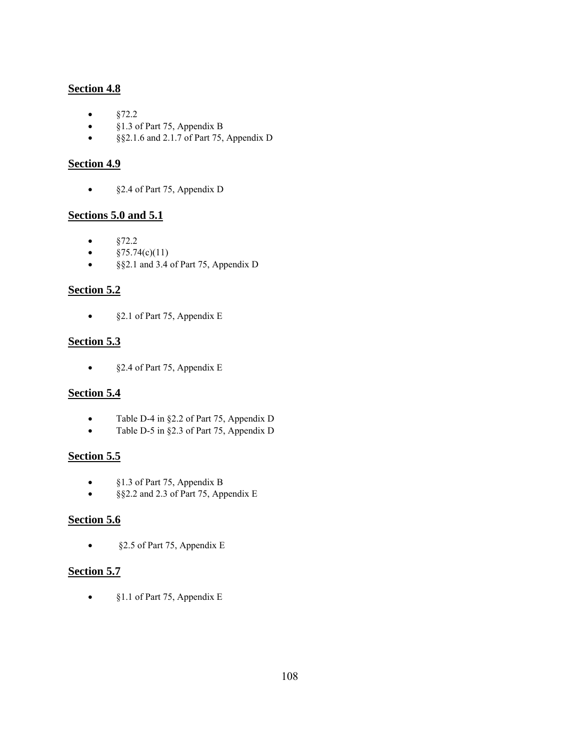#### **Section 4.8**

- $§72.2$
- §1.3 of Part 75, Appendix B
- §§2.1.6 and 2.1.7 of Part 75, Appendix D

# **Section 4.9**

• §2.4 of Part 75, Appendix D

#### **Sections 5.0 and 5.1**

- $§72.2$
- $§75.74(c)(11)$
- §§2.1 and 3.4 of Part 75, Appendix D

# **Section 5.2**

• §2.1 of Part 75, Appendix E

# **Section 5.3**

• §2.4 of Part 75, Appendix E

# **Section 5.4**

- Table D-4 in §2.2 of Part 75, Appendix D
- Table D-5 in §2.3 of Part 75, Appendix D

# **Section 5.5**

- §1.3 of Part 75, Appendix B
- §§2.2 and 2.3 of Part 75, Appendix E

#### **Section 5.6**

• §2.5 of Part 75, Appendix E

# **Section 5.7**

• §1.1 of Part 75, Appendix E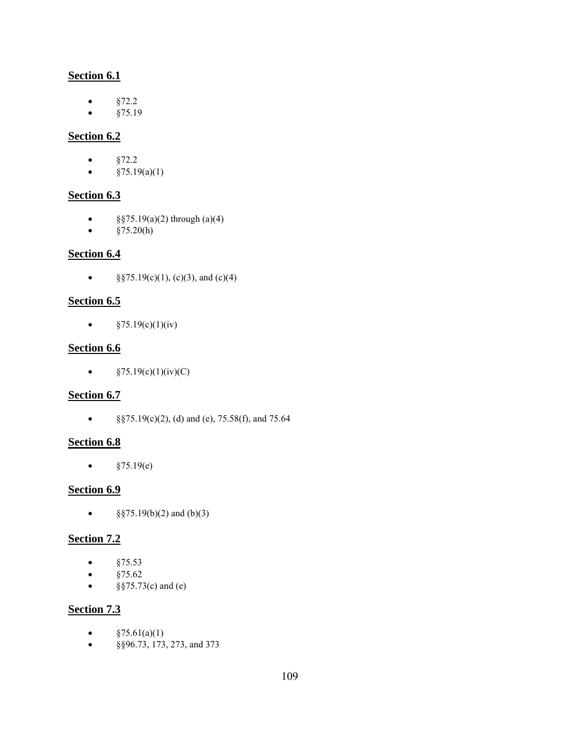# **Section 6.1**

- $§72.2$
- $§75.19$

# **Section 6.2**

- $§72.2$
- $§75.19(a)(1)$

# **Section 6.3**

- $§$ §75.19(a)(2) through (a)(4)
- $§75.20(h)$

# **Section 6.4**

• §§75.19(c)(1), (c)(3), and (c)(4)

# **Section 6.5**

•  $§75.19(c)(1)(iv)$ 

# **Section 6.6**

•  $§75.19(c)(1)(iv)(C)$ 

# **Section 6.7**

• §§75.19(c)(2), (d) and (e), 75.58(f), and 75.64

# **Section 6.8**

•  $§75.19(e)$ 

# **Section 6.9**

•  $§$ §75.19(b)(2) and (b)(3)

# **Section 7.2**

- $§75.53$
- $§75.62$
- $§$ §75.73(c) and (e)

# **Section 7.3**

- $§75.61(a)(1)$
- §§96.73, 173, 273, and 373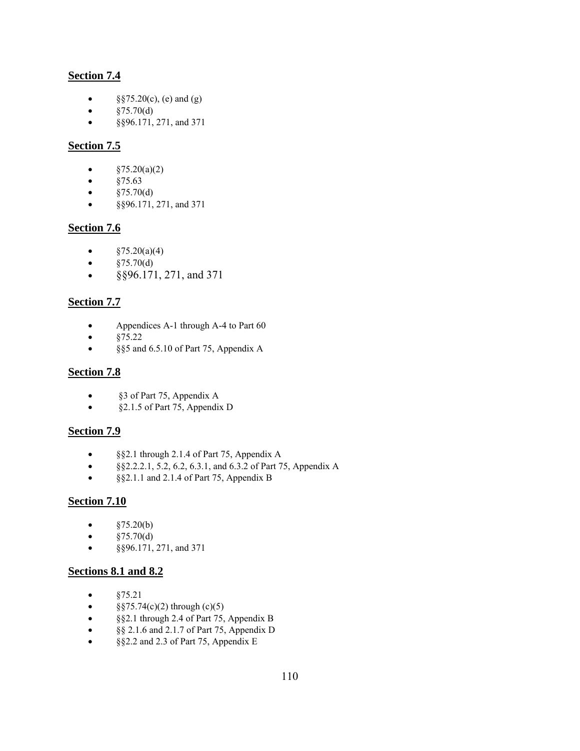# **Section 7.4**

- $\S$ §75.20(c), (e) and (g)
- $§75.70(d)$
- §§96.171, 271, and 371

# **Section 7.5**

- $§75.20(a)(2)$
- $§75.63$
- $§75.70(d)$
- §§96.171, 271, and 371

# **Section 7.6**

- $§75.20(a)(4)$
- $§75.70(d)$
- §§96.171, 271, and 371

#### **Section 7.7**

- Appendices A-1 through A-4 to Part 60
- $§75.22$
- §§5 and 6.5.10 of Part 75, Appendix A

#### **Section 7.8**

- §3 of Part 75, Appendix A
- §2.1.5 of Part 75, Appendix D

#### **Section 7.9**

- §§2.1 through 2.1.4 of Part 75, Appendix A
- §§2.2.2.1, 5.2, 6.2, 6.3.1, and 6.3.2 of Part 75, Appendix A
- §§2.1.1 and 2.1.4 of Part 75, Appendix B

#### **Section 7.10**

- $§75.20(b)$
- $§75.70(d)$
- §§96.171, 271, and 371

# **Sections 8.1 and 8.2**

- §75.21
- $§$ §75.74(c)(2) through (c)(5)
- §§2.1 through 2.4 of Part 75, Appendix B
- §§ 2.1.6 and 2.1.7 of Part 75, Appendix D
- §§2.2 and 2.3 of Part 75, Appendix E